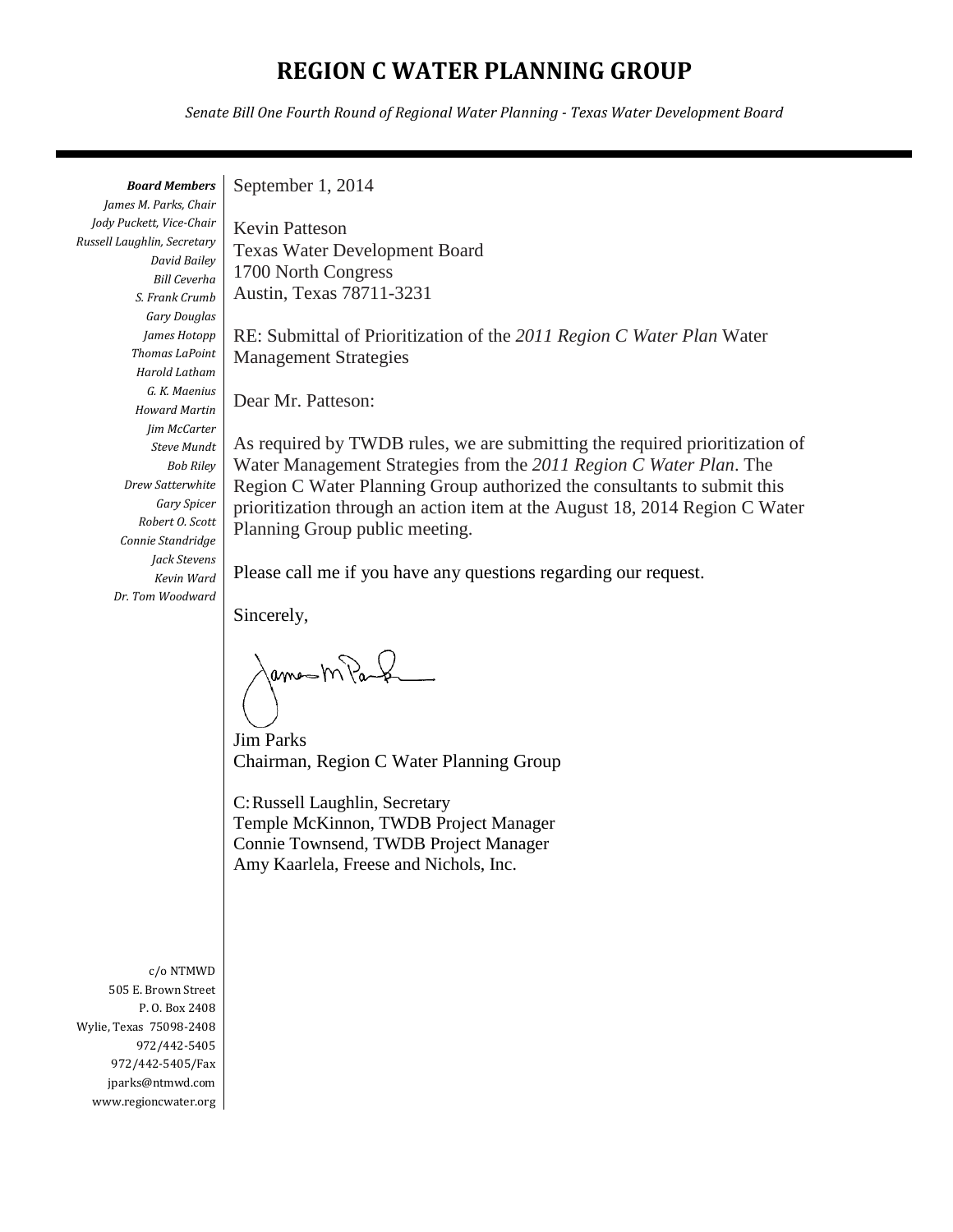## **REGION C WATER PLANNING GROUP**

*Senate Bill One Fourth Round of Regional Water Planning - Texas Water Development Board*

*Board Members James M. Parks, Chair Jody Puckett, Vice-Chair Russell Laughlin, Secretary David Bailey Bill Ceverha S. Frank Crumb Gary Douglas James Hotopp Thomas LaPoint Harold Latham G. K. Maenius Howard Martin Jim McCarter Steve Mundt Bob Riley Drew Satterwhite Gary Spicer Robert O. Scott Connie Standridge Jack Stevens Kevin Ward Dr. Tom Woodward*

September 1, 2014

Kevin Patteson Texas Water Development Board 1700 North Congress Austin, Texas 78711-3231

RE: Submittal of Prioritization of the *2011 Region C Water Plan* Water Management Strategies

Dear Mr. Patteson:

As required by TWDB rules, we are submitting the required prioritization of Water Management Strategies from the *2011 Region C Water Plan*. The Region C Water Planning Group authorized the consultants to submit this prioritization through an action item at the August 18, 2014 Region C Water Planning Group public meeting.

Please call me if you have any questions regarding our request.

Sincerely,

ames m Pas

Jim Parks Chairman, Region C Water Planning Group

C:Russell Laughlin, Secretary Temple McKinnon, TWDB Project Manager Connie Townsend, TWDB Project Manager Amy Kaarlela, Freese and Nichols, Inc.

c/o NTMWD 505 E. Brown Street P. O. Box 2408 Wylie, Texas 75098-2408 972/442-5405 972/442-5405/Fax jparks@ntmwd.com www.regioncwater.org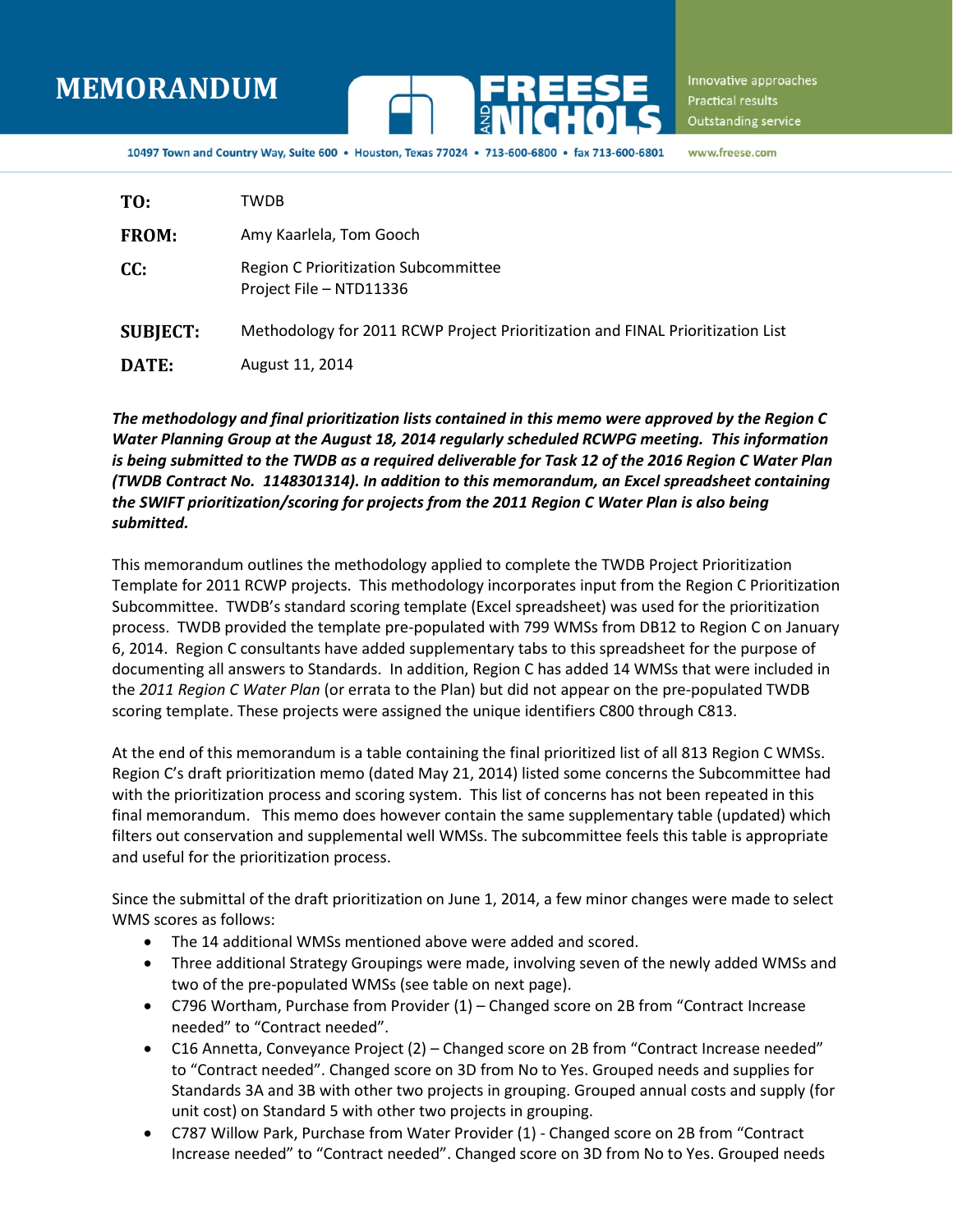# **MEMORANDUM**



Innovative approaches Practical results Outstanding service

10497 Town and Country Way, Suite 600 . Houston, Texas 77024 . 713-600-6800 . fax 713-600-6801 www.freese.com

| TO:             | <b>TWDB</b>                                                                    |
|-----------------|--------------------------------------------------------------------------------|
| <b>FROM:</b>    | Amy Kaarlela, Tom Gooch                                                        |
| CC:             | <b>Region C Prioritization Subcommittee</b><br>Project File - NTD11336         |
| <b>SUBJECT:</b> | Methodology for 2011 RCWP Project Prioritization and FINAL Prioritization List |
| DATE:           | August 11, 2014                                                                |

*The methodology and final prioritization lists contained in this memo were approved by the Region C Water Planning Group at the August 18, 2014 regularly scheduled RCWPG meeting. This information is being submitted to the TWDB as a required deliverable for Task 12 of the 2016 Region C Water Plan (TWDB Contract No. 1148301314). In addition to this memorandum, an Excel spreadsheet containing the SWIFT prioritization/scoring for projects from the 2011 Region C Water Plan is also being submitted.*

This memorandum outlines the methodology applied to complete the TWDB Project Prioritization Template for 2011 RCWP projects. This methodology incorporates input from the Region C Prioritization Subcommittee. TWDB's standard scoring template (Excel spreadsheet) was used for the prioritization process. TWDB provided the template pre-populated with 799 WMSs from DB12 to Region C on January 6, 2014. Region C consultants have added supplementary tabs to this spreadsheet for the purpose of documenting all answers to Standards. In addition, Region C has added 14 WMSs that were included in the *2011 Region C Water Plan* (or errata to the Plan) but did not appear on the pre-populated TWDB scoring template. These projects were assigned the unique identifiers C800 through C813.

At the end of this memorandum is a table containing the final prioritized list of all 813 Region C WMSs. Region C's draft prioritization memo (dated May 21, 2014) listed some concerns the Subcommittee had with the prioritization process and scoring system. This list of concerns has not been repeated in this final memorandum. This memo does however contain the same supplementary table (updated) which filters out conservation and supplemental well WMSs. The subcommittee feels this table is appropriate and useful for the prioritization process.

Since the submittal of the draft prioritization on June 1, 2014, a few minor changes were made to select WMS scores as follows:

- The 14 additional WMSs mentioned above were added and scored.
- Three additional Strategy Groupings were made, involving seven of the newly added WMSs and two of the pre-populated WMSs (see table on next page).
- C796 Wortham, Purchase from Provider (1) Changed score on 2B from "Contract Increase needed" to "Contract needed".
- C16 Annetta, Conveyance Project (2) Changed score on 2B from "Contract Increase needed" to "Contract needed". Changed score on 3D from No to Yes. Grouped needs and supplies for Standards 3A and 3B with other two projects in grouping. Grouped annual costs and supply (for unit cost) on Standard 5 with other two projects in grouping.
- C787 Willow Park, Purchase from Water Provider (1) Changed score on 2B from "Contract Increase needed" to "Contract needed". Changed score on 3D from No to Yes. Grouped needs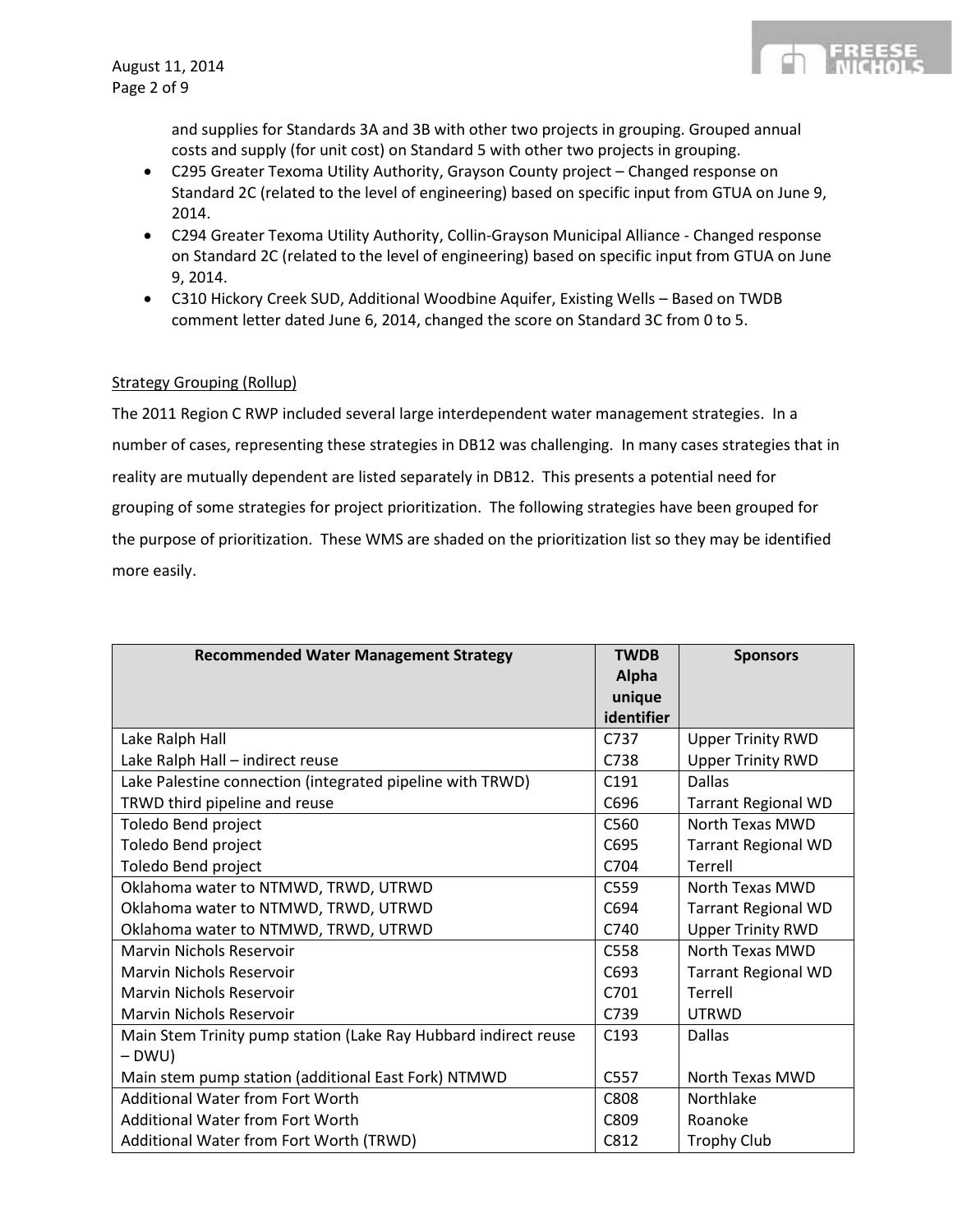

and supplies for Standards 3A and 3B with other two projects in grouping. Grouped annual costs and supply (for unit cost) on Standard 5 with other two projects in grouping.

- C295 Greater Texoma Utility Authority, Grayson County project Changed response on Standard 2C (related to the level of engineering) based on specific input from GTUA on June 9, 2014.
- C294 Greater Texoma Utility Authority, Collin-Grayson Municipal Alliance Changed response on Standard 2C (related to the level of engineering) based on specific input from GTUA on June 9, 2014.
- C310 Hickory Creek SUD, Additional Woodbine Aquifer, Existing Wells Based on TWDB comment letter dated June 6, 2014, changed the score on Standard 3C from 0 to 5.

### Strategy Grouping (Rollup)

The 2011 Region C RWP included several large interdependent water management strategies. In a number of cases, representing these strategies in DB12 was challenging. In many cases strategies that in reality are mutually dependent are listed separately in DB12. This presents a potential need for grouping of some strategies for project prioritization. The following strategies have been grouped for the purpose of prioritization. These WMS are shaded on the prioritization list so they may be identified more easily.

| <b>Recommended Water Management Strategy</b>                    | <b>TWDB</b>      | <b>Sponsors</b>            |
|-----------------------------------------------------------------|------------------|----------------------------|
|                                                                 | Alpha            |                            |
|                                                                 | unique           |                            |
|                                                                 | identifier       |                            |
| Lake Ralph Hall                                                 | C737             | <b>Upper Trinity RWD</b>   |
| Lake Ralph Hall - indirect reuse                                | C738             | <b>Upper Trinity RWD</b>   |
| Lake Palestine connection (integrated pipeline with TRWD)       | C <sub>191</sub> | <b>Dallas</b>              |
| TRWD third pipeline and reuse                                   | C696             | <b>Tarrant Regional WD</b> |
| Toledo Bend project                                             | C560             | North Texas MWD            |
| Toledo Bend project                                             | C695             | <b>Tarrant Regional WD</b> |
| Toledo Bend project                                             | C704             | Terrell                    |
| Oklahoma water to NTMWD, TRWD, UTRWD                            | C559             | North Texas MWD            |
| Oklahoma water to NTMWD, TRWD, UTRWD                            | C694             | <b>Tarrant Regional WD</b> |
| Oklahoma water to NTMWD, TRWD, UTRWD                            | C740             | <b>Upper Trinity RWD</b>   |
| Marvin Nichols Reservoir                                        | C558             | North Texas MWD            |
| <b>Marvin Nichols Reservoir</b>                                 | C693             | <b>Tarrant Regional WD</b> |
| <b>Marvin Nichols Reservoir</b>                                 | C701             | Terrell                    |
| Marvin Nichols Reservoir                                        | C739             | <b>UTRWD</b>               |
| Main Stem Trinity pump station (Lake Ray Hubbard indirect reuse | C <sub>193</sub> | <b>Dallas</b>              |
| $- D W U$                                                       |                  |                            |
| Main stem pump station (additional East Fork) NTMWD             | C557             | North Texas MWD            |
| <b>Additional Water from Fort Worth</b>                         | C808             | Northlake                  |
| <b>Additional Water from Fort Worth</b>                         | C809             | Roanoke                    |
| Additional Water from Fort Worth (TRWD)                         | C812             | <b>Trophy Club</b>         |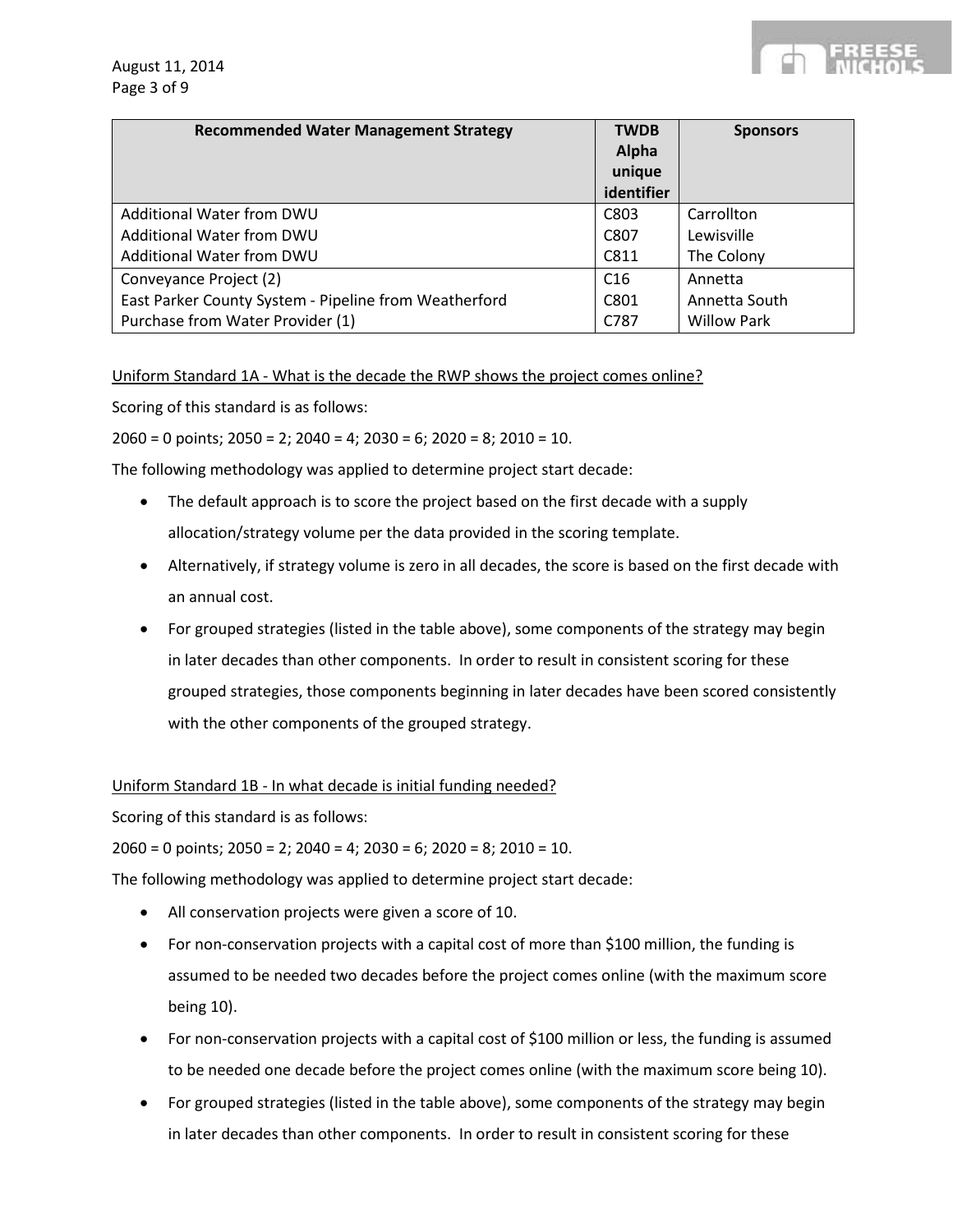

| <b>Recommended Water Management Strategy</b>          | <b>TWDB</b><br>Alpha<br>unique<br>identifier | <b>Sponsors</b>    |
|-------------------------------------------------------|----------------------------------------------|--------------------|
| Additional Water from DWU                             | C803                                         | Carrollton         |
| Additional Water from DWU                             | C807                                         | Lewisville         |
| Additional Water from DWU                             | C811                                         | The Colony         |
| Conveyance Project (2)                                | C <sub>16</sub>                              | Annetta            |
| East Parker County System - Pipeline from Weatherford | C801                                         | Annetta South      |
| Purchase from Water Provider (1)                      | C787                                         | <b>Willow Park</b> |

Uniform Standard 1A - What is the decade the RWP shows the project comes online?

Scoring of this standard is as follows:

 $2060 = 0$  points;  $2050 = 2$ ;  $2040 = 4$ ;  $2030 = 6$ ;  $2020 = 8$ ;  $2010 = 10$ .

The following methodology was applied to determine project start decade:

- The default approach is to score the project based on the first decade with a supply allocation/strategy volume per the data provided in the scoring template.
- Alternatively, if strategy volume is zero in all decades, the score is based on the first decade with an annual cost.
- For grouped strategies (listed in the table above), some components of the strategy may begin in later decades than other components. In order to result in consistent scoring for these grouped strategies, those components beginning in later decades have been scored consistently with the other components of the grouped strategy.

#### Uniform Standard 1B - In what decade is initial funding needed?

Scoring of this standard is as follows:

 $2060 = 0$  points;  $2050 = 2$ ;  $2040 = 4$ ;  $2030 = 6$ ;  $2020 = 8$ ;  $2010 = 10$ .

The following methodology was applied to determine project start decade:

- All conservation projects were given a score of 10.
- For non-conservation projects with a capital cost of more than \$100 million, the funding is assumed to be needed two decades before the project comes online (with the maximum score being 10).
- For non-conservation projects with a capital cost of \$100 million or less, the funding is assumed to be needed one decade before the project comes online (with the maximum score being 10).
- For grouped strategies (listed in the table above), some components of the strategy may begin in later decades than other components. In order to result in consistent scoring for these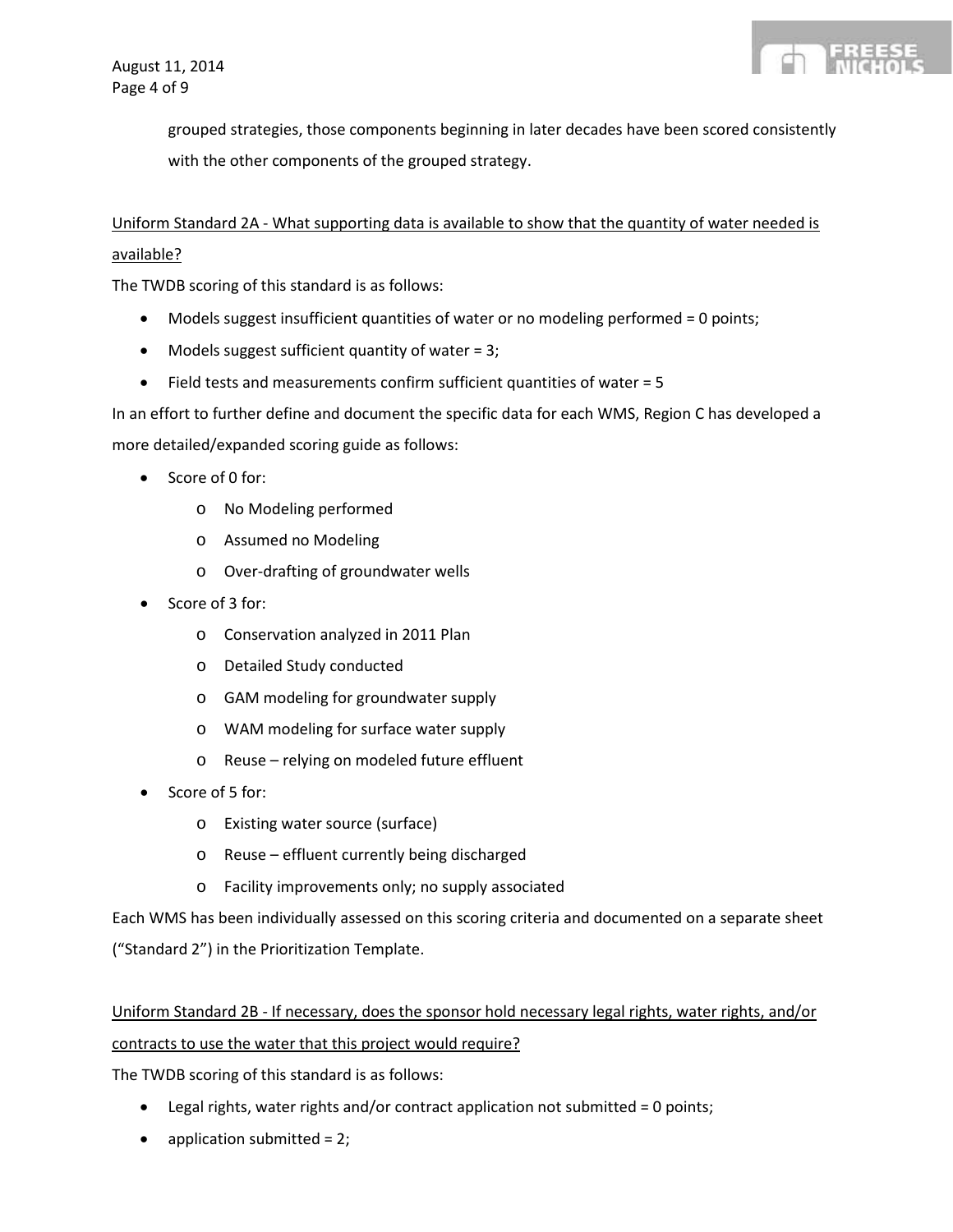

grouped strategies, those components beginning in later decades have been scored consistently with the other components of the grouped strategy.

Uniform Standard 2A - What supporting data is available to show that the quantity of water needed is available?

The TWDB scoring of this standard is as follows:

- Models suggest insufficient quantities of water or no modeling performed = 0 points;
- Models suggest sufficient quantity of water =  $3$ ;
- Field tests and measurements confirm sufficient quantities of water = 5

In an effort to further define and document the specific data for each WMS, Region C has developed a more detailed/expanded scoring guide as follows:

- Score of 0 for:
	- o No Modeling performed
	- o Assumed no Modeling
	- o Over-drafting of groundwater wells
- Score of 3 for:
	- o Conservation analyzed in 2011 Plan
	- o Detailed Study conducted
	- o GAM modeling for groundwater supply
	- o WAM modeling for surface water supply
	- o Reuse relying on modeled future effluent
- Score of 5 for:
	- o Existing water source (surface)
	- o Reuse effluent currently being discharged
	- o Facility improvements only; no supply associated

Each WMS has been individually assessed on this scoring criteria and documented on a separate sheet ("Standard 2") in the Prioritization Template.

## Uniform Standard 2B - If necessary, does the sponsor hold necessary legal rights, water rights, and/or contracts to use the water that this project would require?

The TWDB scoring of this standard is as follows:

- Legal rights, water rights and/or contract application not submitted = 0 points;
- application submitted = 2;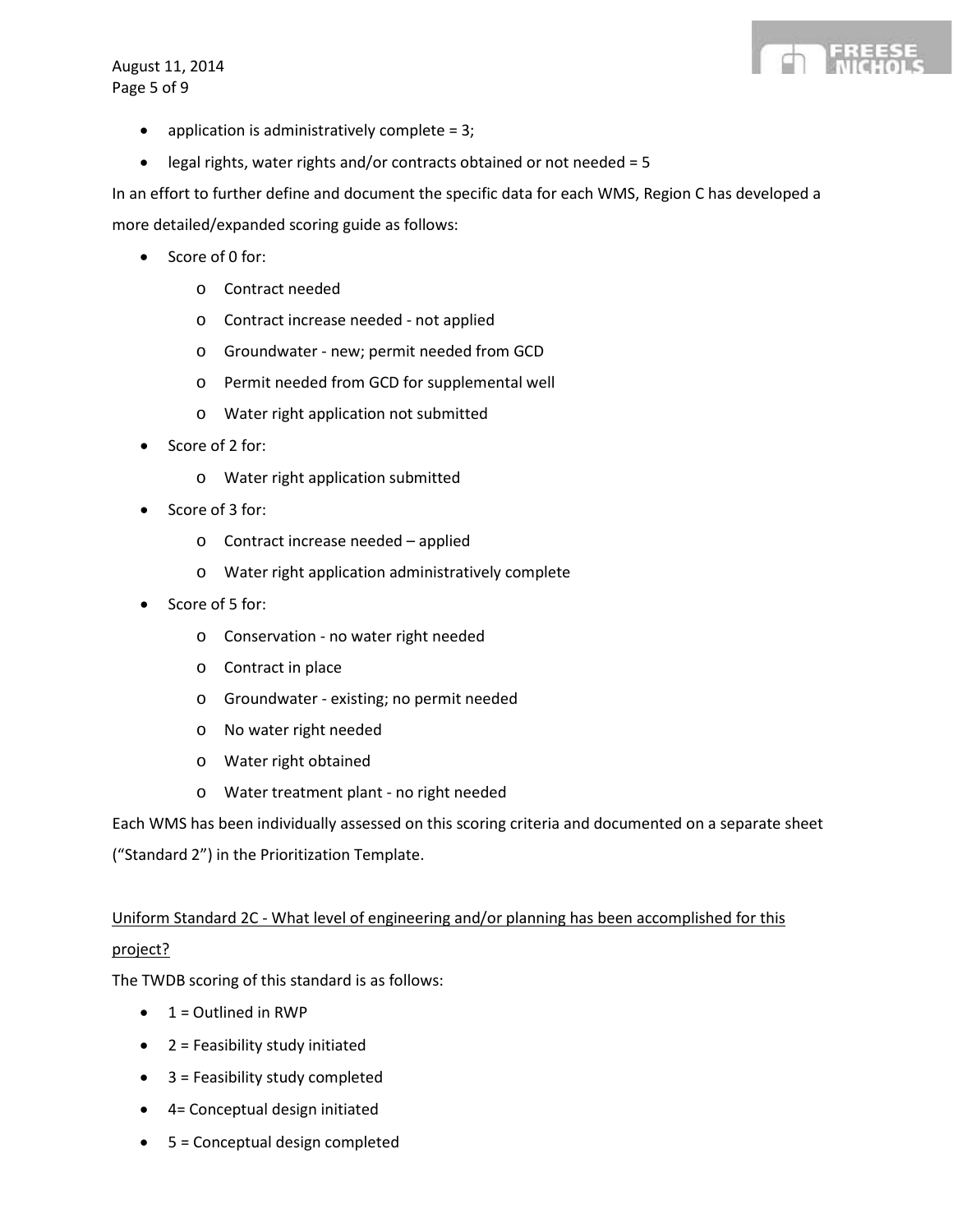August 11, 2014 Page 5 of 9



- application is administratively complete =  $3$ ;
- legal rights, water rights and/or contracts obtained or not needed = 5

In an effort to further define and document the specific data for each WMS, Region C has developed a

more detailed/expanded scoring guide as follows:

- Score of 0 for:
	- o Contract needed
	- o Contract increase needed not applied
	- o Groundwater new; permit needed from GCD
	- o Permit needed from GCD for supplemental well
	- o Water right application not submitted
- Score of 2 for:
	- o Water right application submitted
- Score of 3 for:
	- o Contract increase needed applied
	- o Water right application administratively complete
- Score of 5 for:
	- o Conservation no water right needed
	- o Contract in place
	- o Groundwater existing; no permit needed
	- o No water right needed
	- o Water right obtained
	- o Water treatment plant no right needed

Each WMS has been individually assessed on this scoring criteria and documented on a separate sheet

("Standard 2") in the Prioritization Template.

## Uniform Standard 2C - What level of engineering and/or planning has been accomplished for this project?

The TWDB scoring of this standard is as follows:

- $\bullet$  1 = Outlined in RWP
- 2 = Feasibility study initiated
- 3 = Feasibility study completed
- 4= Conceptual design initiated
- 5 = Conceptual design completed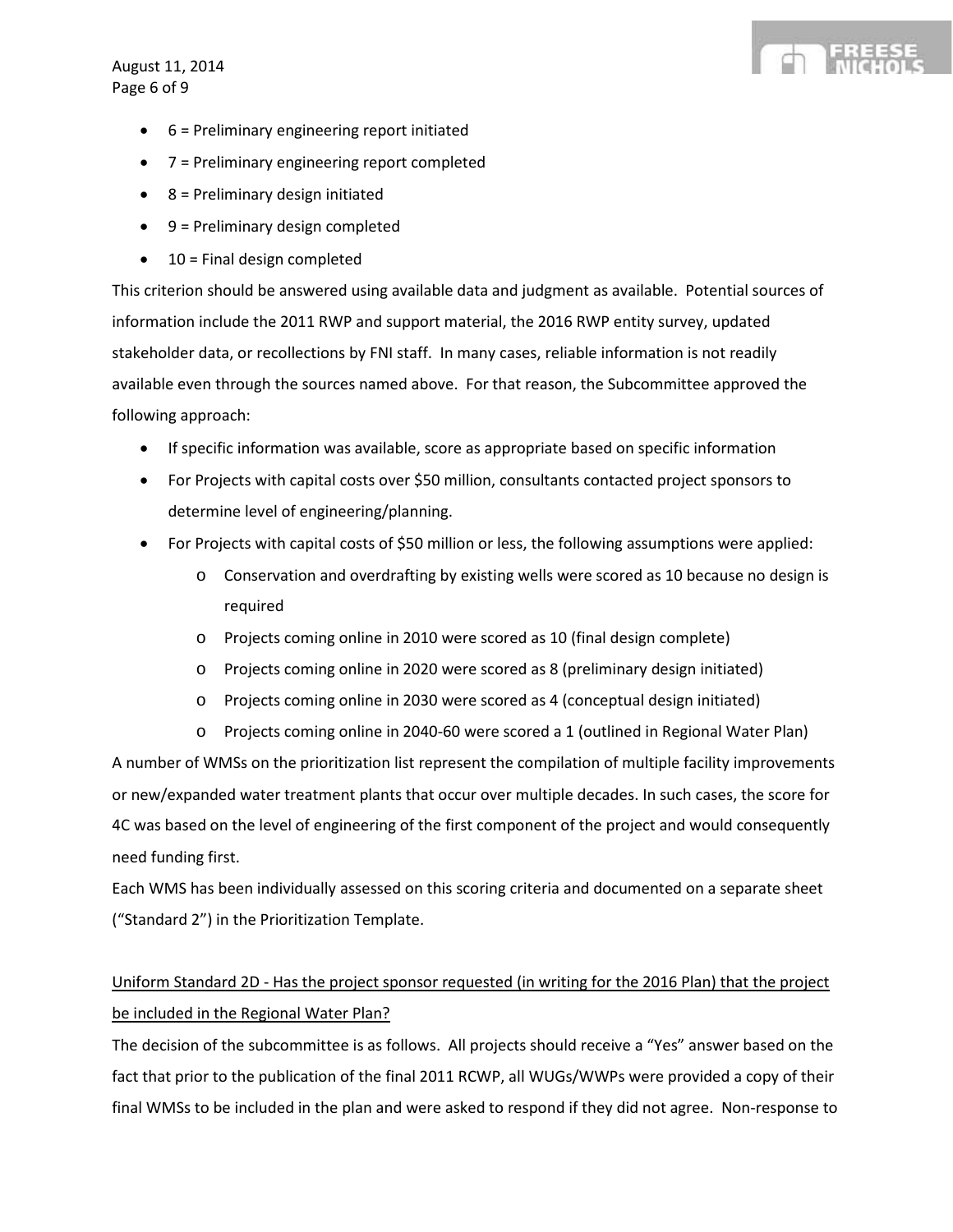August 11, 2014 Page 6 of 9

- 6 = Preliminary engineering report initiated
- 7 = Preliminary engineering report completed
- 8 = Preliminary design initiated
- 9 = Preliminary design completed
- 10 = Final design completed

This criterion should be answered using available data and judgment as available. Potential sources of information include the 2011 RWP and support material, the 2016 RWP entity survey, updated stakeholder data, or recollections by FNI staff. In many cases, reliable information is not readily available even through the sources named above. For that reason, the Subcommittee approved the following approach:

- If specific information was available, score as appropriate based on specific information
- For Projects with capital costs over \$50 million, consultants contacted project sponsors to determine level of engineering/planning.
- For Projects with capital costs of \$50 million or less, the following assumptions were applied:
	- o Conservation and overdrafting by existing wells were scored as 10 because no design is required
	- o Projects coming online in 2010 were scored as 10 (final design complete)
	- o Projects coming online in 2020 were scored as 8 (preliminary design initiated)
	- o Projects coming online in 2030 were scored as 4 (conceptual design initiated)
	- o Projects coming online in 2040-60 were scored a 1 (outlined in Regional Water Plan)

A number of WMSs on the prioritization list represent the compilation of multiple facility improvements or new/expanded water treatment plants that occur over multiple decades. In such cases, the score for 4C was based on the level of engineering of the first component of the project and would consequently need funding first.

Each WMS has been individually assessed on this scoring criteria and documented on a separate sheet ("Standard 2") in the Prioritization Template.

## Uniform Standard 2D - Has the project sponsor requested (in writing for the 2016 Plan) that the project be included in the Regional Water Plan?

The decision of the subcommittee is as follows. All projects should receive a "Yes" answer based on the fact that prior to the publication of the final 2011 RCWP, all WUGs/WWPs were provided a copy of their final WMSs to be included in the plan and were asked to respond if they did not agree. Non-response to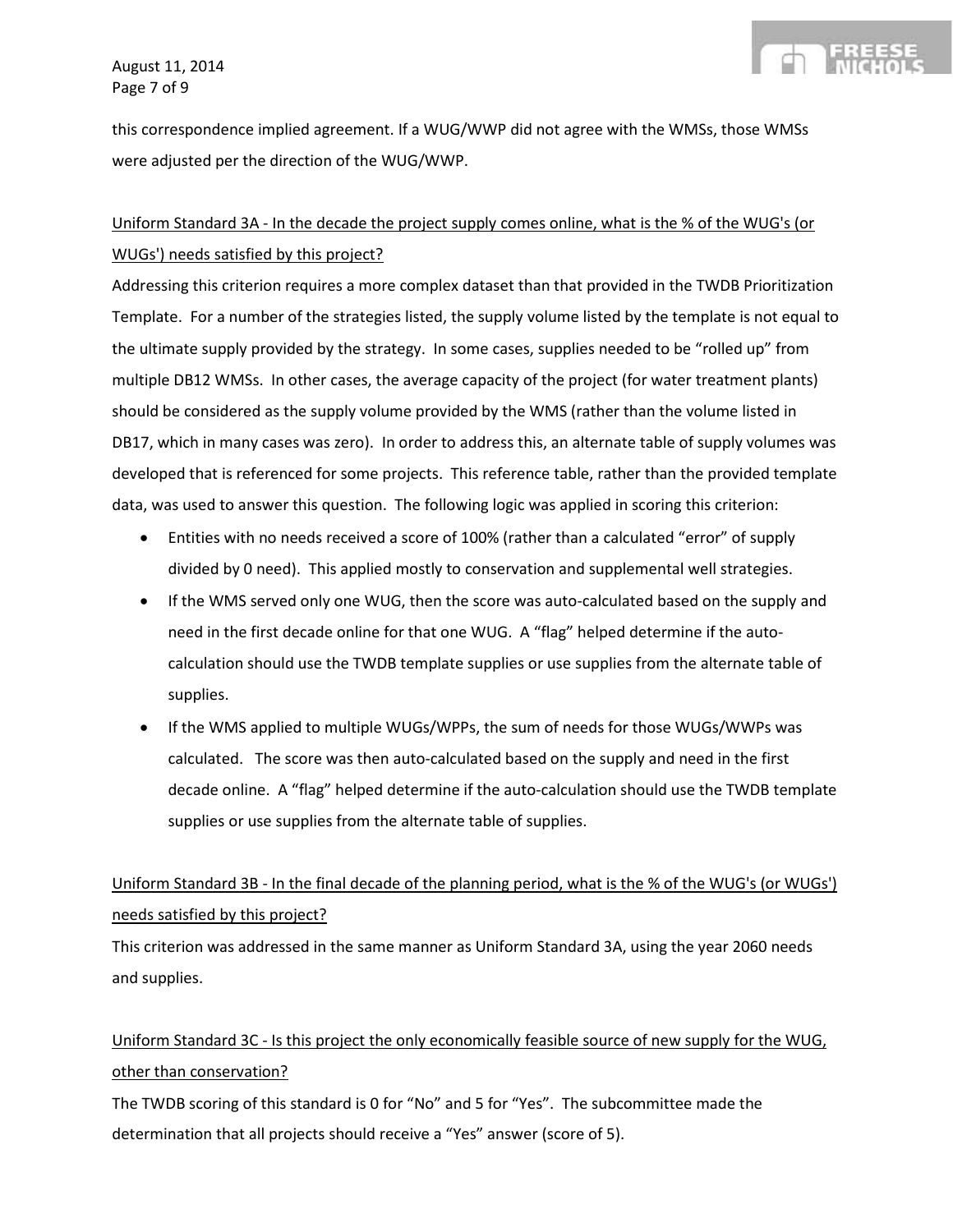this correspondence implied agreement. If a WUG/WWP did not agree with the WMSs, those WMSs were adjusted per the direction of the WUG/WWP.

## Uniform Standard 3A - In the decade the project supply comes online, what is the % of the WUG's (or WUGs') needs satisfied by this project?

Addressing this criterion requires a more complex dataset than that provided in the TWDB Prioritization Template. For a number of the strategies listed, the supply volume listed by the template is not equal to the ultimate supply provided by the strategy. In some cases, supplies needed to be "rolled up" from multiple DB12 WMSs. In other cases, the average capacity of the project (for water treatment plants) should be considered as the supply volume provided by the WMS (rather than the volume listed in DB17, which in many cases was zero). In order to address this, an alternate table of supply volumes was developed that is referenced for some projects. This reference table, rather than the provided template data, was used to answer this question. The following logic was applied in scoring this criterion:

- Entities with no needs received a score of 100% (rather than a calculated "error" of supply divided by 0 need). This applied mostly to conservation and supplemental well strategies.
- If the WMS served only one WUG, then the score was auto-calculated based on the supply and need in the first decade online for that one WUG. A "flag" helped determine if the autocalculation should use the TWDB template supplies or use supplies from the alternate table of supplies.
- If the WMS applied to multiple WUGs/WPPs, the sum of needs for those WUGs/WWPs was calculated. The score was then auto-calculated based on the supply and need in the first decade online. A "flag" helped determine if the auto-calculation should use the TWDB template supplies or use supplies from the alternate table of supplies.

## Uniform Standard 3B - In the final decade of the planning period, what is the % of the WUG's (or WUGs') needs satisfied by this project?

This criterion was addressed in the same manner as Uniform Standard 3A, using the year 2060 needs and supplies.

Uniform Standard 3C - Is this project the only economically feasible source of new supply for the WUG, other than conservation?

The TWDB scoring of this standard is 0 for "No" and 5 for "Yes". The subcommittee made the determination that all projects should receive a "Yes" answer (score of 5).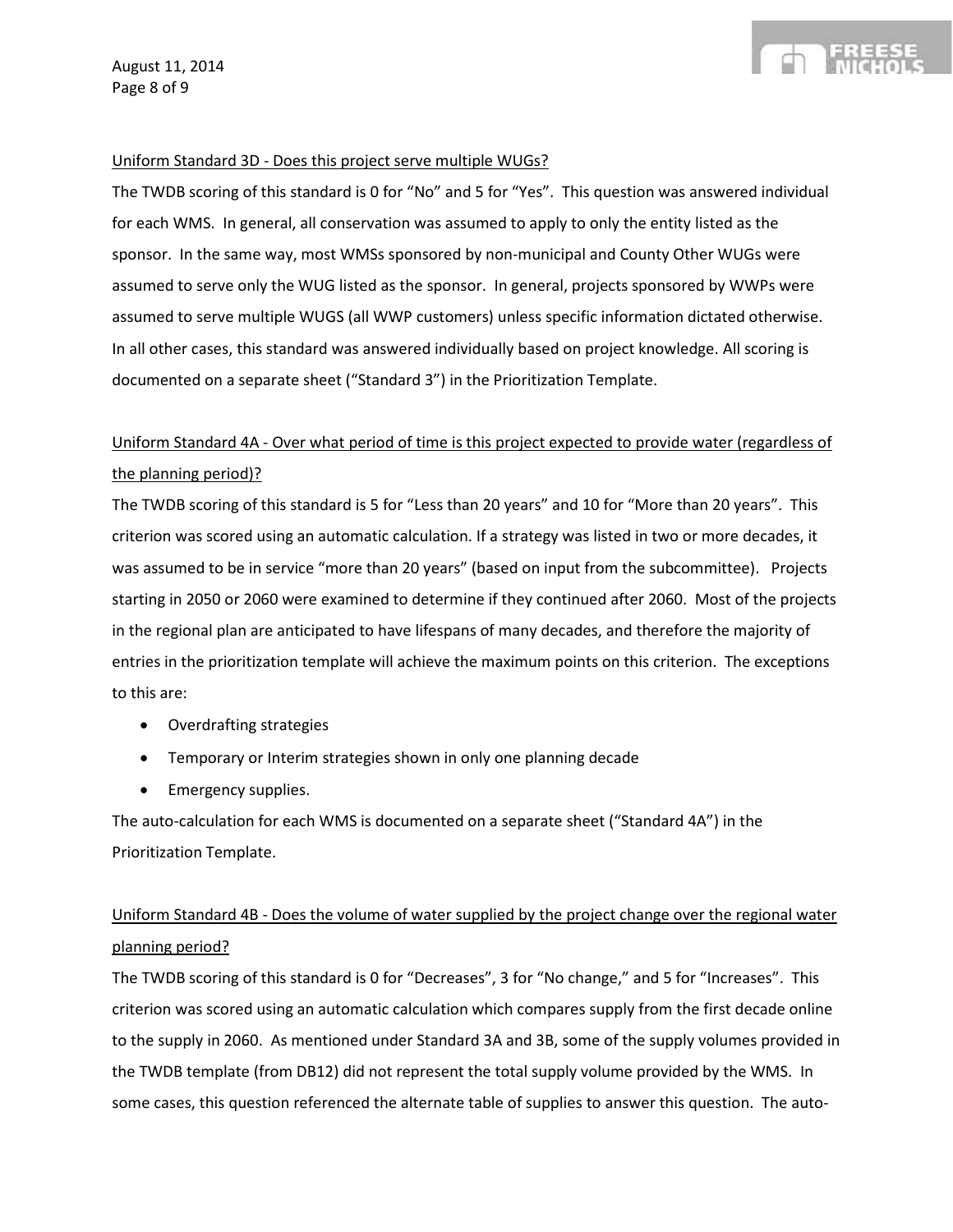#### Uniform Standard 3D - Does this project serve multiple WUGs?

The TWDB scoring of this standard is 0 for "No" and 5 for "Yes". This question was answered individual for each WMS. In general, all conservation was assumed to apply to only the entity listed as the sponsor. In the same way, most WMSs sponsored by non-municipal and County Other WUGs were assumed to serve only the WUG listed as the sponsor. In general, projects sponsored by WWPs were assumed to serve multiple WUGS (all WWP customers) unless specific information dictated otherwise. In all other cases, this standard was answered individually based on project knowledge. All scoring is documented on a separate sheet ("Standard 3") in the Prioritization Template.

## Uniform Standard 4A - Over what period of time is this project expected to provide water (regardless of the planning period)?

The TWDB scoring of this standard is 5 for "Less than 20 years" and 10 for "More than 20 years". This criterion was scored using an automatic calculation. If a strategy was listed in two or more decades, it was assumed to be in service "more than 20 years" (based on input from the subcommittee). Projects starting in 2050 or 2060 were examined to determine if they continued after 2060. Most of the projects in the regional plan are anticipated to have lifespans of many decades, and therefore the majority of entries in the prioritization template will achieve the maximum points on this criterion. The exceptions to this are:

- Overdrafting strategies
- Temporary or Interim strategies shown in only one planning decade
- Emergency supplies.

The auto-calculation for each WMS is documented on a separate sheet ("Standard 4A") in the Prioritization Template.

## Uniform Standard 4B - Does the volume of water supplied by the project change over the regional water planning period?

The TWDB scoring of this standard is 0 for "Decreases", 3 for "No change," and 5 for "Increases". This criterion was scored using an automatic calculation which compares supply from the first decade online to the supply in 2060. As mentioned under Standard 3A and 3B, some of the supply volumes provided in the TWDB template (from DB12) did not represent the total supply volume provided by the WMS. In some cases, this question referenced the alternate table of supplies to answer this question. The auto-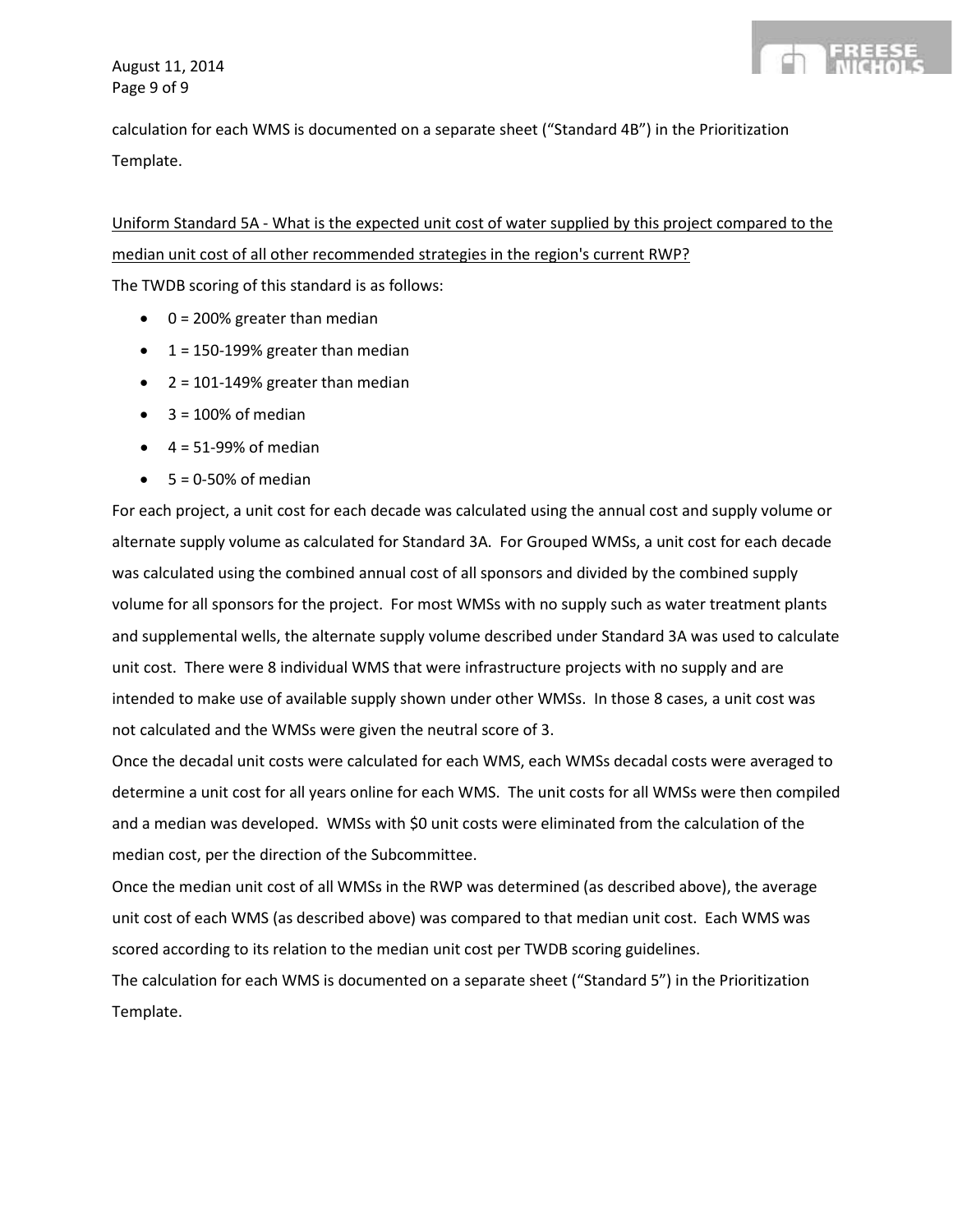

calculation for each WMS is documented on a separate sheet ("Standard 4B") in the Prioritization Template.

Uniform Standard 5A - What is the expected unit cost of water supplied by this project compared to the median unit cost of all other recommended strategies in the region's current RWP?

The TWDB scoring of this standard is as follows:

- $\bullet$  0 = 200% greater than median
- $\bullet$  1 = 150-199% greater than median
- $\bullet$  2 = 101-149% greater than median
- $\bullet$  3 = 100% of median
- $\bullet$  4 = 51-99% of median
- $5 = 0.50\%$  of median

For each project, a unit cost for each decade was calculated using the annual cost and supply volume or alternate supply volume as calculated for Standard 3A. For Grouped WMSs, a unit cost for each decade was calculated using the combined annual cost of all sponsors and divided by the combined supply volume for all sponsors for the project. For most WMSs with no supply such as water treatment plants and supplemental wells, the alternate supply volume described under Standard 3A was used to calculate unit cost. There were 8 individual WMS that were infrastructure projects with no supply and are intended to make use of available supply shown under other WMSs. In those 8 cases, a unit cost was not calculated and the WMSs were given the neutral score of 3.

Once the decadal unit costs were calculated for each WMS, each WMSs decadal costs were averaged to determine a unit cost for all years online for each WMS. The unit costs for all WMSs were then compiled and a median was developed. WMSs with \$0 unit costs were eliminated from the calculation of the median cost, per the direction of the Subcommittee.

Once the median unit cost of all WMSs in the RWP was determined (as described above), the average unit cost of each WMS (as described above) was compared to that median unit cost. Each WMS was scored according to its relation to the median unit cost per TWDB scoring guidelines.

The calculation for each WMS is documented on a separate sheet ("Standard 5") in the Prioritization Template.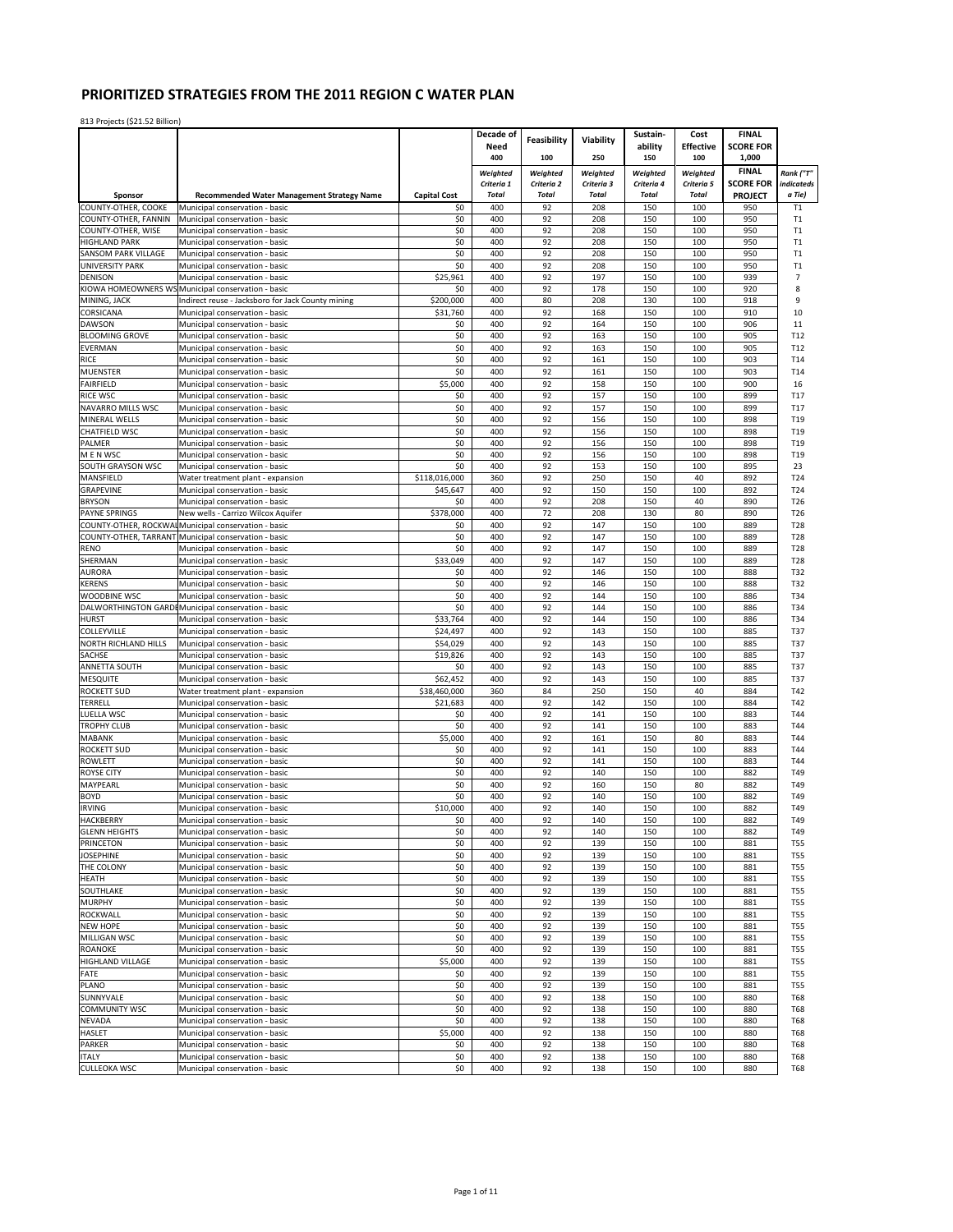|                                               |                                                                                      |                     | Decade of                  |                            |                            | Sustain-                   | Cost                       | <b>FINAL</b>          |                          |
|-----------------------------------------------|--------------------------------------------------------------------------------------|---------------------|----------------------------|----------------------------|----------------------------|----------------------------|----------------------------|-----------------------|--------------------------|
|                                               |                                                                                      |                     | Need                       | <b>Feasibility</b>         | Viability                  | ability                    | <b>Effective</b>           | <b>SCORE FOR</b>      |                          |
|                                               |                                                                                      |                     | 400                        | 100                        | 250                        | 150                        | 100                        | 1,000                 |                          |
|                                               |                                                                                      |                     | Weighted                   | Weighted                   | Weighted                   | Weighted                   | Weighted                   | <b>FINAL</b>          | Rank ("T"                |
|                                               |                                                                                      | <b>Capital Cost</b> | Criteria 1<br><b>Total</b> | Criteria 2<br><b>Total</b> | Criteria 3<br><b>Total</b> | Criteria 4<br><b>Total</b> | Criteria 5<br><b>Total</b> | <b>SCORE FOR</b>      | indicateds<br>a Tie)     |
| Sponsor<br>COUNTY-OTHER, COOKE                | <b>Recommended Water Management Strategy Name</b><br>Municipal conservation - basic  | \$0                 | 400                        | 92                         | 208                        | 150                        | 100                        | <b>PROJECT</b><br>950 | T1                       |
| COUNTY-OTHER, FANNIN                          | Municipal conservation - basic                                                       | \$0                 | 400                        | 92                         | 208                        | 150                        | 100                        | 950                   | T1                       |
| COUNTY-OTHER, WISE                            | Municipal conservation - basic                                                       | \$0                 | 400                        | 92                         | 208                        | 150                        | 100                        | 950                   | T1                       |
| <b>HIGHLAND PARK</b>                          | Municipal conservation - basic                                                       | \$0                 | 400                        | 92                         | 208                        | 150                        | 100                        | 950                   | T1                       |
| <b>SANSOM PARK VILLAGE</b>                    | Municipal conservation - basic                                                       | \$0                 | 400                        | 92                         | 208                        | 150                        | 100                        | 950                   | T1                       |
| <b>UNIVERSITY PARK</b>                        | Municipal conservation - basic                                                       | \$0                 | 400                        | 92                         | 208                        | 150                        | 100                        | 950                   | T1                       |
| <b>DENISON</b>                                | Municipal conservation - basic<br>KIOWA HOMEOWNERS WS Municipal conservation - basic | \$25,961            | 400<br>400                 | 92<br>92                   | 197                        | 150<br>150                 | 100<br>100                 | 939<br>920            | $\overline{7}$<br>8      |
| MINING, JACK                                  | Indirect reuse - Jacksboro for Jack County mining                                    | \$0<br>\$200,000    | 400                        | 80                         | 178<br>208                 | 130                        | 100                        | 918                   | 9                        |
| CORSICANA                                     | Municipal conservation - basic                                                       | \$31,760            | 400                        | 92                         | 168                        | 150                        | 100                        | 910                   | 10                       |
| <b>DAWSON</b>                                 | Municipal conservation - basic                                                       | \$0                 | 400                        | 92                         | 164                        | 150                        | 100                        | 906                   | 11                       |
| <b>BLOOMING GROVE</b>                         | Municipal conservation - basic                                                       | \$0                 | 400                        | 92                         | 163                        | 150                        | 100                        | 905                   | T12                      |
| <b>EVERMAN</b>                                | Municipal conservation - basic                                                       | \$0                 | 400                        | 92                         | 163                        | 150                        | 100                        | 905                   | T12                      |
| <b>RICE</b>                                   | Municipal conservation - basic                                                       | \$0                 | 400                        | 92                         | 161                        | 150                        | 100                        | 903                   | T14                      |
| <b>MUENSTER</b>                               | Municipal conservation - basic                                                       | \$0                 | 400                        | 92                         | 161                        | 150                        | 100                        | 903                   | T14                      |
| <b>FAIRFIELD</b>                              | Municipal conservation - basic                                                       | \$5,000             | 400                        | 92                         | 158                        | 150                        | 100                        | 900                   | 16                       |
| <b>RICE WSC</b>                               | Municipal conservation - basic                                                       | \$0                 | 400                        | 92                         | 157                        | 150                        | 100                        | 899                   | T17                      |
| NAVARRO MILLS WSC<br>MINERAL WELLS            | Municipal conservation - basic                                                       | \$0<br>\$0          | 400<br>400                 | 92<br>92                   | 157<br>156                 | 150<br>150                 | 100<br>100                 | 899<br>898            | T17<br>T19               |
| CHATFIELD WSC                                 | Municipal conservation - basic<br>Municipal conservation - basic                     | \$0                 | 400                        | 92                         | 156                        | 150                        | 100                        | 898                   | T19                      |
| PALMER                                        | Municipal conservation - basic                                                       | \$0                 | 400                        | 92                         | 156                        | 150                        | 100                        | 898                   | T19                      |
| M E N WSC                                     | Municipal conservation - basic                                                       | \$0                 | 400                        | 92                         | 156                        | 150                        | 100                        | 898                   | T19                      |
| SOUTH GRAYSON WSC                             | Municipal conservation - basic                                                       | \$0                 | 400                        | 92                         | 153                        | 150                        | 100                        | 895                   | 23                       |
| MANSFIELD                                     | Water treatment plant - expansion                                                    | \$118,016,000       | 360                        | 92                         | 250                        | 150                        | 40                         | 892                   | T24                      |
| <b>GRAPEVINE</b>                              | Municipal conservation - basic                                                       | \$45,647            | 400                        | 92                         | 150                        | 150                        | 100                        | 892                   | T24                      |
| <b>BRYSON</b>                                 | Municipal conservation - basic                                                       | \$0                 | 400                        | 92                         | 208                        | 150                        | 40                         | 890                   | T <sub>26</sub>          |
| <b>PAYNE SPRINGS</b>                          | New wells - Carrizo Wilcox Aquifer                                                   | \$378,000           | 400                        | 72                         | 208                        | 130                        | 80                         | 890                   | T26                      |
| COUNTY-OTHER, ROCKWA<br>COUNTY-OTHER, TARRANT | Municipal conservation - basic                                                       | \$0<br>\$0          | 400<br>400                 | 92<br>92                   | 147<br>147                 | 150<br>150                 | 100<br>100                 | 889<br>889            | <b>T28</b><br>T28        |
| <b>RENO</b>                                   | Municipal conservation - basic<br>Municipal conservation - basic                     | \$0                 | 400                        | 92                         | 147                        | 150                        | 100                        | 889                   | T <sub>28</sub>          |
| SHERMAN                                       | Municipal conservation - basic                                                       | \$33,049            | 400                        | 92                         | 147                        | 150                        | 100                        | 889                   | <b>T28</b>               |
| AURORA                                        | Municipal conservation - basic                                                       | \$0                 | 400                        | 92                         | 146                        | 150                        | 100                        | 888                   | T32                      |
| <b>KERENS</b>                                 | Municipal conservation - basic                                                       | \$0                 | 400                        | 92                         | 146                        | 150                        | 100                        | 888                   | T32                      |
| WOODBINE WSC                                  | Municipal conservation - basic                                                       | \$0                 | 400                        | 92                         | 144                        | 150                        | 100                        | 886                   | T34                      |
|                                               | DALWORTHINGTON GARDI Municipal conservation - basic                                  | \$0                 | 400                        | 92                         | 144                        | 150                        | 100                        | 886                   | T34                      |
| <b>HURST</b>                                  | Municipal conservation - basic                                                       | \$33,764            | 400                        | 92                         | 144                        | 150                        | 100                        | 886                   | T34                      |
| COLLEYVILLE                                   | Municipal conservation - basic                                                       | \$24,497            | 400                        | 92                         | 143                        | 150                        | 100                        | 885                   | T37                      |
| NORTH RICHLAND HILLS                          | Municipal conservation - basic                                                       | \$54,029            | 400                        | 92                         | 143                        | 150                        | 100                        | 885                   | T37                      |
| SACHSE<br>ANNETTA SOUTH                       | Municipal conservation - basic<br>Municipal conservation - basic                     | \$19,826<br>\$0     | 400<br>400                 | 92<br>92                   | 143<br>143                 | 150<br>150                 | 100<br>100                 | 885<br>885            | T37<br>T37               |
| <b>MESQUITE</b>                               | Municipal conservation - basic                                                       | \$62,452            | 400                        | 92                         | 143                        | 150                        | 100                        | 885                   | T37                      |
| <b>ROCKETT SUD</b>                            | Water treatment plant - expansion                                                    | \$38,460,000        | 360                        | 84                         | 250                        | 150                        | 40                         | 884                   | T42                      |
| TERRELL                                       | Municipal conservation - basic                                                       | \$21,683            | 400                        | 92                         | 142                        | 150                        | 100                        | 884                   | T42                      |
| LUELLA WSC                                    | Municipal conservation - basic                                                       | \$0                 | 400                        | 92                         | 141                        | 150                        | 100                        | 883                   | T44                      |
| TROPHY CLUB                                   | Municipal conservation - basic                                                       | \$0                 | 400                        | 92                         | 141                        | 150                        | 100                        | 883                   | T44                      |
| <b>MABANK</b>                                 | Municipal conservation - basic                                                       | \$5,000             | 400                        | 92                         | 161                        | 150                        | 80                         | 883                   | T44                      |
| <b>ROCKETT SUD</b>                            | Municipal conservation - basic                                                       | \$0                 | 400                        | 92                         | 141                        | 150                        | 100                        | 883                   | T44                      |
| <b>ROWLETT</b>                                | Municipal conservation - basic                                                       | \$0                 | 400                        | 92                         | 141                        | 150                        | 100                        | 883                   | T44                      |
| <b>ROYSE CITY</b><br>MAYPEARL                 | Municipal conservation - basic                                                       | \$0<br>\$0          | 400<br>400                 | 92<br>92                   | 140<br>160                 | 150<br>150                 | 100<br>80                  | 882<br>882            | T49<br>T49               |
| <b>BOYD</b>                                   | Municipal conservation - basic<br>Municipal conservation - basic                     | \$0                 | 400                        | 92                         | 140                        | 150                        | 100                        | 882                   | T49                      |
| <b>IRVING</b>                                 | Municipal conservation - basic                                                       | \$10,000            | 400                        | 92                         | 140                        | 150                        | 100                        | 882                   | T49                      |
| <b>HACKBERRY</b>                              | Municipal conservation - basic                                                       | \$0                 | 400                        | 92                         | 140                        | 150                        | 100                        | 882                   | T49                      |
| <b>GLENN HEIGHTS</b>                          | Municipal conservation - basic                                                       | \$0                 | 400                        | 92                         | 140                        | 150                        | 100                        | 882                   | T49                      |
| PRINCETON                                     | Municipal conservation - basic                                                       | \$0                 | 400                        | 92                         | 139                        | 150                        | 100                        | 881                   | <b>T55</b>               |
| <b>JOSEPHINE</b>                              | Municipal conservation - basic                                                       | \$0                 | 400                        | 92                         | 139                        | 150                        | 100                        | 881                   | <b>T55</b>               |
| THE COLONY                                    | Municipal conservation - basic                                                       | \$0                 | 400                        | 92                         | 139                        | 150                        | 100                        | 881                   | <b>T55</b>               |
| HEATH                                         | Municipal conservation - basic                                                       | \$0                 | 400                        | 92                         | 139                        | 150                        | 100                        | 881                   | <b>T55</b>               |
| SOUTHLAKE<br><b>MURPHY</b>                    | Municipal conservation - basic                                                       | \$0                 | 400                        | 92                         | 139                        | 150                        | 100                        | 881                   | <b>T55</b>               |
| ROCKWALL                                      | Municipal conservation - basic<br>Municipal conservation - basic                     | \$0<br>\$0          | 400<br>400                 | 92<br>92                   | 139<br>139                 | 150<br>150                 | 100<br>100                 | 881<br>881            | <b>T55</b><br><b>T55</b> |
| <b>NEW HOPE</b>                               | Municipal conservation - basic                                                       | \$0                 | 400                        | 92                         | 139                        | 150                        | 100                        | 881                   | <b>T55</b>               |
| MILLIGAN WSC                                  | Municipal conservation - basic                                                       | \$0                 | 400                        | 92                         | 139                        | 150                        | 100                        | 881                   | <b>T55</b>               |
| <b>ROANOKE</b>                                | Municipal conservation - basic                                                       | \$0                 | 400                        | 92                         | 139                        | 150                        | 100                        | 881                   | <b>T55</b>               |
| <b>HIGHLAND VILLAGE</b>                       | Municipal conservation - basic                                                       | \$5,000             | 400                        | 92                         | 139                        | 150                        | 100                        | 881                   | <b>T55</b>               |
| FATE                                          | Municipal conservation - basic                                                       | \$0                 | 400                        | 92                         | 139                        | 150                        | 100                        | 881                   | <b>T55</b>               |
| PLANO                                         | Municipal conservation - basic                                                       | \$0                 | 400                        | 92                         | 139                        | 150                        | 100                        | 881                   | <b>T55</b>               |
| SUNNYVALE                                     | Municipal conservation - basic                                                       | \$0                 | 400                        | 92                         | 138                        | 150                        | 100                        | 880                   | <b>T68</b>               |
| COMMUNITY WSC                                 | Municipal conservation - basic                                                       | \$0                 | 400                        | 92                         | 138                        | 150                        | 100                        | 880                   | <b>T68</b>               |
| <b>NEVADA</b>                                 | Municipal conservation - basic                                                       | \$0                 | 400                        | 92                         | 138                        | 150                        | 100                        | 880                   | <b>T68</b>               |
| <b>HASLET</b><br>PARKER                       | Municipal conservation - basic                                                       | \$5,000             | 400<br>400                 | 92<br>92                   | 138<br>138                 | 150<br>150                 | 100<br>100                 | 880<br>880            | <b>T68</b><br><b>T68</b> |
| <b>ITALY</b>                                  | Municipal conservation - basic<br>Municipal conservation - basic                     | \$0<br>\$0          | 400                        | 92                         | 138                        | 150                        | 100                        | 880                   | <b>T68</b>               |
| <b>CULLEOKA WSC</b>                           | Municipal conservation - basic                                                       | \$0                 | 400                        | 92                         | 138                        | 150                        | 100                        | 880                   | T68                      |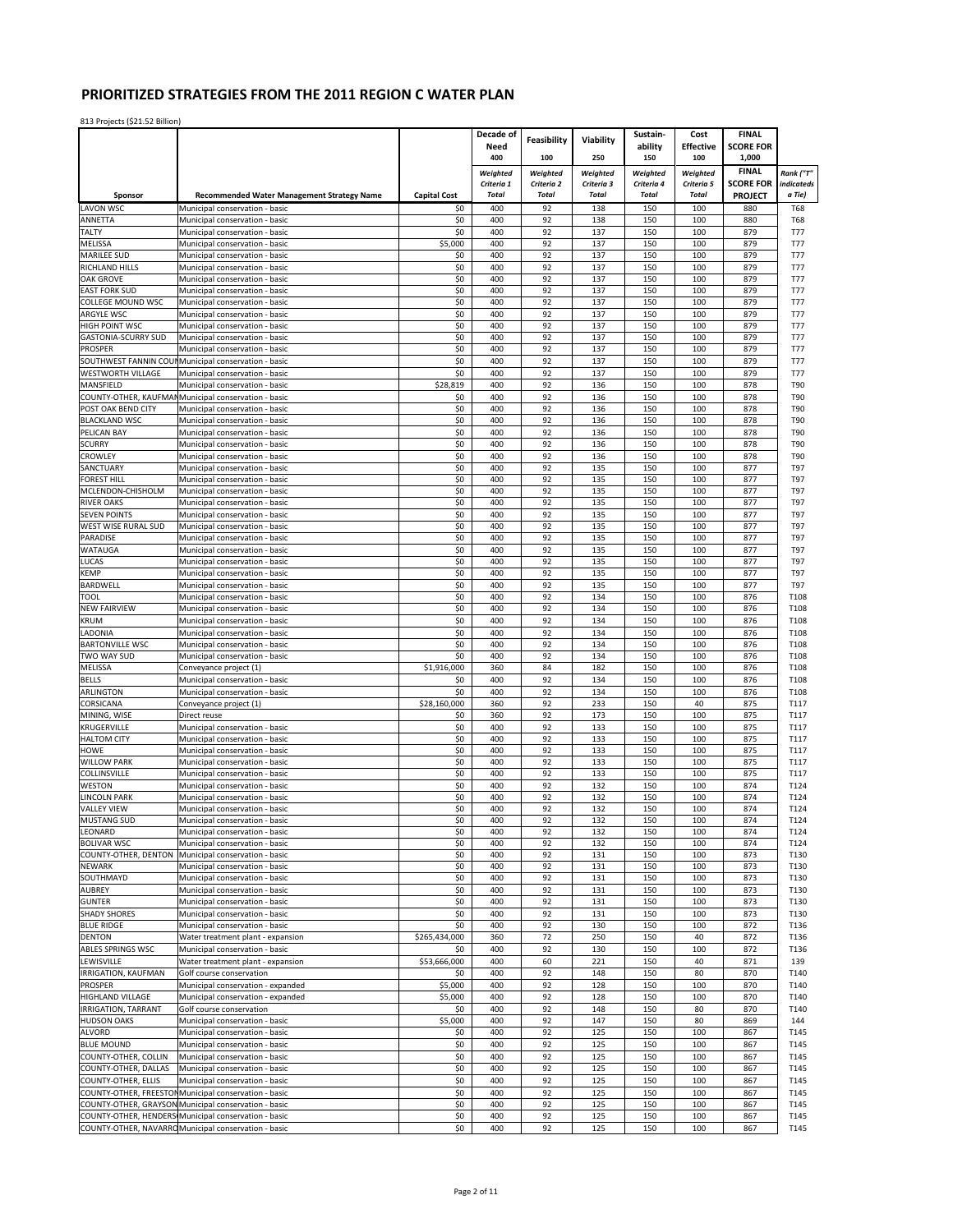|                                    |                                                                  |                     | Decade of                  | Feasibility                | Viability                  | Sustain-                   | Cost                       | <b>FINAL</b>                       |                          |
|------------------------------------|------------------------------------------------------------------|---------------------|----------------------------|----------------------------|----------------------------|----------------------------|----------------------------|------------------------------------|--------------------------|
|                                    |                                                                  |                     | Need                       |                            |                            | ability                    | <b>Effective</b>           | <b>SCORE FOR</b>                   |                          |
|                                    |                                                                  |                     | 400                        | 100                        | 250                        | 150                        | 100                        | 1,000                              |                          |
|                                    |                                                                  |                     | Weighted                   | Weighted                   | Weighted                   | Weighted                   | Weighted                   | <b>FINAL</b>                       | Rank ("T"                |
| Sponsor                            | <b>Recommended Water Management Strategy Name</b>                | <b>Capital Cost</b> | Criteria 1<br><b>Total</b> | Criteria 2<br><b>Total</b> | Criteria 3<br><b>Total</b> | Criteria 4<br><b>Total</b> | Criteria 5<br><b>Total</b> | <b>SCORE FOR</b><br><b>PROJECT</b> | indicateds<br>a Tie)     |
| <b>LAVON WSC</b>                   | Municipal conservation - basic                                   | \$0                 | 400                        | 92                         | 138                        | 150                        | 100                        | 880                                | <b>T68</b>               |
| ANNETTA                            | Municipal conservation - basic                                   | \$0                 | 400                        | 92                         | 138                        | 150                        | 100                        | 880                                | <b>T68</b>               |
| TALTY                              | Municipal conservation - basic                                   | \$0                 | 400                        | 92                         | 137                        | 150                        | 100                        | 879                                | <b>T77</b>               |
| MELISSA                            | Municipal conservation - basic                                   | \$5,000             | 400                        | 92                         | 137                        | 150                        | 100                        | 879                                | <b>T77</b>               |
| <b>MARILEE SUD</b>                 | Municipal conservation - basic                                   | \$0                 | 400                        | 92                         | 137                        | 150                        | 100                        | 879                                | <b>T77</b>               |
| RICHLAND HILLS                     | Municipal conservation - basic                                   | \$0                 | 400                        | 92                         | 137                        | 150                        | 100                        | 879                                | <b>T77</b>               |
| <b>OAK GROVE</b>                   | Municipal conservation - basic                                   | \$0                 | 400                        | 92                         | 137                        | 150                        | 100                        | 879                                | <b>T77</b>               |
| <b>EAST FORK SUD</b>               | Municipal conservation - basic                                   | \$0                 | 400                        | 92                         | 137                        | 150                        | 100                        | 879                                | <b>T77</b>               |
| COLLEGE MOUND WSC<br>ARGYLE WSC    | Municipal conservation - basic                                   | \$0<br>\$0          | 400<br>400                 | 92<br>92                   | 137<br>137                 | 150<br>150                 | 100<br>100                 | 879<br>879                         | <b>T77</b><br><b>T77</b> |
| HIGH POINT WSC                     | Municipal conservation - basic<br>Municipal conservation - basic | \$0                 | 400                        | 92                         | 137                        | 150                        | 100                        | 879                                | <b>T77</b>               |
| <b>GASTONIA-SCURRY SUD</b>         | Municipal conservation - basic                                   | \$0                 | 400                        | 92                         | 137                        | 150                        | 100                        | 879                                | <b>T77</b>               |
| PROSPER                            | Municipal conservation - basic                                   | \$0                 | 400                        | 92                         | 137                        | 150                        | 100                        | 879                                | <b>T77</b>               |
|                                    | SOUTHWEST FANNIN COUI Municipal conservation - basic             | \$0                 | 400                        | 92                         | 137                        | 150                        | 100                        | 879                                | <b>T77</b>               |
| <b>WESTWORTH VILLAGE</b>           | Municipal conservation - basic                                   | \$0                 | 400                        | 92                         | 137                        | 150                        | 100                        | 879                                | <b>T77</b>               |
| MANSFIELD                          | Municipal conservation - basic                                   | \$28,819            | 400                        | 92                         | 136                        | 150                        | 100                        | 878                                | T90                      |
|                                    | COUNTY-OTHER, KAUFMAI Municipal conservation - basic             | \$0                 | 400                        | 92                         | 136                        | 150                        | 100                        | 878                                | T90                      |
| POST OAK BEND CITY                 | Municipal conservation - basic                                   | \$0                 | 400                        | 92                         | 136                        | 150                        | 100                        | 878                                | T90                      |
| <b>BLACKLAND WSC</b>               | Municipal conservation - basic                                   | \$0                 | 400                        | 92                         | 136                        | 150                        | 100                        | 878                                | T90                      |
| PELICAN BAY                        | Municipal conservation - basic                                   | \$0                 | 400                        | 92                         | 136                        | 150                        | 100                        | 878                                | T90                      |
| <b>SCURRY</b>                      | Municipal conservation - basic                                   | \$0                 | 400                        | 92                         | 136                        | 150                        | 100                        | 878                                | T90                      |
| CROWLEY<br>SANCTUARY               | Municipal conservation - basic<br>Municipal conservation - basic | \$0<br>\$0          | 400<br>400                 | 92<br>92                   | 136<br>135                 | 150<br>150                 | 100<br>100                 | 878<br>877                         | T90<br>T97               |
| OREST HILL                         | Municipal conservation - basic                                   | \$0                 | 400                        | 92                         | 135                        | 150                        | 100                        | 877                                | T97                      |
| MCLENDON-CHISHOLM                  | Municipal conservation - basic                                   | \$0                 | 400                        | 92                         | 135                        | 150                        | 100                        | 877                                | T97                      |
| <b>RIVER OAKS</b>                  | Municipal conservation - basic                                   | \$0                 | 400                        | 92                         | 135                        | 150                        | 100                        | 877                                | T97                      |
| <b>SEVEN POINTS</b>                | Municipal conservation - basic                                   | \$0                 | 400                        | 92                         | 135                        | 150                        | 100                        | 877                                | T97                      |
| WEST WISE RURAL SUD                | Municipal conservation - basic                                   | \$0                 | 400                        | 92                         | 135                        | 150                        | 100                        | 877                                | T97                      |
| <b>PARADISE</b>                    | Municipal conservation - basic                                   | \$0                 | 400                        | 92                         | 135                        | 150                        | 100                        | 877                                | T97                      |
| <b>WATAUGA</b>                     | Municipal conservation - basic                                   | \$0                 | 400                        | 92                         | 135                        | 150                        | 100                        | 877                                | T97                      |
| LUCAS                              | Municipal conservation - basic                                   | \$0                 | 400                        | 92                         | 135                        | 150                        | 100                        | 877                                | T97                      |
| <b>KEMP</b>                        | Municipal conservation - basic                                   | \$0                 | 400                        | 92                         | 135                        | 150                        | 100                        | 877                                | T97                      |
| BARDWELL                           | Municipal conservation - basic                                   | \$0                 | 400                        | 92                         | 135                        | 150                        | 100                        | 877                                | T97                      |
| TOOL<br><b>NEW FAIRVIEW</b>        | Municipal conservation - basic<br>Municipal conservation - basic | \$0<br>\$0          | 400<br>400                 | 92<br>92                   | 134<br>134                 | 150<br>150                 | 100<br>100                 | 876<br>876                         | T108<br>T108             |
| KRUM                               | Municipal conservation - basic                                   | \$0                 | 400                        | 92                         | 134                        | 150                        | 100                        | 876                                | T108                     |
| LADONIA                            | Municipal conservation - basic                                   | \$0                 | 400                        | 92                         | 134                        | 150                        | 100                        | 876                                | T108                     |
| <b>BARTONVILLE WSC</b>             | Municipal conservation - basic                                   | \$0                 | 400                        | 92                         | 134                        | 150                        | 100                        | 876                                | T108                     |
| TWO WAY SUD                        | Municipal conservation - basic                                   | \$0                 | 400                        | 92                         | 134                        | 150                        | 100                        | 876                                | T108                     |
| <b>MELISSA</b>                     | Conveyance project (1)                                           | \$1,916,000         | 360                        | 84                         | 182                        | 150                        | 100                        | 876                                | T108                     |
| <b>BELLS</b>                       | Municipal conservation - basic                                   | \$0                 | 400                        | 92                         | 134                        | 150                        | 100                        | 876                                | T108                     |
| ARLINGTON                          | Municipal conservation - basic                                   | \$0                 | 400                        | 92                         | 134                        | 150                        | 100                        | 876                                | T108                     |
| CORSICANA                          | Conveyance project (1)                                           | \$28,160,000        | 360                        | 92                         | 233                        | 150                        | 40                         | 875                                | T117                     |
| MINING, WISE                       | Direct reuse                                                     | \$0                 | 360                        | 92                         | 173                        | 150                        | 100                        | 875                                | T117                     |
| KRUGERVILLE                        | Municipal conservation - basic                                   | \$0                 | 400                        | 92                         | 133                        | 150                        | 100                        | 875                                | T117                     |
| <b>HALTOM CITY</b><br><b>HOWE</b>  | Municipal conservation - basic                                   | \$0<br>\$0          | 400<br>400                 | 92<br>92                   | 133<br>133                 | 150<br>150                 | 100<br>100                 | 875<br>875                         | T117                     |
| <b>WILLOW PARK</b>                 | Municipal conservation - basic<br>Municipal conservation - basic | \$0                 | 400                        | 92                         | 133                        | 150                        | 100                        | 875                                | T117<br>T117             |
| COLLINSVILLE                       | Municipal conservation - basic                                   | \$0                 | 400                        | 92                         | 133                        | 150                        | 100                        | 875                                | T117                     |
| WESTON                             | Municipal conservation - basic                                   | \$0                 | 400                        | 92                         | 132                        | 150                        | 100                        | 874                                | T124                     |
| LINCOLN PARK                       | Municipal conservation - basic                                   | \$0                 | 400                        | 92                         | 132                        | 150                        | 100                        | 874                                | T124                     |
| <b>VALLEY VIEW</b>                 | Municipal conservation - basic                                   | \$0                 | 400                        | 92                         | 132                        | 150                        | 100                        | 874                                | T124                     |
| <b>MUSTANG SUD</b>                 | Municipal conservation - basic                                   | \$0                 | 400                        | 92                         | 132                        | 150                        | 100                        | 874                                | T124                     |
| LEONARD                            | Municipal conservation - basic                                   | \$0                 | 400                        | 92                         | 132                        | 150                        | 100                        | 874                                | T124                     |
| <b>BOLIVAR WSC</b>                 | Municipal conservation - basic                                   | \$0                 | 400                        | 92                         | 132                        | 150                        | 100                        | 874                                | T124                     |
| COUNTY-OTHER, DENTON               | Municipal conservation - basic                                   | \$0                 | 400                        | 92                         | 131                        | 150                        | 100                        | 873                                | T130                     |
| <b>NEWARK</b><br>SOUTHMAYD         | Municipal conservation - basic<br>Municipal conservation - basic | \$0<br>\$0          | 400<br>400                 | 92<br>92                   | 131<br>131                 | 150<br>150                 | 100<br>100                 | 873<br>873                         | T130<br>T130             |
| AUBREY                             | Municipal conservation - basic                                   | \$0                 | 400                        | 92                         | 131                        | 150                        | 100                        | 873                                | T130                     |
| <b>GUNTER</b>                      | Municipal conservation - basic                                   | \$0                 | 400                        | 92                         | 131                        | 150                        | 100                        | 873                                | T130                     |
| <b>SHADY SHORES</b>                | Municipal conservation - basic                                   | \$0                 | 400                        | 92                         | 131                        | 150                        | 100                        | 873                                | T130                     |
| <b>BLUE RIDGE</b>                  | Municipal conservation - basic                                   | \$0                 | 400                        | 92                         | 130                        | 150                        | 100                        | 872                                | T136                     |
| <b>DENTON</b>                      | Water treatment plant - expansion                                | \$265,434,000       | 360                        | 72                         | 250                        | 150                        | 40                         | 872                                | T136                     |
| <b>ABLES SPRINGS WSC</b>           | Municipal conservation - basic                                   | \$0                 | 400                        | 92                         | 130                        | 150                        | 100                        | 872                                | T136                     |
| LEWISVILLE                         | Water treatment plant - expansion                                | \$53,666,000        | 400                        | 60                         | 221                        | 150                        | 40                         | 871                                | 139                      |
| <b>IRRIGATION, KAUFMAN</b>         | Golf course conservation                                         | \$0                 | 400                        | 92                         | 148                        | 150                        | 80                         | 870                                | T140                     |
| <b>PROSPER</b>                     | Municipal conservation - expanded                                | \$5,000             | 400                        | 92                         | 128                        | 150                        | 100                        | 870                                | T140                     |
| <b>HIGHLAND VILLAGE</b>            | Municipal conservation - expanded                                | \$5,000             | 400                        | 92                         | 128                        | 150                        | 100                        | 870                                | T140                     |
| <b>IRRIGATION, TARRANT</b>         | Golf course conservation                                         | \$0                 | 400                        | 92                         | 148                        | 150                        | 80                         | 870                                | T140                     |
| <b>HUDSON OAKS</b>                 | Municipal conservation - basic                                   | \$5,000             | 400                        | 92                         | 147                        | 150                        | 80                         | 869                                | 144                      |
| <b>ALVORD</b><br><b>BLUE MOUND</b> | Municipal conservation - basic                                   | \$0                 | 400<br>400                 | 92                         | 125<br>125                 | 150<br>150                 | 100<br>100                 | 867<br>867                         | T145                     |
| COUNTY-OTHER, COLLIN               | Municipal conservation - basic<br>Municipal conservation - basic | \$0<br>\$0          | 400                        | 92<br>92                   | 125                        | 150                        | 100                        | 867                                | T145<br>T145             |
| COUNTY-OTHER, DALLAS               | Municipal conservation - basic                                   | \$0                 | 400                        | 92                         | 125                        | 150                        | 100                        | 867                                | T145                     |
| COUNTY-OTHER, ELLIS                | Municipal conservation - basic                                   | \$0                 | 400                        | 92                         | 125                        | 150                        | 100                        | 867                                | T145                     |
|                                    | COUNTY-OTHER, FREESTON Municipal conservation - basic            | \$0                 | 400                        | 92                         | 125                        | 150                        | 100                        | 867                                | T145                     |
|                                    | COUNTY-OTHER, GRAYSON Municipal conservation - basic             | \$0                 | 400                        | 92                         | 125                        | 150                        | 100                        | 867                                | T145                     |
|                                    | COUNTY-OTHER, HENDERS Municipal conservation - basic             | \$0                 | 400                        | 92                         | 125                        | 150                        | 100                        | 867                                | T145                     |
|                                    | COUNTY-OTHER, NAVARRO Municipal conservation - basic             | \$0                 | 400                        | 92                         | 125                        | 150                        | 100                        | 867                                | T145                     |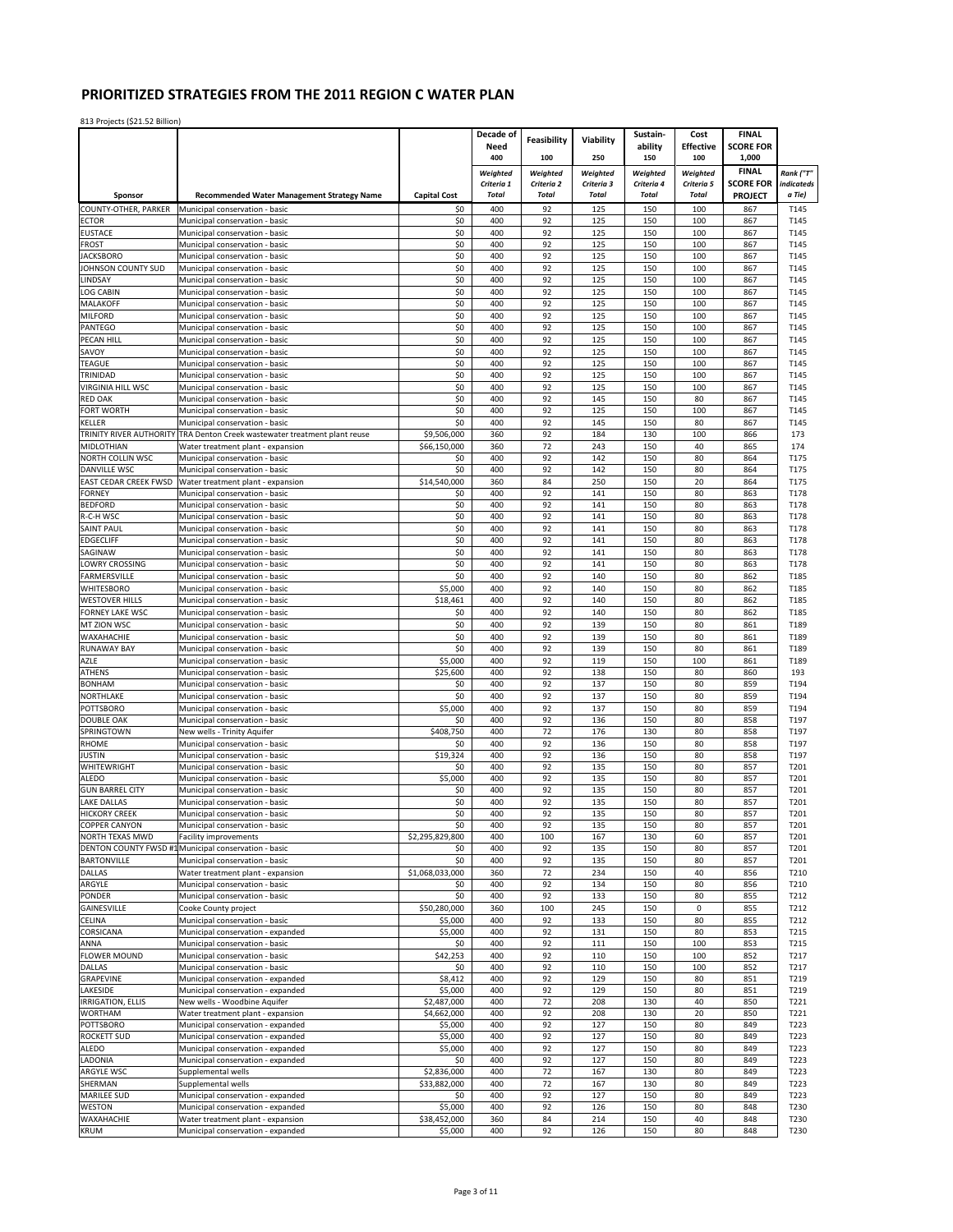|                                    |                                                                                      |                         | Decade of              | <b>Feasibility</b>     | Viability           | Sustain-               | Cost                | <b>FINAL</b>                       |                      |
|------------------------------------|--------------------------------------------------------------------------------------|-------------------------|------------------------|------------------------|---------------------|------------------------|---------------------|------------------------------------|----------------------|
|                                    |                                                                                      |                         | Need                   |                        |                     | ability                | <b>Effective</b>    | <b>SCORE FOR</b>                   |                      |
|                                    |                                                                                      |                         | 400                    | 100                    | 250                 | 150                    | 100                 | 1,000                              |                      |
|                                    |                                                                                      |                         | Weighted<br>Criteria 1 | Weighted<br>Criteria 2 | Weighted            | Weighted<br>Criteria 4 | Weighted            | <b>FINAL</b>                       | Rank ("T"            |
| Sponsor                            | Recommended Water Management Strategy Name                                           | <b>Capital Cost</b>     | <b>Total</b>           | <b>Total</b>           | Criteria 3<br>Total | <b>Total</b>           | Criteria 5<br>Total | <b>SCORE FOR</b><br><b>PROJECT</b> | indicateds<br>a Tie) |
| COUNTY-OTHER, PARKER               | Municipal conservation - basic                                                       | \$0                     | 400                    | 92                     | 125                 | 150                    | 100                 | 867                                | T145                 |
| <b>ECTOR</b>                       | Municipal conservation - basic                                                       | \$0                     | 400                    | 92                     | 125                 | 150                    | 100                 | 867                                | T145                 |
| <b>EUSTACE</b>                     | Municipal conservation - basic                                                       | \$0                     | 400                    | 92                     | 125                 | 150                    | 100                 | 867                                | T145                 |
| <b>FROST</b>                       | Municipal conservation - basic                                                       | \$0                     | 400                    | 92                     | 125                 | 150                    | 100                 | 867                                | T145                 |
| <b>JACKSBORO</b>                   | Municipal conservation - basic                                                       | \$0                     | 400                    | 92                     | 125                 | 150                    | 100                 | 867                                | T145                 |
| JOHNSON COUNTY SUD<br>LINDSAY      | Municipal conservation - basic<br>Municipal conservation - basic                     | \$0<br>\$0              | 400<br>400             | 92<br>92               | 125<br>125          | 150<br>150             | 100<br>100          | 867<br>867                         | T145<br>T145         |
| <b>LOG CABIN</b>                   | Municipal conservation - basic                                                       | \$0                     | 400                    | 92                     | 125                 | 150                    | 100                 | 867                                | T145                 |
| MALAKOFF                           | Municipal conservation - basic                                                       | \$0                     | 400                    | 92                     | 125                 | 150                    | 100                 | 867                                | T145                 |
| <b>MILFORD</b>                     | Municipal conservation - basic                                                       | \$0                     | 400                    | 92                     | 125                 | 150                    | 100                 | 867                                | T145                 |
| PANTEGO                            | Municipal conservation - basic                                                       | \$0                     | 400                    | 92                     | 125                 | 150                    | 100                 | 867                                | T145                 |
| PECAN HILL                         | Municipal conservation - basic                                                       | \$0                     | 400                    | 92                     | 125                 | 150                    | 100                 | 867                                | T145                 |
| SAVOY<br><b>TEAGUE</b>             | Municipal conservation - basic                                                       | \$0                     | 400<br>400             | 92<br>92               | 125<br>125          | 150<br>150             | 100<br>100          | 867<br>867                         | T145                 |
| TRINIDAD                           | Municipal conservation - basic<br>Municipal conservation - basic                     | \$0<br>\$0              | 400                    | 92                     | 125                 | 150                    | 100                 | 867                                | T145<br>T145         |
| VIRGINIA HILL WSC                  | Municipal conservation - basic                                                       | \$0                     | 400                    | 92                     | 125                 | 150                    | 100                 | 867                                | T145                 |
| <b>RED OAK</b>                     | Municipal conservation - basic                                                       | \$0                     | 400                    | 92                     | 145                 | 150                    | 80                  | 867                                | T145                 |
| <b>FORT WORTH</b>                  | Municipal conservation - basic                                                       | \$0                     | 400                    | 92                     | 125                 | 150                    | 100                 | 867                                | T145                 |
| KELLER                             | Municipal conservation - basic                                                       | \$0                     | 400                    | 92                     | 145                 | 150                    | 80                  | 867                                | T145                 |
| TRINITY RIVER AUTHORITY            | TRA Denton Creek wastewater treatment plant reuse                                    | \$9,506,000             | 360                    | 92                     | 184                 | 130                    | 100                 | 866                                | 173                  |
| <b>MIDLOTHIAN</b>                  | Water treatment plant - expansion                                                    | \$66,150,000            | 360                    | 72                     | 243                 | 150                    | 40                  | 865                                | 174                  |
| NORTH COLLIN WSC<br>DANVILLE WSC   | Municipal conservation - basic<br>Municipal conservation - basic                     | \$0<br>\$0              | 400<br>400             | 92<br>92               | 142<br>142          | 150<br>150             | 80<br>80            | 864<br>864                         | T175<br>T175         |
| EAST CEDAR CREEK FWSD              | Water treatment plant - expansion                                                    | \$14,540,000            | 360                    | 84                     | 250                 | 150                    | 20                  | 864                                | T175                 |
| <b>FORNEY</b>                      | Municipal conservation - basic                                                       | \$0                     | 400                    | 92                     | 141                 | 150                    | 80                  | 863                                | T178                 |
| <b>BEDFORD</b>                     | Municipal conservation - basic                                                       | \$0                     | 400                    | 92                     | 141                 | 150                    | 80                  | 863                                | T178                 |
| R-C-H WSC                          | Municipal conservation - basic                                                       | \$0                     | 400                    | 92                     | 141                 | 150                    | 80                  | 863                                | T178                 |
| <b>SAINT PAUL</b>                  | Municipal conservation - basic                                                       | \$0                     | 400                    | 92                     | 141                 | 150                    | 80                  | 863                                | T178                 |
| <b>EDGECLIFF</b>                   | Municipal conservation - basic                                                       | \$0                     | 400                    | 92                     | 141                 | 150                    | 80                  | 863                                | T178                 |
| SAGINAW<br>LOWRY CROSSING          | Municipal conservation - basic<br>Municipal conservation - basic                     | \$0<br>\$0              | 400<br>400             | 92<br>92               | 141<br>141          | 150<br>150             | 80<br>80            | 863<br>863                         | T178<br>T178         |
| <b>FARMERSVILLE</b>                | Municipal conservation - basic                                                       | \$0                     | 400                    | 92                     | 140                 | 150                    | 80                  | 862                                | T185                 |
| WHITESBORO                         | Municipal conservation - basic                                                       | \$5,000                 | 400                    | 92                     | 140                 | 150                    | 80                  | 862                                | T185                 |
| <b>WESTOVER HILLS</b>              | Municipal conservation - basic                                                       | \$18,461                | 400                    | 92                     | 140                 | 150                    | 80                  | 862                                | T185                 |
| FORNEY LAKE WSC                    | Municipal conservation - basic                                                       | \$0                     | 400                    | 92                     | 140                 | 150                    | 80                  | 862                                | T185                 |
| MT ZION WSC                        | Municipal conservation - basic                                                       | \$0                     | 400                    | 92                     | 139                 | 150                    | 80                  | 861                                | T189                 |
| WAXAHACHIE                         | Municipal conservation - basic                                                       | \$0                     | 400                    | 92                     | 139                 | 150                    | 80                  | 861                                | T189                 |
| <b>RUNAWAY BAY</b>                 | Municipal conservation - basic                                                       | \$0                     | 400                    | 92                     | 139                 | 150                    | 80                  | 861                                | T189                 |
| AZLE<br><b>ATHENS</b>              | Municipal conservation - basic                                                       | \$5,000                 | 400<br>400             | 92<br>92               | 119<br>138          | 150<br>150             | 100<br>80           | 861<br>860                         | T189<br>193          |
| <b>BONHAM</b>                      | Municipal conservation - basic<br>Municipal conservation - basic                     | \$25,600<br>\$0         | 400                    | 92                     | 137                 | 150                    | 80                  | 859                                | T194                 |
| NORTHLAKE                          | Municipal conservation - basic                                                       | \$0                     | 400                    | 92                     | 137                 | 150                    | 80                  | 859                                | T194                 |
| <b>POTTSBORO</b>                   | Municipal conservation - basic                                                       | \$5,000                 | 400                    | 92                     | 137                 | 150                    | 80                  | 859                                | T194                 |
| <b>DOUBLE OAK</b>                  | Municipal conservation - basic                                                       | \$0                     | 400                    | 92                     | 136                 | 150                    | 80                  | 858                                | T197                 |
| SPRINGTOWN                         | New wells - Trinity Aquifer                                                          | \$408,750               | 400                    | 72                     | 176                 | 130                    | 80                  | 858                                | T197                 |
| <b>RHOME</b>                       | Municipal conservation - basic                                                       | \$0                     | 400                    | 92                     | 136                 | 150                    | 80                  | 858                                | T197                 |
| <b>JUSTIN</b><br>WHITEWRIGHT       | Municipal conservation - basic<br>Municipal conservation - basic                     | \$19,324<br>\$0         | 400<br>400             | 92<br>92               | 136<br>135          | 150<br>150             | 80<br>80            | 858<br>857                         | T197<br>T201         |
| <b>ALEDO</b>                       | Municipal conservation - basic                                                       | \$5,000                 | 400                    | 92                     | 135                 | 150                    | 80                  | 857                                | T201                 |
| <b>GUN BARREL CITY</b>             | Municipal conservation - basic                                                       | \$0                     | 400                    | 92                     | 135                 | 150                    | 80                  | 857                                | T201                 |
| <b>LAKE DALLAS</b>                 | Municipal conservation - basic                                                       | \$0                     | 400                    | 92                     | 135                 | 150                    | 80                  | 857                                | T201                 |
| <b>HICKORY CREEK</b>               | Municipal conservation - basic                                                       | \$0                     | 400                    | 92                     | 135                 | 150                    | 80                  | 857                                | T201                 |
| <b>COPPER CANYON</b>               | Municipal conservation - basic                                                       | \$0                     | 400                    | 92                     | 135                 | 150                    | 80                  | 857                                | T201                 |
| NORTH TEXAS MWD                    | <b>Facility improvements</b><br>DENTON COUNTY FWSD #1 Municipal conservation - basic | \$2,295,829,800<br>\$0  | 400<br>400             | 100<br>92              | 167<br>135          | 130<br>150             | 60<br>80            | 857<br>857                         | T201<br>T201         |
| <b>BARTONVILLE</b>                 | Municipal conservation - basic                                                       | \$0                     | 400                    | 92                     | 135                 | 150                    | 80                  | 857                                | T201                 |
| <b>DALLAS</b>                      | Water treatment plant - expansion                                                    | \$1,068,033,000         | 360                    | 72                     | 234                 | 150                    | 40                  | 856                                | T210                 |
| ARGYLE                             | Municipal conservation - basic                                                       | \$0                     | 400                    | 92                     | 134                 | 150                    | 80                  | 856                                | T210                 |
| PONDER                             | Municipal conservation - basic                                                       | \$0                     | 400                    | 92                     | 133                 | 150                    | 80                  | 855                                | T212                 |
| <b>GAINESVILLE</b>                 | Cooke County project                                                                 | \$50,280,000            | 360                    | 100                    | 245                 | 150                    | 0                   | 855                                | T212                 |
| CELINA                             | Municipal conservation - basic                                                       | \$5,000                 | 400                    | 92                     | 133                 | 150                    | 80                  | 855                                | T212                 |
| CORSICANA<br>ANNA                  | Municipal conservation - expanded<br>Municipal conservation - basic                  | \$5,000<br>\$0          | 400<br>400             | 92<br>92               | 131<br>111          | 150<br>150             | 80<br>100           | 853<br>853                         | T215<br>T215         |
| <b>FLOWER MOUND</b>                | Municipal conservation - basic                                                       | \$42,253                | 400                    | 92                     | 110                 | 150                    | 100                 | 852                                | T217                 |
| <b>DALLAS</b>                      | Municipal conservation - basic                                                       | \$0                     | 400                    | 92                     | 110                 | 150                    | 100                 | 852                                | T217                 |
| <b>GRAPEVINE</b>                   | Municipal conservation - expanded                                                    | \$8,412                 | 400                    | 92                     | 129                 | 150                    | 80                  | 851                                | T219                 |
| LAKESIDE                           | Municipal conservation - expanded                                                    | \$5,000                 | 400                    | 92                     | 129                 | 150                    | 80                  | 851                                | T219                 |
| <b>IRRIGATION, ELLIS</b>           | New wells - Woodbine Aquifer                                                         | \$2,487,000             | 400                    | 72                     | 208                 | 130                    | 40                  | 850                                | T221                 |
| <b>WORTHAM</b><br><b>POTTSBORO</b> | Water treatment plant - expansion<br>Municipal conservation - expanded               | \$4,662,000<br>\$5,000  | 400<br>400             | 92<br>92               | 208<br>127          | 130<br>150             | 20<br>80            | 850<br>849                         | T221<br>T223         |
| <b>ROCKETT SUD</b>                 | Municipal conservation - expanded                                                    | \$5,000                 | 400                    | 92                     | 127                 | 150                    | 80                  | 849                                | T223                 |
| ALEDO                              | Municipal conservation - expanded                                                    | \$5,000                 | 400                    | 92                     | 127                 | 150                    | 80                  | 849                                | T223                 |
| LADONIA                            | Municipal conservation - expanded                                                    | \$0                     | 400                    | 92                     | 127                 | 150                    | 80                  | 849                                | T223                 |
| ARGYLE WSC                         | Supplemental wells                                                                   | \$2,836,000             | 400                    | 72                     | 167                 | 130                    | 80                  | 849                                | T223                 |
| SHERMAN                            | Supplemental wells                                                                   | \$33,882,000            | 400                    | 72                     | 167                 | 130                    | 80                  | 849                                | T223                 |
| <b>MARILEE SUD</b>                 | Municipal conservation - expanded                                                    | \$0                     | 400                    | 92                     | 127                 | 150                    | 80                  | 849                                | T223                 |
| WESTON<br>WAXAHACHIE               | Municipal conservation - expanded<br>Water treatment plant - expansion               | \$5,000<br>\$38,452,000 | 400<br>360             | 92<br>84               | 126<br>214          | 150<br>150             | 80<br>40            | 848<br>848                         | T230<br>T230         |
| <b>KRUM</b>                        | Municipal conservation - expanded                                                    | \$5,000                 | 400                    | 92                     | 126                 | 150                    | 80                  | 848                                | T230                 |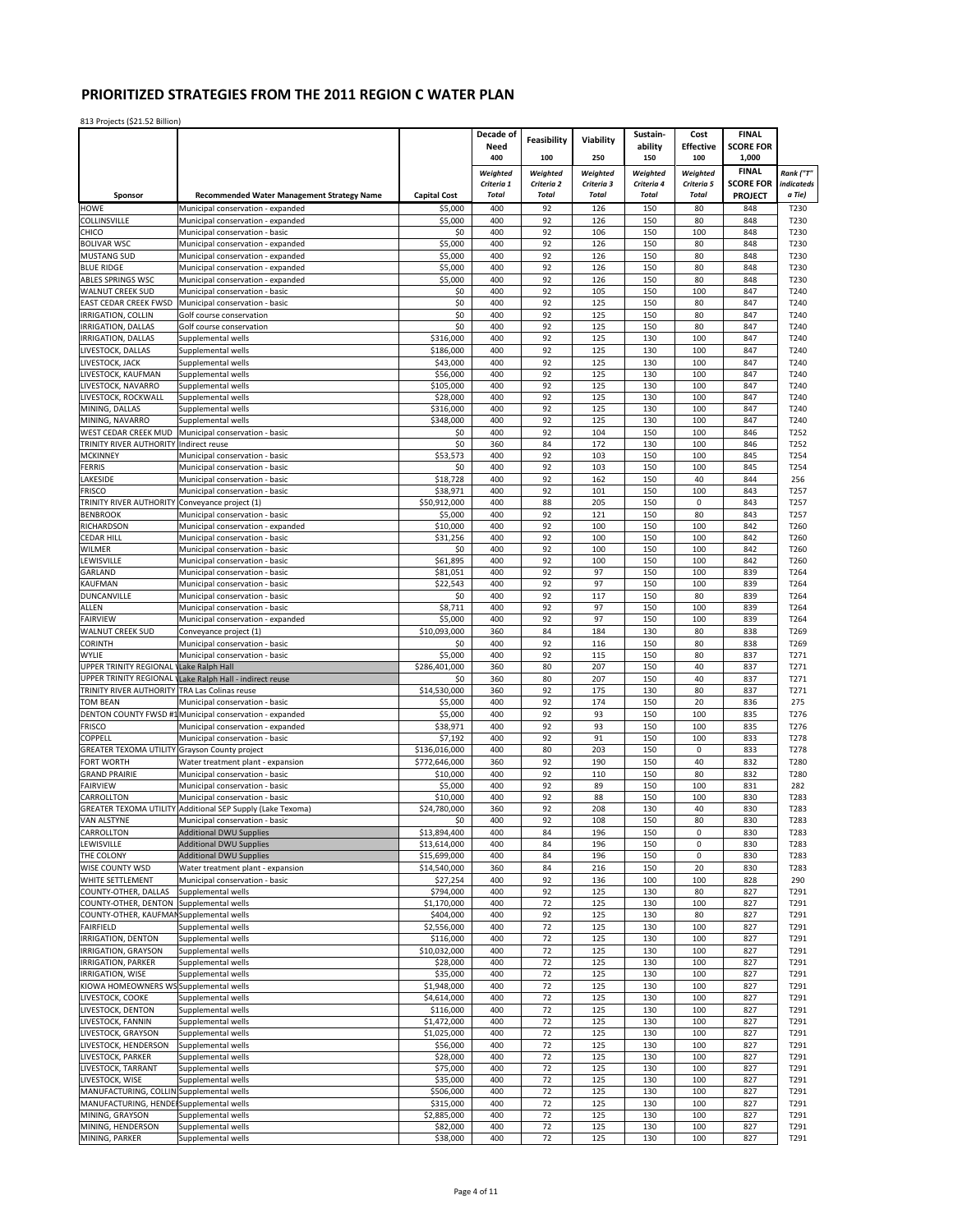|                                                  |                                                                     |                          | Decade of    | Feasibility  | Viability    | Sustain-     | Cost             | <b>FINAL</b>     |              |
|--------------------------------------------------|---------------------------------------------------------------------|--------------------------|--------------|--------------|--------------|--------------|------------------|------------------|--------------|
|                                                  |                                                                     |                          | Need         |              |              | ability      | <b>Effective</b> | <b>SCORE FOR</b> |              |
|                                                  |                                                                     |                          | 400          | 100          | 250          | 150          | 100              | 1,000            |              |
|                                                  |                                                                     |                          | Weighted     | Weighted     | Weighted     | Weighted     | Weighted         | <b>FINAL</b>     | Rank ("T"    |
|                                                  |                                                                     |                          | Criteria 1   | Criteria 2   | Criteria 3   | Criteria 4   | Criteria 5       | <b>SCORE FOR</b> | indicateds   |
| Sponsor                                          | <b>Recommended Water Management Strategy Name</b>                   | <b>Capital Cost</b>      | <b>Total</b> | <b>Total</b> | <b>Total</b> | <b>Total</b> | Total            | <b>PROJECT</b>   | a Tie)       |
| <b>HOWE</b>                                      | Municipal conservation - expanded                                   | \$5,000                  | 400          | 92           | 126          | 150          | 80               | 848              | T230         |
| COLLINSVILLE<br>CHICO                            | Municipal conservation - expanded                                   | \$5,000<br>\$0           | 400<br>400   | 92<br>92     | 126<br>106   | 150<br>150   | 80<br>100        | 848<br>848       | T230<br>T230 |
| <b>BOLIVAR WSC</b>                               | Municipal conservation - basic<br>Municipal conservation - expanded | \$5,000                  | 400          | 92           | 126          | 150          | 80               | 848              | T230         |
| <b>MUSTANG SUD</b>                               | Municipal conservation - expanded                                   | \$5,000                  | 400          | 92           | 126          | 150          | 80               | 848              | T230         |
| <b>BLUE RIDGE</b>                                | Municipal conservation - expanded                                   | \$5,000                  | 400          | 92           | 126          | 150          | 80               | 848              | T230         |
| <b>ABLES SPRINGS WSC</b>                         | Municipal conservation - expanded                                   | \$5,000                  | 400          | 92           | 126          | 150          | 80               | 848              | T230         |
| <b>WALNUT CREEK SUD</b>                          | Municipal conservation - basic                                      | \$0                      | 400          | 92           | 105          | 150          | 100              | 847              | T240         |
| <b>EAST CEDAR CREEK FWSD</b>                     | Municipal conservation - basic                                      | \$0                      | 400          | 92           | 125          | 150          | 80               | 847              | T240         |
| IRRIGATION, COLLIN                               | Golf course conservation                                            | \$0                      | 400          | 92           | 125          | 150          | 80               | 847              | T240         |
| IRRIGATION, DALLAS                               | Golf course conservation                                            | \$0                      | 400          | 92           | 125          | 150          | 80               | 847              | T240         |
| IRRIGATION, DALLAS                               | Supplemental wells                                                  | \$316,000                | 400          | 92           | 125          | 130          | 100              | 847              | T240         |
| LIVESTOCK, DALLAS                                | Supplemental wells                                                  | \$186,000                | 400          | 92           | 125          | 130          | 100              | 847              | T240         |
| LIVESTOCK, JACK                                  | Supplemental wells                                                  | \$43,000                 | 400          | 92           | 125          | 130          | 100              | 847              | T240         |
| LIVESTOCK, KAUFMAN                               | Supplemental wells                                                  | \$56,000                 | 400          | 92           | 125          | 130          | 100              | 847              | T240         |
| LIVESTOCK, NAVARRO                               | Supplemental wells                                                  | \$105,000                | 400          | 92           | 125          | 130          | 100              | 847              | T240         |
| LIVESTOCK, ROCKWALL                              | Supplemental wells                                                  | \$28,000                 | 400          | 92           | 125          | 130          | 100              | 847              | T240         |
| MINING, DALLAS                                   | Supplemental wells                                                  | \$316,000                | 400          | 92           | 125          | 130          | 100              | 847              | T240         |
| MINING, NAVARRO                                  | Supplemental wells                                                  | \$348,000                | 400          | 92           | 125          | 130          | 100              | 847              | T240         |
| WEST CEDAR CREEK MUD                             | Municipal conservation - basic                                      | \$0                      | 400          | 92           | 104          | 150          | 100              | 846              | T252         |
| TRINITY RIVER AUTHORITY Indirect reuse           |                                                                     | \$0                      | 360          | 84           | 172          | 130          | 100              | 846              | T252         |
| <b>MCKINNEY</b>                                  | Municipal conservation - basic                                      | \$53,573                 | 400          | 92           | 103          | 150          | 100              | 845              | T254         |
| <b>FERRIS</b>                                    | Municipal conservation - basic                                      | \$0                      | 400          | 92           | 103          | 150          | 100              | 845              | T254         |
| LAKESIDE                                         | Municipal conservation - basic                                      | \$18,728                 | 400          | 92           | 162          | 150          | 40               | 844              | 256          |
| <b>FRISCO</b>                                    | Municipal conservation - basic                                      | \$38,971                 | 400          | 92           | 101          | 150          | 100              | 843              | T257         |
| TRINITY RIVER AUTHORITY                          | Conveyance project (1)                                              | \$50,912,000             | 400          | 88           | 205          | 150          | $\pmb{0}$        | 843              | T257         |
| <b>BENBROOK</b>                                  | Municipal conservation - basic                                      | \$5,000                  | 400          | 92           | 121          | 150          | 80               | 843              | T257         |
| RICHARDSON                                       | Municipal conservation - expanded                                   | \$10,000                 | 400          | 92           | 100          | 150          | 100              | 842              | T260         |
| <b>CEDAR HILL</b>                                | Municipal conservation - basic                                      | \$31,256                 | 400          | 92<br>92     | 100          | 150<br>150   | 100<br>100       | 842              | T260         |
| <b>WILMER</b><br>LEWISVILLE                      | Municipal conservation - basic<br>Municipal conservation - basic    | \$0<br>\$61,895          | 400<br>400   | 92           | 100<br>100   | 150          | 100              | 842<br>842       | T260<br>T260 |
| GARLAND                                          | Municipal conservation - basic                                      | \$81,051                 | 400          | 92           | 97           | 150          | 100              | 839              | T264         |
| KAUFMAN                                          | Municipal conservation - basic                                      | \$22,543                 | 400          | 92           | 97           | 150          | 100              | 839              | T264         |
| DUNCANVILLE                                      | Municipal conservation - basic                                      | \$0                      | 400          | 92           | 117          | 150          | 80               | 839              | T264         |
| ALLEN                                            | Municipal conservation - basic                                      | \$8,711                  | 400          | 92           | 97           | 150          | 100              | 839              | T264         |
| <b>FAIRVIEW</b>                                  | Municipal conservation - expanded                                   | \$5,000                  | 400          | 92           | 97           | 150          | 100              | 839              | T264         |
| <b>WALNUT CREEK SUD</b>                          | Conveyance project (1)                                              | \$10,093,000             | 360          | 84           | 184          | 130          | 80               | 838              | T269         |
| <b>CORINTH</b>                                   | Municipal conservation - basic                                      | \$0                      | 400          | 92           | 116          | 150          | 80               | 838              | T269         |
| WYLIE                                            | Municipal conservation - basic                                      | \$5,000                  | 400          | 92           | 115          | 150          | 80               | 837              | T271         |
| UPPER TRINITY REGIONAL                           | Lake Ralph Hall                                                     | \$286,401,000            | 360          | 80           | 207          | 150          | 40               | 837              | T271         |
| UPPER TRINITY REGIONAL                           | Lake Ralph Hall - indirect reuse                                    | \$0                      | 360          | 80           | 207          | 150          | 40               | 837              | T271         |
| TRINITY RIVER AUTHORITY TRA Las Colinas reuse    |                                                                     | \$14,530,000             | 360          | 92           | 175          | 130          | 80               | 837              | T271         |
| <b>TOM BEAN</b>                                  | Municipal conservation - basic                                      | \$5,000                  | 400          | 92           | 174          | 150          | 20               | 836              | 275          |
|                                                  | DENTON COUNTY FWSD #1 Municipal conservation - expanded             | \$5,000                  | 400          | 92           | 93           | 150          | 100              | 835              | T276         |
| <b>FRISCO</b>                                    | Municipal conservation - expanded                                   | \$38,971                 | 400          | 92           | 93           | 150          | 100              | 835              | T276         |
| COPPELL                                          | Municipal conservation - basic                                      | \$7,192                  | 400          | 92           | 91           | 150          | 100              | 833              | T278         |
| <b>GREATER TEXOMA UTILITY</b>                    | Grayson County project                                              | \$136,016,000            | 400          | 80           | 203          | 150          | $\pmb{0}$        | 833              | T278         |
| FORT WORTH                                       | Water treatment plant - expansion                                   | \$772,646,000            | 360          | 92           | 190          | 150          | 40               | 832              | T280         |
| <b>GRAND PRAIRIE</b>                             | Municipal conservation - basic                                      | \$10,000                 | 400          | 92           | 110          | 150          | 80               | 832              | T280         |
| <b>FAIRVIEW</b>                                  | Municipal conservation - basic                                      | \$5,000                  | 400          | 92           | 89           | 150          | 100              | 831              | 282          |
| CARROLLTON                                       | Municipal conservation - basic                                      | \$10,000                 | 400          | 92           | 88           | 150          | 100              | 830              | T283         |
|                                                  | GREATER TEXOMA UTILITY Additional SEP Supply (Lake Texoma)          | \$24,780,000             | 360          | 92           | 208          | 130          | 40               | 830              | T283         |
| <b>VAN ALSTYNE</b>                               | Municipal conservation - basic                                      | \$0                      | 400          | 92           | 108          | 150          | 80               | 830              | T283         |
| CARROLLTON                                       | Additional DWU Supplies                                             | \$13,894,400             | 400          | 84           | 196          | 150          | 0                | 830              | T283         |
| LEWISVILLE                                       | Additional DWU Supplies                                             | \$13,614,000             | 400          | 84           | 196          | 150          | 0                | 830              | T283         |
| THE COLONY                                       | <b>Additional DWU Supplies</b>                                      | \$15,699,000             | 400          | 84           | 196          | 150          | $\mathbf 0$      | 830              | T283         |
| WISE COUNTY WSD                                  | Water treatment plant - expansion                                   | \$14,540,000             | 360          | 84           | 216          | 150          | 20               | 830              | T283         |
| WHITE SETTLEMENT                                 | Municipal conservation - basic                                      | \$27,254                 | 400          | 92           | 136          | 100          | 100              | 828              | 290          |
| COUNTY-OTHER, DALLAS                             | Supplemental wells                                                  | \$794,000                | 400          | 92           | 125          | 130          | 80               | 827              | T291         |
| COUNTY-OTHER, DENTON                             | Supplemental wells                                                  | \$1,170,000              | 400          | 72           | 125          | 130          | 100              | 827              | T291         |
| COUNTY-OTHER, KAUFMAN Supplemental wells         |                                                                     | \$404,000                | 400          | 92           | 125          | 130          | 80               | 827              | T291         |
| <b>FAIRFIELD</b>                                 | Supplemental wells<br>Supplemental wells                            | \$2,556,000              | 400<br>400   | 72<br>72     | 125<br>125   | 130<br>130   | 100              | 827<br>827       | T291         |
| IRRIGATION, DENTON<br><b>IRRIGATION, GRAYSON</b> | Supplemental wells                                                  | \$116,000                |              |              |              |              | 100              |                  | T291         |
| <b>IRRIGATION, PARKER</b>                        | Supplemental wells                                                  | \$10,032,000<br>\$28,000 | 400<br>400   | 72<br>72     | 125<br>125   | 130<br>130   | 100<br>100       | 827<br>827       | T291<br>T291 |
| IRRIGATION, WISE                                 | Supplemental wells                                                  | \$35,000                 | 400          | 72           | 125          | 130          | 100              | 827              | T291         |
| KIOWA HOMEOWNERS WS Supplemental wells           |                                                                     | \$1,948,000              | 400          | 72           | 125          | 130          | 100              | 827              | T291         |
| LIVESTOCK, COOKE                                 | Supplemental wells                                                  | \$4,614,000              | 400          | 72           | 125          | 130          | 100              | 827              | T291         |
| LIVESTOCK, DENTON                                | Supplemental wells                                                  | \$116,000                | 400          | 72           | 125          | 130          | 100              | 827              | T291         |
| LIVESTOCK, FANNIN                                | Supplemental wells                                                  | \$1,472,000              | 400          | 72           | 125          | 130          | 100              | 827              | T291         |
| LIVESTOCK, GRAYSON                               | Supplemental wells                                                  | \$1,025,000              | 400          | 72           | 125          | 130          | 100              | 827              | T291         |
| LIVESTOCK, HENDERSON                             | Supplemental wells                                                  | \$56,000                 | 400          | 72           | 125          | 130          | 100              | 827              | T291         |
| LIVESTOCK, PARKER                                | Supplemental wells                                                  | \$28,000                 | 400          | 72           | 125          | 130          | 100              | 827              | T291         |
| LIVESTOCK, TARRANT                               | Supplemental wells                                                  | \$75,000                 | 400          | 72           | 125          | 130          | 100              | 827              | T291         |
| LIVESTOCK, WISE                                  | Supplemental wells                                                  | \$35,000                 | 400          | 72           | 125          | 130          | 100              | 827              | T291         |
| MANUFACTURING, COLLIN Supplemental wells         |                                                                     | \$506,000                | 400          | 72           | 125          | 130          | 100              | 827              | T291         |
| MANUFACTURING, HENDEI Supplemental wells         |                                                                     | \$315,000                | 400          | 72           | 125          | 130          | 100              | 827              | T291         |
| MINING, GRAYSON                                  | Supplemental wells                                                  | \$2,885,000              | 400          | 72           | 125          | 130          | 100              | 827              | T291         |
| MINING, HENDERSON                                | Supplemental wells                                                  | \$82,000                 | 400          | 72           | 125          | 130          | 100              | 827              | T291         |
| MINING, PARKER                                   | Supplemental wells                                                  | \$38,000                 | 400          | 72           | 125          | 130          | 100              | 827              | T291         |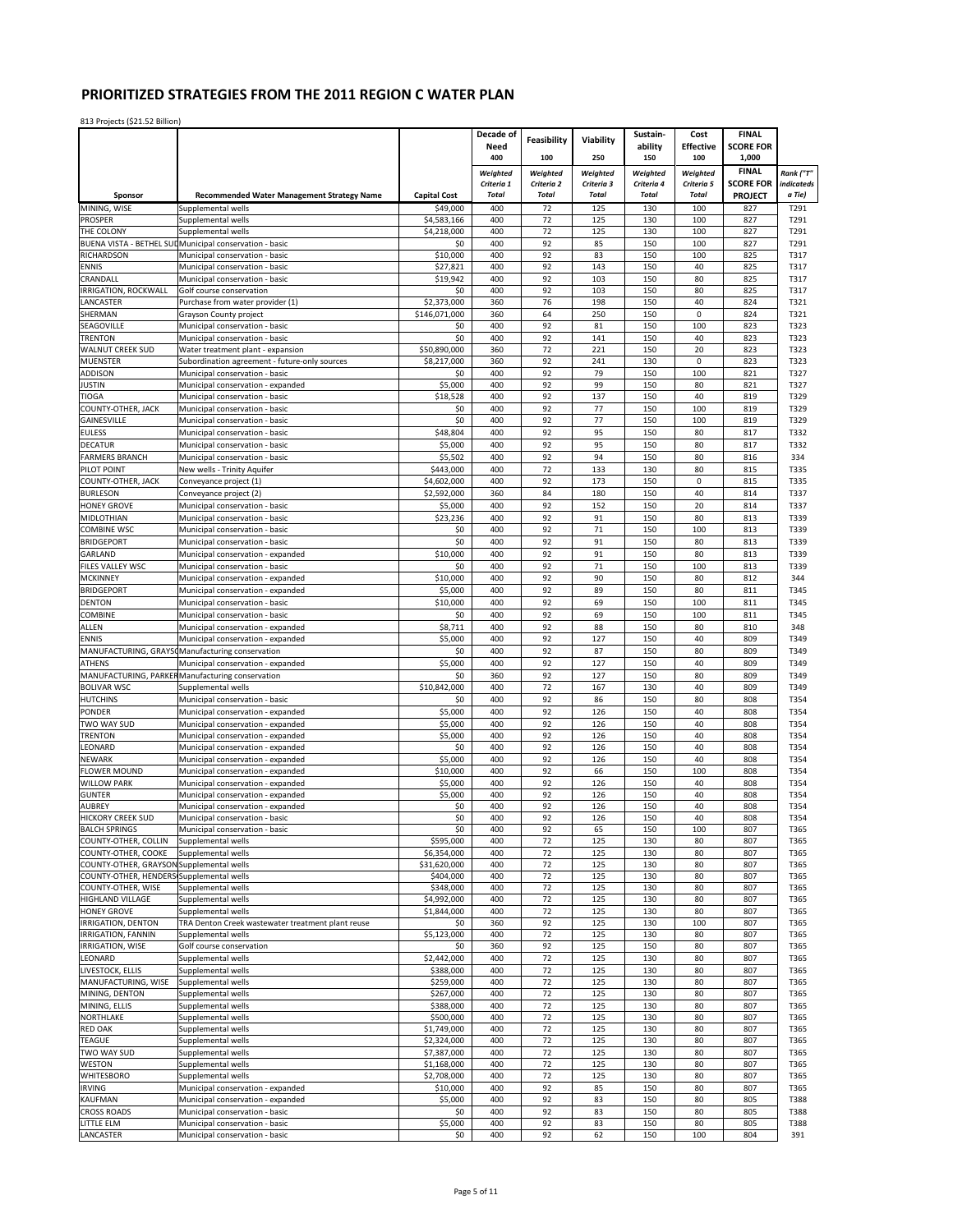|                                          |                                                                        |                          | Decade of                  | Feasibility                | Viability                  | Sustain-                   | Cost                       | <b>FINAL</b>                       |                      |
|------------------------------------------|------------------------------------------------------------------------|--------------------------|----------------------------|----------------------------|----------------------------|----------------------------|----------------------------|------------------------------------|----------------------|
|                                          |                                                                        |                          | Need                       |                            |                            | ability                    | <b>Effective</b>           | <b>SCORE FOR</b>                   |                      |
|                                          |                                                                        |                          | 400                        | 100                        | 250                        | 150                        | 100                        | 1,000                              |                      |
|                                          |                                                                        |                          | Weighted                   | Weighted                   | Weighted                   | Weighted                   | Weighted                   | <b>FINAL</b>                       | Rank ("T"            |
| Sponsor                                  | <b>Recommended Water Management Strategy Name</b>                      | <b>Capital Cost</b>      | Criteria 1<br><b>Total</b> | Criteria 2<br><b>Total</b> | Criteria 3<br><b>Total</b> | Criteria 4<br><b>Total</b> | Criteria 5<br><b>Total</b> | <b>SCORE FOR</b><br><b>PROJECT</b> | indicateds<br>a Tie) |
| MINING. WISE                             | Supplemental wells                                                     | \$49,000                 | 400                        | 72                         | 125                        | 130                        | 100                        | 827                                | T291                 |
| <b>PROSPER</b>                           | Supplemental wells                                                     | \$4.583.166              | 400                        | 72                         | 125                        | 130                        | 100                        | 827                                | T291                 |
| THE COLONY                               | Supplemental wells                                                     | \$4,218,000              | 400                        | 72                         | 125                        | 130                        | 100                        | 827                                | T291                 |
|                                          | BUENA VISTA - BETHEL SUL Municipal conservation - basic                | \$0                      | 400                        | 92                         | 85                         | 150                        | 100                        | 827                                | T291                 |
| RICHARDSON                               | Municipal conservation - basic                                         | \$10,000                 | 400                        | 92                         | 83                         | 150                        | 100                        | 825                                | T317                 |
| <b>ENNIS</b>                             | Municipal conservation - basic                                         | \$27,821                 | 400                        | 92                         | 143                        | 150                        | 40                         | 825                                | T317                 |
| CRANDALL                                 | Municipal conservation - basic                                         | \$19,942<br>\$0          | 400<br>400                 | 92<br>92                   | 103<br>103                 | 150<br>150                 | 80<br>80                   | 825<br>825                         | T317<br>T317         |
| IRRIGATION, ROCKWALL<br>LANCASTER        | Golf course conservation<br>Purchase from water provider (1)           | \$2,373,000              | 360                        | 76                         | 198                        | 150                        | 40                         | 824                                | T321                 |
| SHERMAN                                  | Grayson County project                                                 | \$146,071,000            | 360                        | 64                         | 250                        | 150                        | $\pmb{0}$                  | 824                                | T321                 |
| SEAGOVILLE                               | Municipal conservation - basic                                         | \$0                      | 400                        | 92                         | 81                         | 150                        | 100                        | 823                                | T323                 |
| <b>TRENTON</b>                           | Municipal conservation - basic                                         | \$0                      | 400                        | 92                         | 141                        | 150                        | 40                         | 823                                | T323                 |
| <b>WALNUT CREEK SUD</b>                  | Water treatment plant - expansion                                      | \$50,890,000             | 360                        | 72                         | 221                        | 150                        | 20                         | 823                                | T323                 |
| <b>MUENSTER</b>                          | Subordination agreement - future-only sources                          | \$8,217,000              | 360                        | 92                         | 241                        | 130                        | $\pmb{0}$                  | 823                                | T323                 |
| ADDISON                                  | Municipal conservation - basic                                         | \$0                      | 400                        | 92                         | 79                         | 150                        | 100                        | 821                                | T327                 |
| <b>JUSTIN</b>                            | Municipal conservation - expanded                                      | \$5,000                  | 400                        | 92                         | 99                         | 150                        | 80                         | 821                                | T327                 |
| <b>TIOGA</b><br>COUNTY-OTHER, JACK       | Municipal conservation - basic<br>Municipal conservation - basic       | \$18,528<br>\$0          | 400<br>400                 | 92<br>92                   | 137<br>77                  | 150<br>150                 | 40<br>100                  | 819<br>819                         | T329<br>T329         |
| GAINESVILLE                              | Municipal conservation - basic                                         | \$0                      | 400                        | 92                         | 77                         | 150                        | 100                        | 819                                | T329                 |
| <b>EULESS</b>                            | Municipal conservation - basic                                         | \$48,804                 | 400                        | 92                         | 95                         | 150                        | 80                         | 817                                | T332                 |
| <b>DECATUR</b>                           | Municipal conservation - basic                                         | \$5,000                  | 400                        | 92                         | 95                         | 150                        | 80                         | 817                                | T332                 |
| <b>FARMERS BRANCH</b>                    | Municipal conservation - basic                                         | \$5,502                  | 400                        | 92                         | 94                         | 150                        | 80                         | 816                                | 334                  |
| PILOT POINT                              | New wells - Trinity Aquifer                                            | \$443,000                | 400                        | 72                         | 133                        | 130                        | 80                         | 815                                | T335                 |
| COUNTY-OTHER, JACK                       | Conveyance project (1)                                                 | \$4,602,000              | 400                        | 92                         | 173                        | 150                        | 0                          | 815                                | T335                 |
| <b>BURLESON</b>                          | Conveyance project (2)                                                 | \$2,592,000              | 360                        | 84                         | 180                        | 150                        | 40                         | 814                                | T337                 |
| <b>HONEY GROVE</b>                       | Municipal conservation - basic                                         | \$5,000                  | 400                        | 92                         | 152                        | 150                        | 20                         | 814                                | T337                 |
| MIDLOTHIAN                               | Municipal conservation - basic                                         | \$23,236                 | 400                        | 92                         | 91                         | 150                        | 80                         | 813                                | T339                 |
| <b>COMBINE WSC</b><br><b>BRIDGEPORT</b>  | Municipal conservation - basic                                         | \$0<br>\$0               | 400<br>400                 | 92<br>92                   | 71<br>91                   | 150<br>150                 | 100<br>80                  | 813<br>813                         | T339<br>T339         |
| GARLAND                                  | Municipal conservation - basic<br>Municipal conservation - expanded    | \$10,000                 | 400                        | 92                         | 91                         | 150                        | 80                         | 813                                | T339                 |
| FILES VALLEY WSC                         | Municipal conservation - basic                                         | \$0                      | 400                        | 92                         | 71                         | 150                        | 100                        | 813                                | T339                 |
| <b>MCKINNEY</b>                          | Municipal conservation - expanded                                      | \$10,000                 | 400                        | 92                         | 90                         | 150                        | 80                         | 812                                | 344                  |
| <b>BRIDGEPORT</b>                        | Municipal conservation - expanded                                      | \$5,000                  | 400                        | 92                         | 89                         | 150                        | 80                         | 811                                | T345                 |
| <b>DENTON</b>                            | Municipal conservation - basic                                         | \$10,000                 | 400                        | 92                         | 69                         | 150                        | 100                        | 811                                | T345                 |
| COMBINE                                  | Municipal conservation - basic                                         | \$0                      | 400                        | 92                         | 69                         | 150                        | 100                        | 811                                | T345                 |
| ALLEN                                    | Municipal conservation - expanded                                      | \$8,711                  | 400                        | 92                         | 88                         | 150                        | 80                         | 810                                | 348                  |
| <b>ENNIS</b>                             | Municipal conservation - expanded                                      | \$5,000                  | 400                        | 92                         | 127                        | 150                        | 40                         | 809                                | T349                 |
| MANUFACTURING, GRAYS                     | Manufacturing conservation                                             | \$0                      | 400                        | 92                         | 87                         | 150                        | 80                         | 809                                | T349                 |
| <b>ATHENS</b>                            | Municipal conservation - expanded                                      | \$5,000                  | 400                        | 92                         | 127                        | 150                        | 40                         | 809                                | T349                 |
| MANUFACTURING, PARKER                    | Manufacturing conservation                                             | \$0<br>\$10,842,000      | 360<br>400                 | 92<br>72                   | 127<br>167                 | 150<br>130                 | 80<br>40                   | 809<br>809                         | T349                 |
| <b>BOLIVAR WSC</b><br><b>HUTCHINS</b>    | Supplemental wells<br>Municipal conservation - basic                   | \$0                      | 400                        | 92                         | 86                         | 150                        | 80                         | 808                                | T349<br>T354         |
| PONDER                                   | Municipal conservation - expanded                                      | \$5,000                  | 400                        | 92                         | 126                        | 150                        | 40                         | 808                                | T354                 |
| TWO WAY SUD                              | Municipal conservation - expanded                                      | \$5,000                  | 400                        | 92                         | 126                        | 150                        | 40                         | 808                                | T354                 |
| <b>TRENTON</b>                           | Municipal conservation - expanded                                      | \$5,000                  | 400                        | 92                         | 126                        | 150                        | 40                         | 808                                | T354                 |
| LEONARD                                  | Municipal conservation - expanded                                      | \$0                      | 400                        | 92                         | 126                        | 150                        | 40                         | 808                                | T354                 |
| <b>NFWARK</b>                            | Municipal conservation - expanded                                      | \$5,000                  | 400                        | 92                         | 126                        | 150                        | 40                         | 808                                | T354                 |
| <b>FLOWER MOUND</b>                      | Municipal conservation - expanded                                      | \$10,000                 | 400                        | 92                         | 66                         | 150                        | 100                        | 808                                | T354                 |
| <b>WILLOW PARK</b>                       | Municipal conservation - expanded                                      | \$5,000                  | 400                        | 92                         | 126                        | 150                        | 40                         | 808                                | T354                 |
| <b>GUNTER</b><br><b>AUBREY</b>           | Municipal conservation - expanded<br>Municipal conservation - expanded | \$5,000<br>\$0           | 400<br>400                 | 92<br>92                   | 126<br>126                 | 150<br>150                 | 40<br>40                   | 808<br>808                         | T354<br>T354         |
| <b>HICKORY CREEK SUD</b>                 | Municipal conservation - basic                                         | \$0                      | 400                        | 92                         | 126                        | 150                        | 40                         | 808                                | T354                 |
| <b>BALCH SPRINGS</b>                     | Municipal conservation - basic                                         | \$0                      | 400                        | 92                         | 65                         | 150                        | 100                        | 807                                | T365                 |
| COUNTY-OTHER, COLLIN                     | Supplemental wells                                                     | \$595,000                | 400                        | 72                         | 125                        | 130                        | 80                         | 807                                | T365                 |
| COUNTY-OTHER, COOKE                      | Supplemental wells                                                     | \$6,354,000              | 400                        | 72                         | 125                        | 130                        | 80                         | 807                                | T365                 |
| COUNTY-OTHER, GRAYSON                    | Supplemental wells                                                     | \$31,620,000             | 400                        | 72                         | 125                        | 130                        | 80                         | 807                                | T365                 |
| COUNTY-OTHER, HENDERS Supplemental wells |                                                                        | \$404,000                | 400                        | 72                         | 125                        | 130                        | 80                         | 807                                | T365                 |
| COUNTY-OTHER, WISE<br>HIGHLAND VILLAGE   | Supplemental wells<br>Supplemental wells                               | \$348,000<br>\$4,992,000 | 400<br>400                 | 72<br>72                   | 125<br>125                 | 130<br>130                 | 80<br>80                   | 807<br>807                         | T365<br>T365         |
| <b>HONEY GROVE</b>                       | Supplemental wells                                                     | \$1,844,000              | 400                        | 72                         | 125                        | 130                        | 80                         | 807                                | T365                 |
| IRRIGATION, DENTON                       | TRA Denton Creek wastewater treatment plant reuse                      | \$0                      | 360                        | 92                         | 125                        | 130                        | 100                        | 807                                | T365                 |
| IRRIGATION, FANNIN                       | Supplemental wells                                                     | \$5,123,000              | 400                        | 72                         | 125                        | 130                        | 80                         | 807                                | T365                 |
| IRRIGATION, WISE                         | Golf course conservation                                               | \$0                      | 360                        | 92                         | 125                        | 150                        | 80                         | 807                                | T365                 |
| LEONARD                                  | Supplemental wells                                                     | \$2,442,000              | 400                        | 72                         | 125                        | 130                        | 80                         | 807                                | T365                 |
| LIVESTOCK, ELLIS                         | Supplemental wells                                                     | \$388,000                | 400                        | 72                         | 125                        | 130                        | 80                         | 807                                | T365                 |
| MANUFACTURING, WISE                      | Supplemental wells                                                     | \$259,000                | 400                        | 72                         | 125                        | 130                        | 80                         | 807                                | T365                 |
| MINING, DENTON<br>MINING, ELLIS          | Supplemental wells<br>Supplemental wells                               | \$267,000<br>\$388,000   | 400<br>400                 | 72<br>72                   | 125<br>125                 | 130<br>130                 | 80<br>80                   | 807<br>807                         | T365<br>T365         |
| NORTHLAKE                                | Supplemental wells                                                     | \$500,000                | 400                        | 72                         | 125                        | 130                        | 80                         | 807                                | T365                 |
| <b>RED OAK</b>                           | Supplemental wells                                                     | \$1,749,000              | 400                        | 72                         | 125                        | 130                        | 80                         | 807                                | T365                 |
| <b>TEAGUE</b>                            | Supplemental wells                                                     | \$2,324,000              | 400                        | 72                         | 125                        | 130                        | 80                         | 807                                | T365                 |
| TWO WAY SUD                              | Supplemental wells                                                     | \$7,387,000              | 400                        | 72                         | 125                        | 130                        | 80                         | 807                                | T365                 |
| WESTON                                   | Supplemental wells                                                     | \$1,168,000              | 400                        | 72                         | 125                        | 130                        | 80                         | 807                                | T365                 |
| <b>WHITESBORO</b>                        | Supplemental wells                                                     | \$2,708,000              | 400                        | 72                         | 125                        | 130                        | 80                         | 807                                | T365                 |
| <b>IRVING</b>                            | Municipal conservation - expanded                                      | \$10,000                 | 400                        | 92                         | 85                         | 150                        | 80                         | 807                                | T365                 |
| KAUFMAN                                  | Municipal conservation - expanded                                      | \$5,000                  | 400                        | 92                         | 83                         | 150                        | 80                         | 805                                | T388                 |
| <b>CROSS ROADS</b><br>LITTLE ELM         | Municipal conservation - basic<br>Municipal conservation - basic       | \$0<br>\$5,000           | 400<br>400                 | 92<br>92                   | 83<br>83                   | 150<br>150                 | 80<br>80                   | 805<br>805                         | T388<br>T388         |
| LANCASTER                                | Municipal conservation - basic                                         | \$0                      | 400                        | 92                         | 62                         | 150                        | 100                        | 804                                | 391                  |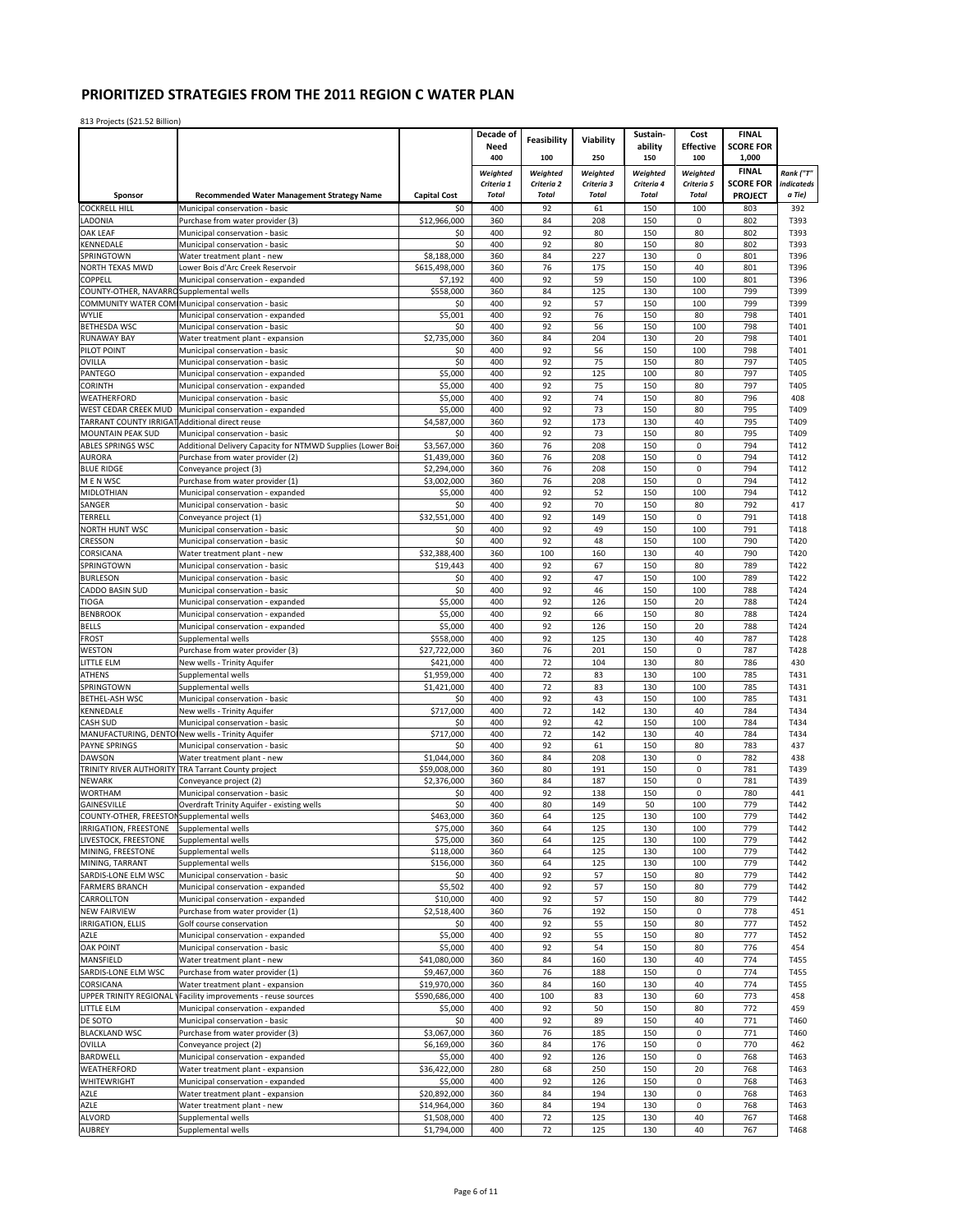|                                               |                                                                     |                            | Decade of                  |                            |                            | Sustain-                   | Cost                       | <b>FINAL</b>                       |                      |
|-----------------------------------------------|---------------------------------------------------------------------|----------------------------|----------------------------|----------------------------|----------------------------|----------------------------|----------------------------|------------------------------------|----------------------|
|                                               |                                                                     |                            | Need                       | Feasibility                | Viability                  | ability                    | <b>Effective</b>           | <b>SCORE FOR</b>                   |                      |
|                                               |                                                                     |                            | 400                        | 100                        | 250                        | 150                        | 100                        | 1,000                              |                      |
|                                               |                                                                     |                            | Weighted                   | Weighted                   | Weighted                   | Weighted                   | Weighted                   | <b>FINAL</b>                       | Rank ("T"            |
| Sponsor                                       | <b>Recommended Water Management Strategy Name</b>                   | <b>Capital Cost</b>        | Criteria 1<br><b>Total</b> | Criteria 2<br><b>Total</b> | Criteria 3<br><b>Total</b> | Criteria 4<br><b>Total</b> | Criteria 5<br><b>Total</b> | <b>SCORE FOR</b><br><b>PROJECT</b> | indicateds<br>a Tie) |
| <b>COCKRELL HILL</b>                          | Municipal conservation - basic                                      | \$0                        | 400                        | 92                         | 61                         | 150                        | 100                        | 803                                | 392                  |
| LADONIA                                       | Purchase from water provider (3)                                    | \$12,966,000               | 360                        | 84                         | 208                        | 150                        | $\mathbf{0}$               | 802                                | T393                 |
| OAK LEAF                                      | Municipal conservation - basic                                      | \$0                        | 400                        | 92                         | 80                         | 150                        | 80                         | 802                                | T393                 |
| KENNEDALE                                     | Municipal conservation - basic                                      | \$0                        | 400                        | 92                         | 80                         | 150                        | 80                         | 802                                | T393                 |
| SPRINGTOWN                                    | Water treatment plant - new                                         | \$8,188,000                | 360                        | 84                         | 227                        | 130                        | 0                          | 801                                | T396                 |
| NORTH TEXAS MWD                               | Lower Bois d'Arc Creek Reservoir                                    | \$615,498,000              | 360                        | 76                         | 175                        | 150                        | 40                         | 801                                | T396                 |
| COPPELL                                       | Municipal conservation - expanded                                   | \$7,192                    | 400                        | 92                         | 59                         | 150                        | 100                        | 801                                | T396                 |
| COUNTY-OTHER, NAVARRO Supplemental wells      |                                                                     | \$558,000                  | 360                        | 84                         | 125                        | 130                        | 100                        | 799                                | T399                 |
|                                               | COMMUNITY WATER COM Municipal conservation - basic                  | \$0                        | 400                        | 92                         | 57                         | 150                        | 100                        | 799                                | T399                 |
| WYLIE                                         | Municipal conservation - expanded                                   | \$5,001                    | 400                        | 92<br>92                   | 76                         | 150                        | 80                         | 798                                | T401                 |
| <b>BETHESDA WSC</b><br><b>RUNAWAY BAY</b>     | Municipal conservation - basic<br>Water treatment plant - expansion | \$0<br>\$2,735,000         | 400<br>360                 | 84                         | 56<br>204                  | 150<br>130                 | 100<br>20                  | 798<br>798                         | T401<br>T401         |
| PILOT POINT                                   | Municipal conservation - basic                                      | \$0                        | 400                        | 92                         | 56                         | 150                        | 100                        | 798                                | T401                 |
| <b>OVILLA</b>                                 | Municipal conservation - basic                                      | \$0                        | 400                        | 92                         | 75                         | 150                        | 80                         | 797                                | T405                 |
| PANTEGO                                       | Municipal conservation - expanded                                   | \$5,000                    | 400                        | 92                         | 125                        | 100                        | 80                         | 797                                | T405                 |
| CORINTH                                       | Municipal conservation - expanded                                   | \$5,000                    | 400                        | 92                         | 75                         | 150                        | 80                         | 797                                | T405                 |
| WEATHERFORD                                   | Municipal conservation - basic                                      | \$5,000                    | 400                        | 92                         | 74                         | 150                        | 80                         | 796                                | 408                  |
| WEST CEDAR CREEK MUD                          | Municipal conservation - expanded                                   | \$5,000                    | 400                        | 92                         | 73                         | 150                        | 80                         | 795                                | T409                 |
| TARRANT COUNTY IRRIGAT                        | Additional direct reuse                                             | \$4,587,000                | 360                        | 92                         | 173                        | 130                        | 40                         | 795                                | T409                 |
| MOUNTAIN PEAK SUD                             | Municipal conservation - basic                                      | \$0                        | 400                        | 92                         | 73                         | 150                        | 80                         | 795                                | T409                 |
| ABLES SPRINGS WSC                             | Additional Delivery Capacity for NTMWD Supplies (Lower Boi          | \$3,567,000                | 360                        | 76                         | 208                        | 150                        | $\pmb{0}$                  | 794                                | T412                 |
| <b>AURORA</b>                                 | Purchase from water provider (2)                                    | \$1,439,000                | 360                        | 76<br>76                   | 208<br>208                 | 150<br>150                 | $\pmb{0}$<br>0             | 794<br>794                         | T412                 |
| <b>BLUE RIDGE</b><br>M E N WSC                | Conveyance project (3)<br>Purchase from water provider (1)          | \$2,294,000<br>\$3,002,000 | 360<br>360                 | 76                         | 208                        | 150                        | $\mathbf 0$                | 794                                | T412<br>T412         |
| MIDLOTHIAN                                    | Municipal conservation - expanded                                   | \$5,000                    | 400                        | 92                         | 52                         | 150                        | 100                        | 794                                | T412                 |
| SANGER                                        | Municipal conservation - basic                                      | \$0                        | 400                        | 92                         | 70                         | 150                        | 80                         | 792                                | 417                  |
| TERRELL                                       | Conveyance project (1)                                              | \$32,551,000               | 400                        | 92                         | 149                        | 150                        | $\mathbf 0$                | 791                                | T418                 |
| <b>NORTH HUNT WSC</b>                         | Municipal conservation - basic                                      | \$0                        | 400                        | 92                         | 49                         | 150                        | 100                        | 791                                | T418                 |
| CRESSON                                       | Municipal conservation - basic                                      | \$0                        | 400                        | 92                         | 48                         | 150                        | 100                        | 790                                | T420                 |
| CORSICANA                                     | Water treatment plant - new                                         | \$32,388,400               | 360                        | 100                        | 160                        | 130                        | 40                         | 790                                | T420                 |
| SPRINGTOWN                                    | Municipal conservation - basic                                      | \$19,443                   | 400                        | 92                         | 67                         | 150                        | 80                         | 789                                | T422                 |
| <b>BURLESON</b>                               | Municipal conservation - basic                                      | \$0                        | 400                        | 92                         | 47                         | 150                        | 100                        | 789                                | T422                 |
| CADDO BASIN SUD                               | Municipal conservation - basic                                      | \$0                        | 400                        | 92                         | 46                         | 150                        | 100                        | 788                                | T424                 |
| TIOGA                                         | Municipal conservation - expanded                                   | \$5,000                    | 400                        | 92                         | 126                        | 150                        | 20                         | 788                                | T424                 |
| <b>BENBROOK</b>                               | Municipal conservation - expanded                                   | \$5,000                    | 400                        | 92                         | 66                         | 150                        | 80                         | 788                                | T424                 |
| <b>BELLS</b>                                  | Municipal conservation - expanded                                   | \$5,000                    | 400                        | 92                         | 126                        | 150                        | 20                         | 788                                | T424                 |
| FROST                                         | Supplemental wells                                                  | \$558,000                  | 400                        | 92                         | 125                        | 130                        | 40                         | 787                                | T428                 |
| <b>WESTON</b>                                 | Purchase from water provider (3)                                    | \$27,722,000               | 360                        | 76                         | 201                        | 150                        | $\pmb{0}$                  | 787                                | T428                 |
| LITTLE ELM                                    | New wells - Trinity Aquifer                                         | \$421,000                  | 400                        | 72                         | 104                        | 130                        | 80                         | 786                                | 430                  |
| <b>ATHENS</b><br>SPRINGTOWN                   | Supplemental wells                                                  | \$1,959,000<br>\$1,421,000 | 400<br>400                 | 72<br>72                   | 83<br>83                   | 130<br>130                 | 100<br>100                 | 785<br>785                         | T431<br>T431         |
| BETHEL-ASH WSC                                | Supplemental wells<br>Municipal conservation - basic                | \$0                        | 400                        | 92                         | 43                         | 150                        | 100                        | 785                                | T431                 |
| KENNEDALE                                     | New wells - Trinity Aquifer                                         | \$717,000                  | 400                        | 72                         | 142                        | 130                        | 40                         | 784                                | T434                 |
| CASH SUD                                      | Municipal conservation - basic                                      | \$0                        | 400                        | 92                         | 42                         | 150                        | 100                        | 784                                | T434                 |
|                                               | MANUFACTURING, DENTOINew wells - Trinity Aquifer                    | \$717,000                  | 400                        | 72                         | 142                        | 130                        | 40                         | 784                                | T434                 |
| <b>PAYNE SPRINGS</b>                          | Municipal conservation - basic                                      | \$0                        | 400                        | 92                         | 61                         | 150                        | 80                         | 783                                | 437                  |
| <b>DAWSON</b>                                 | Water treatment plant - new                                         | \$1,044,000                | 360                        | 84                         | 208                        | 130                        | $\pmb{0}$                  | 782                                | 438                  |
| TRINITY RIVER AUTHORITY                       | TRA Tarrant County project                                          | \$59,008,000               | 360                        | 80                         | 191                        | 150                        | 0                          | 781                                | T439                 |
| <b>NEWARK</b>                                 | Conveyance project (2)                                              | \$2,376,000                | 360                        | 84                         | 187                        | 150                        | 0                          | 781                                | T439                 |
| <b>WORTHAM</b>                                | Municipal conservation - basic                                      | \$0                        | 400                        | 92                         | 138                        | 150                        | $\pmb{0}$                  | 780                                | 441                  |
| GAINESVILLE                                   | Overdraft Trinity Aquifer - existing wells                          | \$0                        | 400                        | 80                         | 149                        | 50                         | 100                        | 779                                | T442                 |
| COUNTY-OTHER, FREESTON Supplemental wells     | Supplemental wells                                                  | \$463,000                  | 360                        | 64                         | 125                        | 130                        | 100                        | 779                                | T442                 |
| IRRIGATION, FREESTONE<br>LIVESTOCK, FREESTONE | Supplemental wells                                                  | \$75,000<br>\$75,000       | 360<br>360                 | 64<br>64                   | 125<br>125                 | 130<br>130                 | 100<br>100                 | 779<br>779                         | T442<br>T442         |
| MINING, FREESTONE                             | Supplemental wells                                                  | \$118,000                  | 360                        | 64                         | 125                        | 130                        | 100                        | 779                                | T442                 |
| MINING, TARRANT                               | Supplemental wells                                                  | \$156,000                  | 360                        | 64                         | 125                        | 130                        | 100                        | 779                                | T442                 |
| SARDIS-LONE ELM WSC                           | Municipal conservation - basic                                      | \$0                        | 400                        | 92                         | 57                         | 150                        | 80                         | 779                                | T442                 |
| <b>FARMERS BRANCH</b>                         | Municipal conservation - expanded                                   | \$5,502                    | 400                        | 92                         | 57                         | 150                        | 80                         | 779                                | T442                 |
| CARROLLTON                                    | Municipal conservation - expanded                                   | \$10,000                   | 400                        | 92                         | 57                         | 150                        | 80                         | 779                                | T442                 |
| <b>NEW FAIRVIEW</b>                           | Purchase from water provider (1)                                    | \$2,518,400                | 360                        | 76                         | 192                        | 150                        | $\pmb{0}$                  | 778                                | 451                  |
| <b>IRRIGATION, ELLIS</b>                      | Golf course conservation                                            | \$0                        | 400                        | 92                         | 55                         | 150                        | 80                         | 777                                | T452                 |
| <b>AZLE</b>                                   | Municipal conservation - expanded                                   | \$5,000                    | 400                        | 92                         | 55                         | 150                        | 80                         | 777                                | T452                 |
| <b>OAK POINT</b>                              | Municipal conservation - basic                                      | \$5,000                    | 400                        | 92                         | 54                         | 150                        | 80                         | 776                                | 454                  |
| MANSFIELD                                     | Water treatment plant - new                                         | \$41,080,000               | 360                        | 84                         | 160                        | 130                        | 40                         | 774                                | T455                 |
| SARDIS-LONE ELM WSC                           | Purchase from water provider (1)                                    | \$9,467,000                | 360                        | 76                         | 188                        | 150                        | $\pmb{0}$                  | 774                                | T455                 |
| CORSICANA                                     | Water treatment plant - expansion                                   | \$19,970,000               | 360                        | 84                         | 160                        | 130                        | 40                         | 774                                | T455                 |
| UPPER TRINITY REGIONAL                        | Facility improvements - reuse sources                               | \$590,686,000              | 400                        | 100                        | 83                         | 130                        | 60                         | 773                                | 458                  |
| LITTLE ELM                                    | Municipal conservation - expanded                                   | \$5,000                    | 400                        | 92                         | 50                         | 150                        | 80                         | 772                                | 459                  |
| DE SOTO<br><b>BLACKLAND WSC</b>               | Municipal conservation - basic                                      | \$0<br>\$3,067,000         | 400<br>360                 | 92<br>76                   | 89<br>185                  | 150<br>150                 | 40<br>$\pmb{0}$            | 771<br>771                         | T460<br>T460         |
| OVILLA                                        | Purchase from water provider (3)<br>Conveyance project (2)          | \$6,169,000                | 360                        | 84                         | 176                        | 150                        | 0                          | 770                                | 462                  |
| BARDWELL                                      | Municipal conservation - expanded                                   | \$5,000                    | 400                        | 92                         | 126                        | 150                        | $\pmb{0}$                  | 768                                | T463                 |
| WEATHERFORD                                   | Water treatment plant - expansion                                   | \$36,422,000               | 280                        | 68                         | 250                        | 150                        | 20                         | 768                                | T463                 |
| WHITEWRIGHT                                   | Municipal conservation - expanded                                   | \$5,000                    | 400                        | 92                         | 126                        | 150                        | 0                          | 768                                | T463                 |
| AZLE                                          | Water treatment plant - expansion                                   | \$20,892,000               | 360                        | 84                         | 194                        | 130                        | $\pmb{0}$                  | 768                                | T463                 |
| AZLE                                          | Water treatment plant - new                                         | \$14,964,000               | 360                        | 84                         | 194                        | 130                        | 0                          | 768                                | T463                 |
| <b>ALVORD</b>                                 | Supplemental wells                                                  | \$1,508,000                | 400                        | 72                         | 125                        | 130                        | 40                         | 767                                | T468                 |
| <b>AUBREY</b>                                 | Supplemental wells                                                  | \$1,794,000                | 400                        | 72                         | 125                        | 130                        | 40                         | 767                                | T468                 |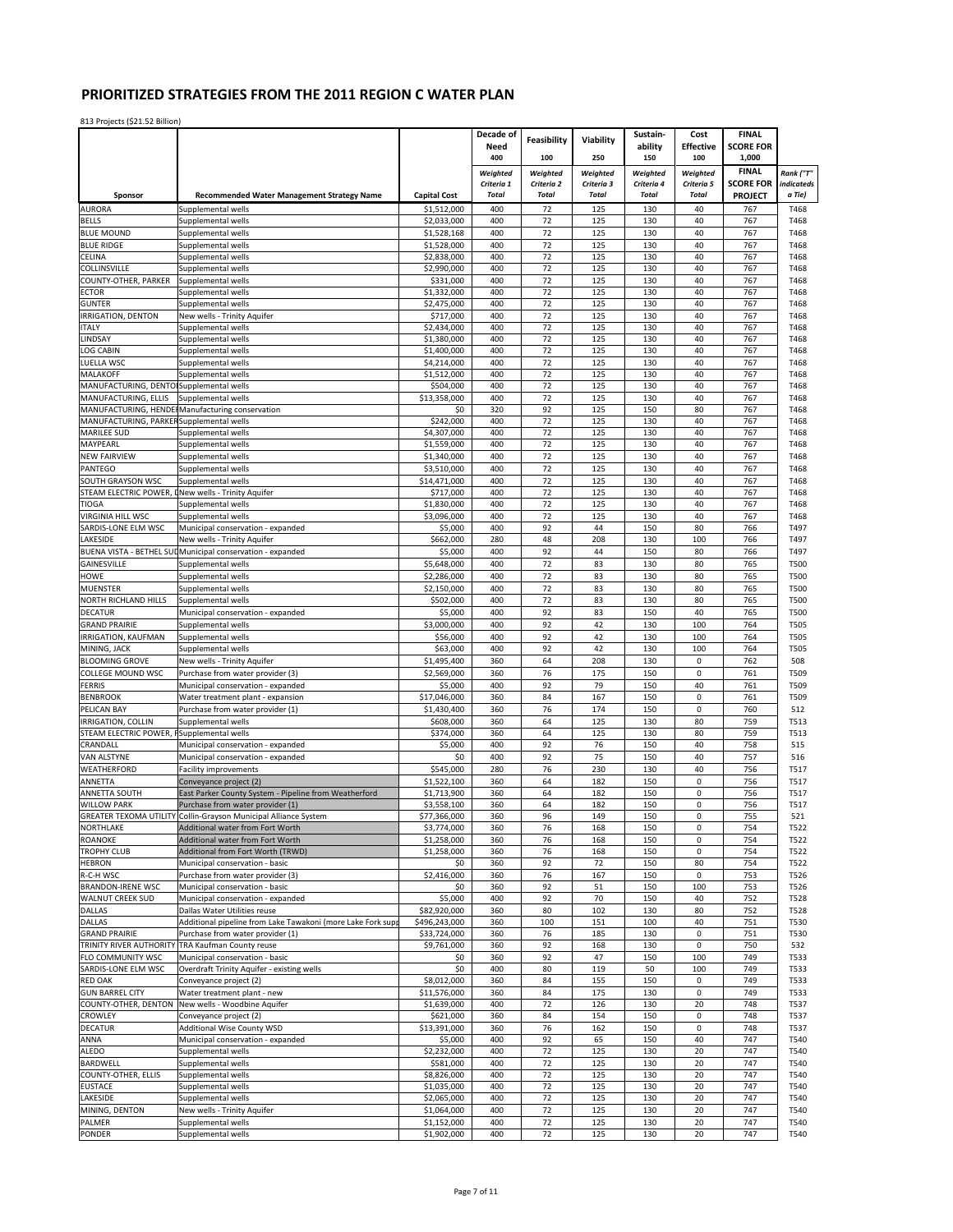|                                                        |                                                                                                     |                             | Decade of              | Feasibility            | Viability              | Sustain-               | Cost                     | <b>FINAL</b>              |                            |
|--------------------------------------------------------|-----------------------------------------------------------------------------------------------------|-----------------------------|------------------------|------------------------|------------------------|------------------------|--------------------------|---------------------------|----------------------------|
|                                                        |                                                                                                     |                             | Need<br>400            | 100                    | 250                    | ability                | <b>Effective</b><br>100  | <b>SCORE FOR</b><br>1,000 |                            |
|                                                        |                                                                                                     |                             |                        |                        |                        | 150                    |                          | <b>FINAL</b>              |                            |
|                                                        |                                                                                                     |                             | Weighted<br>Criteria 1 | Weighted<br>Criteria 2 | Weighted<br>Criteria 3 | Weighted<br>Criteria 4 | Weighted<br>Criteria 5   | <b>SCORE FOR</b>          | Rank ("T"<br>indicateds    |
| Sponsor                                                | <b>Recommended Water Management Strategy Name</b>                                                   | <b>Capital Cost</b>         | <b>Total</b>           | <b>Total</b>           | <b>Total</b>           | <b>Total</b>           | <b>Total</b>             | <b>PROJECT</b>            | a Tie)                     |
| <b>AURORA</b>                                          | Supplemental wells                                                                                  | \$1,512,000                 | 400                    | 72                     | 125                    | 130                    | 40                       | 767                       | T468                       |
| <b>BELLS</b>                                           | Supplemental wells                                                                                  | \$2,033,000                 | 400                    | 72                     | 125                    | 130                    | 40                       | 767                       | T468                       |
| <b>BLUE MOUND</b>                                      | Supplemental wells                                                                                  | \$1,528,168                 | 400                    | 72                     | 125                    | 130                    | 40                       | 767                       | T468                       |
| <b>BLUE RIDGE</b><br>CELINA                            | Supplemental wells<br>Supplemental wells                                                            | \$1,528,000<br>\$2,838,000  | 400<br>400             | 72<br>72               | 125<br>125             | 130<br>130             | 40<br>40                 | 767<br>767                | T468<br>T468               |
| COLLINSVILLE                                           | Supplemental wells                                                                                  | \$2,990,000                 | 400                    | 72                     | 125                    | 130                    | 40                       | 767                       | T468                       |
| COUNTY-OTHER, PARKER                                   | Supplemental wells                                                                                  | \$331,000                   | 400                    | 72                     | 125                    | 130                    | 40                       | 767                       | T468                       |
| <b>ECTOR</b>                                           | Supplemental wells                                                                                  | \$1,332,000                 | 400                    | 72                     | 125                    | 130                    | 40                       | 767                       | T468                       |
| <b>GUNTER</b><br>IRRIGATION, DENTON                    | Supplemental wells<br>New wells - Trinity Aquifer                                                   | \$2,475,000<br>\$717,000    | 400<br>400             | 72<br>72               | 125<br>125             | 130<br>130             | 40<br>40                 | 767<br>767                | T468<br>T468               |
| <b>ITALY</b>                                           | Supplemental wells                                                                                  | \$2,434,000                 | 400                    | 72                     | 125                    | 130                    | 40                       | 767                       | T468                       |
| LINDSAY                                                | Supplemental wells                                                                                  | \$1,380,000                 | 400                    | 72                     | 125                    | 130                    | 40                       | 767                       | T468                       |
| <b>LOG CABIN</b>                                       | Supplemental wells                                                                                  | \$1,400,000                 | 400                    | 72                     | 125                    | 130                    | 40                       | 767                       | T468                       |
| LUELLA WSC                                             | Supplemental wells                                                                                  | \$4,214,000                 | 400                    | 72                     | 125                    | 130                    | 40                       | 767                       | T468                       |
| MALAKOFF<br>MANUFACTURING, DENTO Supplemental wells    | Supplemental wells                                                                                  | \$1,512,000<br>\$504,000    | 400<br>400             | 72<br>72               | 125<br>125             | 130<br>130             | 40<br>40                 | 767<br>767                | T468<br>T468               |
| MANUFACTURING, ELLIS                                   | Supplemental wells                                                                                  | \$13,358,000                | 400                    | 72                     | 125                    | 130                    | 40                       | 767                       | T468                       |
| MANUFACTURING, HENDE                                   | Manufacturing conservation                                                                          | \$0                         | 320                    | 92                     | 125                    | 150                    | 80                       | 767                       | T468                       |
| MANUFACTURING, PARKER Supplemental wells               |                                                                                                     | \$242,000                   | 400                    | 72                     | 125                    | 130                    | 40                       | 767                       | T468                       |
| <b>MARILEE SUD</b><br>MAYPEARL                         | Supplemental wells<br>Supplemental wells                                                            | \$4,307,000<br>\$1,559,000  | 400<br>400             | 72<br>72               | 125<br>125             | 130<br>130             | 40<br>40                 | 767<br>767                | T468<br>T468               |
| <b>NEW FAIRVIEW</b>                                    | Supplemental wells                                                                                  | \$1,340,000                 | 400                    | 72                     | 125                    | 130                    | 40                       | 767                       | T468                       |
| PANTEGO                                                | Supplemental wells                                                                                  | \$3,510,000                 | 400                    | 72                     | 125                    | 130                    | 40                       | 767                       | T468                       |
| SOUTH GRAYSON WSC                                      | Supplemental wells                                                                                  | \$14,471,000                | 400                    | 72                     | 125                    | 130                    | 40                       | 767                       | T468                       |
| STEAM ELECTRIC POWER,                                  | New wells - Trinity Aquifer                                                                         | \$717.000                   | 400                    | 72                     | 125                    | 130                    | 40                       | 767                       | T468                       |
| TIOGA<br><b>VIRGINIA HILL WSC</b>                      | Supplemental wells                                                                                  | \$1,830,000                 | 400                    | 72<br>72               | 125<br>125             | 130<br>130             | 40<br>40                 | 767<br>767                | T468                       |
| SARDIS-LONE ELM WSC                                    | Supplemental wells<br>Municipal conservation - expanded                                             | \$3,096,000<br>\$5,000      | 400<br>400             | 92                     | 44                     | 150                    | 80                       | 766                       | T468<br>T497               |
| LAKESIDE                                               | New wells - Trinity Aquifer                                                                         | \$662,000                   | 280                    | 48                     | 208                    | 130                    | 100                      | 766                       | T497                       |
|                                                        | BUENA VISTA - BETHEL SUL Municipal conservation - expanded                                          | \$5,000                     | 400                    | 92                     | 44                     | 150                    | 80                       | 766                       | T497                       |
| GAINESVILLE                                            | Supplemental wells                                                                                  | \$5,648,000                 | 400                    | 72                     | 83                     | 130                    | 80                       | 765                       | T500                       |
| HOWE                                                   | Supplemental wells                                                                                  | \$2,286,000                 | 400                    | 72                     | 83                     | 130                    | 80                       | 765                       | T500                       |
| <b>MUENSTER</b><br>NORTH RICHLAND HILLS                | Supplemental wells<br>Supplemental wells                                                            | \$2,150,000<br>\$502,000    | 400<br>400             | 72<br>72               | 83<br>83               | 130<br>130             | 80<br>80                 | 765<br>765                | <b>T500</b><br><b>T500</b> |
| <b>DECATUR</b>                                         | Municipal conservation - expanded                                                                   | \$5,000                     | 400                    | 92                     | 83                     | 150                    | 40                       | 765                       | <b>T500</b>                |
| <b>GRAND PRAIRIE</b>                                   | Supplemental wells                                                                                  | \$3,000,000                 | 400                    | 92                     | 42                     | 130                    | 100                      | 764                       | T505                       |
| IRRIGATION, KAUFMAN                                    | Supplemental wells                                                                                  | \$56,000                    | 400                    | 92                     | 42                     | 130                    | 100                      | 764                       | <b>T505</b>                |
| MINING, JACK                                           | Supplemental wells                                                                                  | \$63,000                    | 400                    | 92                     | 42                     | 130                    | 100                      | 764                       | <b>T505</b>                |
| <b>BLOOMING GROVE</b><br>COLLEGE MOUND WSC             | New wells - Trinity Aquifer                                                                         | \$1,495,400<br>\$2,569,000  | 360<br>360             | 64<br>76               | 208<br>175             | 130<br>150             | $\pmb{0}$<br>0           | 762<br>761                | 508<br>T509                |
| <b>FERRIS</b>                                          | Purchase from water provider (3)<br>Municipal conservation - expanded                               | \$5,000                     | 400                    | 92                     | 79                     | 150                    | 40                       | 761                       | T509                       |
| <b>BENBROOK</b>                                        | Water treatment plant - expansion                                                                   | \$17,046,000                | 360                    | 84                     | 167                    | 150                    | $\pmb{0}$                | 761                       | T509                       |
| PELICAN BAY                                            | Purchase from water provider (1)                                                                    | \$1,430,400                 | 360                    | 76                     | 174                    | 150                    | $\pmb{0}$                | 760                       | 512                        |
| IRRIGATION, COLLIN                                     | Supplemental wells                                                                                  | \$608,000                   | 360                    | 64                     | 125                    | 130                    | 80                       | 759                       | T513                       |
| STEAM ELECTRIC POWER, I Supplemental wells<br>CRANDALL |                                                                                                     | \$374,000<br>\$5,000        | 360<br>400             | 64<br>92               | 125<br>76              | 130<br>150             | 80<br>40                 | 759<br>758                | T513<br>515                |
| VAN ALSTYNE                                            | Municipal conservation - expanded<br>Municipal conservation - expanded                              | \$0                         | 400                    | 92                     | 75                     | 150                    | 40                       | 757                       | 516                        |
| WEATHERFORD                                            | <b>Facility improvements</b>                                                                        | \$545,000                   | 280                    | 76                     | 230                    | 130                    | 40                       | 756                       | T517                       |
| ANNETTA                                                | Conveyance project (2)                                                                              | \$1,522,100                 | 360                    | 64                     | 182                    | 150                    | 0                        | 756                       | T517                       |
| ANNETTA SOUTH                                          | East Parker County System - Pipeline from Weatherford                                               | \$1,713,900                 | 360                    | 64                     | 182                    | 150                    | 0                        | 756                       | T517                       |
| <b>WILLOW PARK</b>                                     | Purchase from water provider (1)<br>GREATER TEXOMA UTILITY Collin-Grayson Municipal Alliance System | \$3,558,100<br>\$77,366,000 | 360<br>360             | 64<br>96               | 182<br>149             | 150<br>150             | 0<br>0                   | 756<br>755                | T517<br>521                |
| NORTHLAKE                                              | Additional water from Fort Worth                                                                    | \$3,774,000                 | 360                    | 76                     | 168                    | 150                    | 0                        | 754                       | T522                       |
| ROANOKE                                                | Additional water from Fort Worth                                                                    | \$1,258,000                 | 360                    | 76                     | 168                    | 150                    | 0                        | 754                       | T522                       |
| <b>TROPHY CLUB</b>                                     | Additional from Fort Worth (TRWD)                                                                   | \$1,258,000                 | 360                    | 76                     | 168                    | 150                    | $\mathbf 0$              | 754                       | T522                       |
| <b>HEBRON</b><br>R-C-H WSC                             | Municipal conservation - basic<br>Purchase from water provider (3)                                  | \$0<br>\$2,416,000          | 360                    | 92<br>76               | 72<br>167              | 150<br>150             | 80<br>$\mathbf 0$        | 754<br>753                | T522                       |
| <b>BRANDON-IRENE WSC</b>                               | Municipal conservation - basic                                                                      | \$0                         | 360<br>360             | 92                     | 51                     | 150                    | 100                      | 753                       | T526<br>T526               |
| <b>WALNUT CREEK SUD</b>                                | Municipal conservation - expanded                                                                   | \$5,000                     | 400                    | 92                     | 70                     | 150                    | 40                       | 752                       | T528                       |
| <b>DALLAS</b>                                          | Dallas Water Utilities reuse                                                                        | \$82,920,000                | 360                    | 80                     | 102                    | 130                    | 80                       | 752                       | T528                       |
| <b>DALLAS</b>                                          | Additional pipeline from Lake Tawakoni (more Lake Fork sup                                          | \$496,243,000               | 360                    | 100                    | 151                    | 100                    | 40                       | 751                       | T530                       |
| <b>GRAND PRAIRIE</b>                                   | Purchase from water provider (1)<br>TRINITY RIVER AUTHORITY TRA Kaufman County reuse                | \$33,724,000<br>\$9,761,000 | 360<br>360             | 76<br>92               | 185<br>168             | 130<br>130             | $\pmb{0}$<br>$\mathbf 0$ | 751<br>750                | T530<br>532                |
| FLO COMMUNITY WSC                                      | Municipal conservation - basic                                                                      | \$0                         | 360                    | 92                     | 47                     | 150                    | 100                      | 749                       | T533                       |
| SARDIS-LONE ELM WSC                                    | Overdraft Trinity Aquifer - existing wells                                                          | \$0                         | 400                    | 80                     | 119                    | 50                     | 100                      | 749                       | T533                       |
| <b>RED OAK</b>                                         | Conveyance project (2)                                                                              | \$8,012,000                 | 360                    | 84                     | 155                    | 150                    | $\mathbf 0$              | 749                       | T533                       |
| <b>GUN BARREL CITY</b>                                 | Water treatment plant - new<br>New wells - Woodbine Aquifer                                         | \$11,576,000                | 360<br>400             | 84                     | 175                    | 130                    | 0                        | 749<br>748                | T533                       |
| COUNTY-OTHER, DENTON<br><b>CROWLEY</b>                 | Conveyance project (2)                                                                              | \$1,639,000<br>\$621,000    | 360                    | 72<br>84               | 126<br>154             | 130<br>150             | 20<br>$\pmb{0}$          | 748                       | T537<br>T537               |
| <b>DECATUR</b>                                         | Additional Wise County WSD                                                                          | \$13,391,000                | 360                    | 76                     | 162                    | 150                    | 0                        | 748                       | T537                       |
| ANNA                                                   | Municipal conservation - expanded                                                                   | \$5,000                     | 400                    | 92                     | 65                     | 150                    | 40                       | 747                       | T540                       |
| ALEDO                                                  | Supplemental wells                                                                                  | \$2,232,000                 | 400                    | 72                     | 125                    | 130                    | 20                       | 747                       | T540                       |
| <b>BARDWELL</b>                                        | Supplemental wells                                                                                  | \$581,000                   | 400                    | 72                     | 125                    | 130                    | 20                       | 747                       | T540                       |
| COUNTY-OTHER, ELLIS<br><b>EUSTACE</b>                  | Supplemental wells<br>Supplemental wells                                                            | \$8,826,000<br>\$1,035,000  | 400<br>400             | 72<br>72               | 125<br>125             | 130<br>130             | 20<br>20                 | 747<br>747                | T540<br>T540               |
| LAKESIDE                                               | Supplemental wells                                                                                  | \$2,065,000                 | 400                    | 72                     | 125                    | 130                    | 20                       | 747                       | T540                       |
| MINING, DENTON                                         | New wells - Trinity Aquifer                                                                         | \$1,064,000                 | 400                    | 72                     | 125                    | 130                    | 20                       | 747                       | T540                       |
| PALMER                                                 | Supplemental wells                                                                                  | \$1,152,000                 | 400                    | 72                     | 125                    | 130                    | 20                       | 747                       | T540                       |
| PONDER                                                 | Supplemental wells                                                                                  | \$1,902,000                 | 400                    | 72                     | 125                    | 130                    | 20                       | 747                       | T540                       |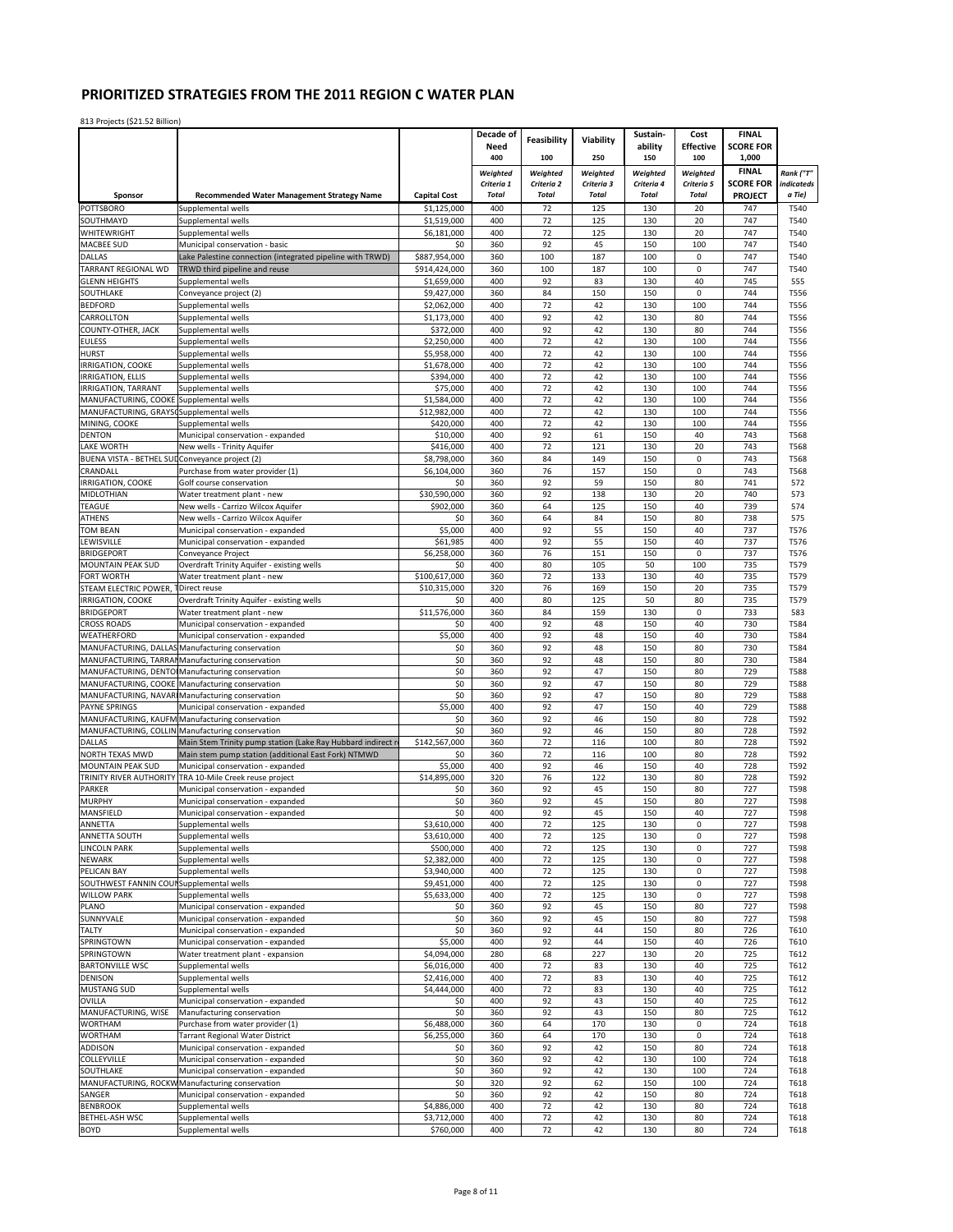|                                                 |                                                                                      |                           | Decade of                  | Feasibility                | Viability                  | Sustain-                   | Cost                       | <b>FINAL</b>                       |                      |
|-------------------------------------------------|--------------------------------------------------------------------------------------|---------------------------|----------------------------|----------------------------|----------------------------|----------------------------|----------------------------|------------------------------------|----------------------|
|                                                 |                                                                                      |                           | Need                       |                            |                            | ability                    | <b>Effective</b>           | <b>SCORE FOR</b>                   |                      |
|                                                 |                                                                                      |                           | 400                        | 100                        | 250                        | 150                        | 100                        | 1,000                              |                      |
|                                                 |                                                                                      |                           | Weighted                   | Weighted                   | Weighted                   | Weighted                   | Weighted                   | <b>FINAL</b>                       | Rank ("T"            |
| Sponsor                                         | <b>Recommended Water Management Strategy Name</b>                                    | <b>Capital Cost</b>       | Criteria 1<br><b>Total</b> | Criteria 2<br><b>Total</b> | Criteria 3<br><b>Total</b> | Criteria 4<br><b>Total</b> | Criteria 5<br><b>Total</b> | <b>SCORE FOR</b><br><b>PROJECT</b> | indicateds<br>a Tie) |
| POTTSBORO                                       | Supplemental wells                                                                   | \$1,125,000               | 400                        | 72                         | 125                        | 130                        | 20                         | 747                                | T540                 |
| SOUTHMAYD                                       | Supplemental wells                                                                   | \$1,519,000               | 400                        | 72                         | 125                        | 130                        | 20                         | 747                                | T540                 |
| WHITEWRIGHT                                     | Supplemental wells                                                                   | \$6,181,000               | 400                        | 72                         | 125                        | 130                        | 20                         | 747                                | T540                 |
| MACBEE SUD                                      | Municipal conservation - basic                                                       | \$0                       | 360                        | 92                         | 45                         | 150                        | 100                        | 747                                | T540                 |
| <b>DALLAS</b>                                   | Lake Palestine connection (integrated pipeline with TRWD)                            | \$887,954,000             | 360                        | 100                        | 187                        | 100                        | 0                          | 747                                | T540                 |
| TARRANT REGIONAL WD                             | TRWD third pipeline and reuse                                                        | \$914,424,000             | 360                        | 100                        | 187                        | 100                        | $\pmb{0}$                  | 747                                | T540                 |
| <b>GLENN HEIGHTS</b>                            | Supplemental wells                                                                   | \$1,659,000               | 400                        | 92                         | 83                         | 130                        | 40                         | 745                                | 555                  |
| SOUTHLAKE                                       | Conveyance project (2)                                                               | \$9,427,000               | 360                        | 84                         | 150                        | 150                        | $\mathbf 0$                | 744                                | T556                 |
| <b>BEDFORD</b>                                  | Supplemental wells                                                                   | \$2,062,000               | 400                        | 72                         | 42                         | 130                        | 100                        | 744                                | T556                 |
| CARROLLTON                                      | Supplemental wells                                                                   | \$1,173,000               | 400                        | 92                         | 42                         | 130                        | 80                         | 744                                | T556                 |
| COUNTY-OTHER, JACK                              | Supplemental wells                                                                   | \$372.000                 | 400                        | 92                         | 42                         | 130                        | 80                         | 744                                | T556                 |
| <b>EULESS</b>                                   | Supplemental wells                                                                   | \$2,250,000               | 400                        | 72                         | 42                         | 130                        | 100                        | 744                                | T556                 |
| <b>HURST</b>                                    | Supplemental wells                                                                   | \$5,958,000               | 400<br>400                 | 72<br>72                   | 42<br>42                   | 130<br>130                 | 100<br>100                 | 744<br>744                         | T556<br>T556         |
| IRRIGATION, COOKE<br>IRRIGATION, ELLIS          | Supplemental wells<br>Supplemental wells                                             | \$1,678,000<br>\$394,000  | 400                        | 72                         | 42                         | 130                        | 100                        | 744                                | T556                 |
| IRRIGATION, TARRANT                             | Supplemental wells                                                                   | \$75,000                  | 400                        | 72                         | 42                         | 130                        | 100                        | 744                                | T556                 |
| MANUFACTURING, COOKE                            | Supplemental wells                                                                   | \$1,584,000               | 400                        | 72                         | 42                         | 130                        | 100                        | 744                                | T556                 |
| MANUFACTURING, GRAYSO                           | Supplemental wells                                                                   | \$12,982,000              | 400                        | 72                         | 42                         | 130                        | 100                        | 744                                | T556                 |
| MINING, COOKE                                   | Supplemental wells                                                                   | \$420,000                 | 400                        | 72                         | 42                         | 130                        | 100                        | 744                                | T556                 |
| <b>DENTON</b>                                   | Municipal conservation - expanded                                                    | \$10,000                  | 400                        | 92                         | 61                         | 150                        | 40                         | 743                                | T568                 |
| LAKE WORTH                                      | New wells - Trinity Aquifer                                                          | \$416.000                 | 400                        | 72                         | 121                        | 130                        | 20                         | 743                                | T568                 |
| BUENA VISTA - BETHEL SUI Conveyance project (2) |                                                                                      | \$8,798,000               | 360                        | 84                         | 149                        | 150                        | $\mathbf 0$                | 743                                | T568                 |
| CRANDALL                                        | Purchase from water provider (1)                                                     | \$6,104,000               | 360                        | 76                         | 157                        | 150                        | $\mathsf 0$                | 743                                | T568                 |
| <b>IRRIGATION, COOKE</b>                        | Golf course conservation                                                             | \$0                       | 360                        | 92                         | 59                         | 150                        | 80                         | 741                                | 572                  |
| MIDLOTHIAN<br><b>TEAGUE</b>                     | Water treatment plant - new<br>New wells - Carrizo Wilcox Aquifer                    | \$30,590,000<br>\$902,000 | 360<br>360                 | 92<br>64                   | 138<br>125                 | 130<br>150                 | 20<br>40                   | 740<br>739                         | 573<br>574           |
| <b>ATHENS</b>                                   | New wells - Carrizo Wilcox Aquifer                                                   | \$0                       | 360                        | 64                         | 84                         | 150                        | 80                         | 738                                | 575                  |
| <b>TOM BEAN</b>                                 | Municipal conservation - expanded                                                    | \$5,000                   | 400                        | 92                         | 55                         | 150                        | 40                         | 737                                | T576                 |
| LEWISVILLE                                      | Municipal conservation - expanded                                                    | \$61,985                  | 400                        | 92                         | 55                         | 150                        | 40                         | 737                                | T576                 |
| <b>BRIDGEPORT</b>                               | Conveyance Project                                                                   | \$6,258,000               | 360                        | 76                         | 151                        | 150                        | 0                          | 737                                | T576                 |
| MOUNTAIN PEAK SUD                               | Overdraft Trinity Aquifer - existing wells                                           | \$0                       | 400                        | 80                         | 105                        | 50                         | 100                        | 735                                | T579                 |
| FORT WORTH                                      | Water treatment plant - new                                                          | \$100,617,000             | 360                        | 72                         | 133                        | 130                        | 40                         | 735                                | T579                 |
| STEAM ELECTRIC POWER,                           | Direct reuse                                                                         | \$10,315,000              | 320                        | 76                         | 169                        | 150                        | 20                         | 735                                | T579                 |
| IRRIGATION, COOKE                               | Overdraft Trinity Aquifer - existing wells                                           | \$0                       | 400                        | 80                         | 125                        | 50                         | 80                         | 735                                | T579                 |
| <b>BRIDGEPORT</b>                               | Water treatment plant - new                                                          | \$11,576,000              | 360                        | 84                         | 159                        | 130                        | 0                          | 733                                | 583                  |
| <b>CROSS ROADS</b>                              | Municipal conservation - expanded                                                    | \$0                       | 400                        | 92                         | 48                         | 150                        | 40                         | 730                                | T584                 |
| WEATHERFORD                                     | Municipal conservation - expanded                                                    | \$5,000<br>\$0            | 400                        | 92<br>92                   | 48                         | 150<br>150                 | 40<br>80                   | 730<br>730                         | T584                 |
| MANUFACTURING, DALLAS<br>MANUFACTURING, TARRA   | Manufacturing conservation                                                           | \$0                       | 360<br>360                 | 92                         | 48<br>48                   | 150                        | 80                         | 730                                | T584<br>T584         |
| MANUFACTURING, DENTOI                           | Manufacturing conservation<br>Manufacturing conservation                             | \$0                       | 360                        | 92                         | 47                         | 150                        | 80                         | 729                                | <b>T588</b>          |
| MANUFACTURING, COOKE                            | Manufacturing conservation                                                           | \$0                       | 360                        | 92                         | 47                         | 150                        | 80                         | 729                                | <b>T588</b>          |
| MANUFACTURING, NAVAR                            | Manufacturing conservation                                                           | \$0                       | 360                        | 92                         | 47                         | 150                        | 80                         | 729                                | <b>T588</b>          |
| <b>PAYNE SPRINGS</b>                            | Municipal conservation - expanded                                                    | \$5,000                   | 400                        | 92                         | 47                         | 150                        | 40                         | 729                                | <b>T588</b>          |
| MANUFACTURING, KAUFM                            | Manufacturing conservation                                                           | \$0                       | 360                        | 92                         | 46                         | 150                        | 80                         | 728                                | T592                 |
| MANUFACTURING, COLLIN                           | Manufacturing conservation                                                           | \$0                       | 360                        | 92                         | 46                         | 150                        | 80                         | 728                                | T592                 |
| DALLAS                                          | Main Stem Trinity pump station (Lake Ray Hubbard indirect re                         | \$142,567,000             | 360                        | 72                         | 116                        | 100                        | 80                         | 728                                | T592                 |
| NORTH TEXAS MWD                                 | Main stem pump station (additional East Fork) NTMWD                                  | \$0                       | 360                        | 72                         | 116                        | 100                        | 80                         | 728                                | T592                 |
| MOUNTAIN PEAK SUD                               | Municipal conservation - expanded                                                    | \$5,000                   | 400                        | 92                         | 46                         | 150                        | 40                         | 728                                | T592                 |
| TRINITY RIVER AUTHORITY                         | TRA 10-Mile Creek reuse project                                                      | \$14,895,000              | 320                        | 76<br>92                   | 122                        | 130<br>150                 | 80<br>80                   | 728                                | T592                 |
| PARKER<br><b>MURPHY</b>                         | Municipal conservation - expanded<br>Municipal conservation - expanded               | \$0<br>\$0                | 360<br>360                 | 92                         | 45<br>45                   | 150                        | 80                         | 727<br>727                         | T598<br>T598         |
| MANSFIELD                                       | Municipal conservation - expanded                                                    | \$0                       | 400                        | 92                         | 45                         | 150                        | 40                         | 727                                | T598                 |
| ANNETTA                                         | suppiementai wells                                                                   | \$3,610,000               | 400                        | 72                         | 125                        | 130                        |                            | 727                                | T598                 |
| ANNETTA SOUTH                                   | Supplemental wells                                                                   | \$3,610,000               | 400                        | 72                         | 125                        | 130                        | 0                          | 727                                | T598                 |
| <b>LINCOLN PARK</b>                             | Supplemental wells                                                                   | \$500,000                 | 400                        | 72                         | 125                        | 130                        | 0                          | 727                                | T598                 |
| <b>NEWARK</b>                                   | Supplemental wells                                                                   | \$2,382,000               | 400                        | 72                         | 125                        | 130                        | 0                          | 727                                | T598                 |
| PELICAN BAY                                     | Supplemental wells                                                                   | \$3,940,000               | 400                        | 72                         | 125                        | 130                        | 0                          | 727                                | T598                 |
| SOUTHWEST FANNIN COUP                           | Supplemental wells                                                                   | \$9,451,000               | 400                        | 72                         | 125                        | 130                        | 0                          | 727                                | T598                 |
| <b>WILLOW PARK</b>                              | Supplemental wells                                                                   | \$5,633,000               | 400                        | 72                         | 125                        | 130                        | $\mathsf 0$                | 727                                | T598                 |
| PLANO                                           | Municipal conservation - expanded                                                    | \$0                       | 360                        | 92                         | 45                         | 150                        | 80                         | 727                                | T598                 |
| SUNNYVALE                                       | Municipal conservation - expanded                                                    | \$0                       | 360                        | 92                         | 45                         | 150                        | 80                         | 727                                | T598                 |
| <b>TALTY</b><br>SPRINGTOWN                      | Municipal conservation - expanded<br>Municipal conservation - expanded               | \$0<br>\$5,000            | 360<br>400                 | 92<br>92                   | 44<br>44                   | 150<br>150                 | 80<br>40                   | 726<br>726                         | T610<br>T610         |
| SPRINGTOWN                                      | Water treatment plant - expansion                                                    | \$4,094,000               | 280                        | 68                         | 227                        | 130                        | 20                         | 725                                | T612                 |
| <b>BARTONVILLE WSC</b>                          | Supplemental wells                                                                   | \$6,016,000               | 400                        | 72                         | 83                         | 130                        | 40                         | 725                                | T612                 |
| <b>DENISON</b>                                  | Supplemental wells                                                                   | \$2,416,000               | 400                        | 72                         | 83                         | 130                        | 40                         | 725                                | T612                 |
| <b>MUSTANG SUD</b>                              | Supplemental wells                                                                   | \$4,444,000               | 400                        | 72                         | 83                         | 130                        | 40                         | 725                                | T612                 |
| OVILLA                                          | Municipal conservation - expanded                                                    | \$0                       | 400                        | 92                         | 43                         | 150                        | 40                         | 725                                | T612                 |
| MANUFACTURING, WISE                             | Manufacturing conservation                                                           | \$0                       | 360                        | 92                         | 43                         | 150                        | 80                         | 725                                | T612                 |
| <b>WORTHAM</b>                                  | Purchase from water provider (1)                                                     | \$6,488,000               | 360                        | 64                         | 170                        | 130                        | $\pmb{0}$                  | 724                                | T618                 |
| <b>WORTHAM</b>                                  | <b>Tarrant Regional Water District</b>                                               | \$6,255,000               | 360                        | 64                         | 170                        | 130                        | $\pmb{0}$                  | 724                                | T618                 |
| <b>ADDISON</b>                                  | Municipal conservation - expanded                                                    | \$0                       | 360                        | 92                         | 42                         | 150                        | 80                         | 724                                | T618                 |
| COLLEYVILLE                                     | Municipal conservation - expanded                                                    | \$0                       | 360                        | 92                         | 42                         | 130                        | 100                        | 724                                | T618                 |
| SOUTHLAKE                                       | Municipal conservation - expanded<br>MANUFACTURING, ROCKW Manufacturing conservation | \$0<br>\$0                | 360<br>320                 | 92<br>92                   | 42<br>62                   | 130<br>150                 | 100<br>100                 | 724<br>724                         | T618<br>T618         |
| SANGER                                          | Municipal conservation - expanded                                                    | \$0                       | 360                        | 92                         | 42                         | 150                        | 80                         | 724                                | T618                 |
| <b>BENBROOK</b>                                 | Supplemental wells                                                                   | \$4,886,000               | 400                        | 72                         | 42                         | 130                        | 80                         | 724                                | T618                 |
| <b>BETHEL-ASH WSC</b>                           | Supplemental wells                                                                   | \$3,712,000               | 400                        | 72                         | 42                         | 130                        | 80                         | 724                                | T618                 |
| <b>BOYD</b>                                     | Supplemental wells                                                                   | \$760,000                 | 400                        | 72                         | 42                         | 130                        | 80                         | 724                                | T618                 |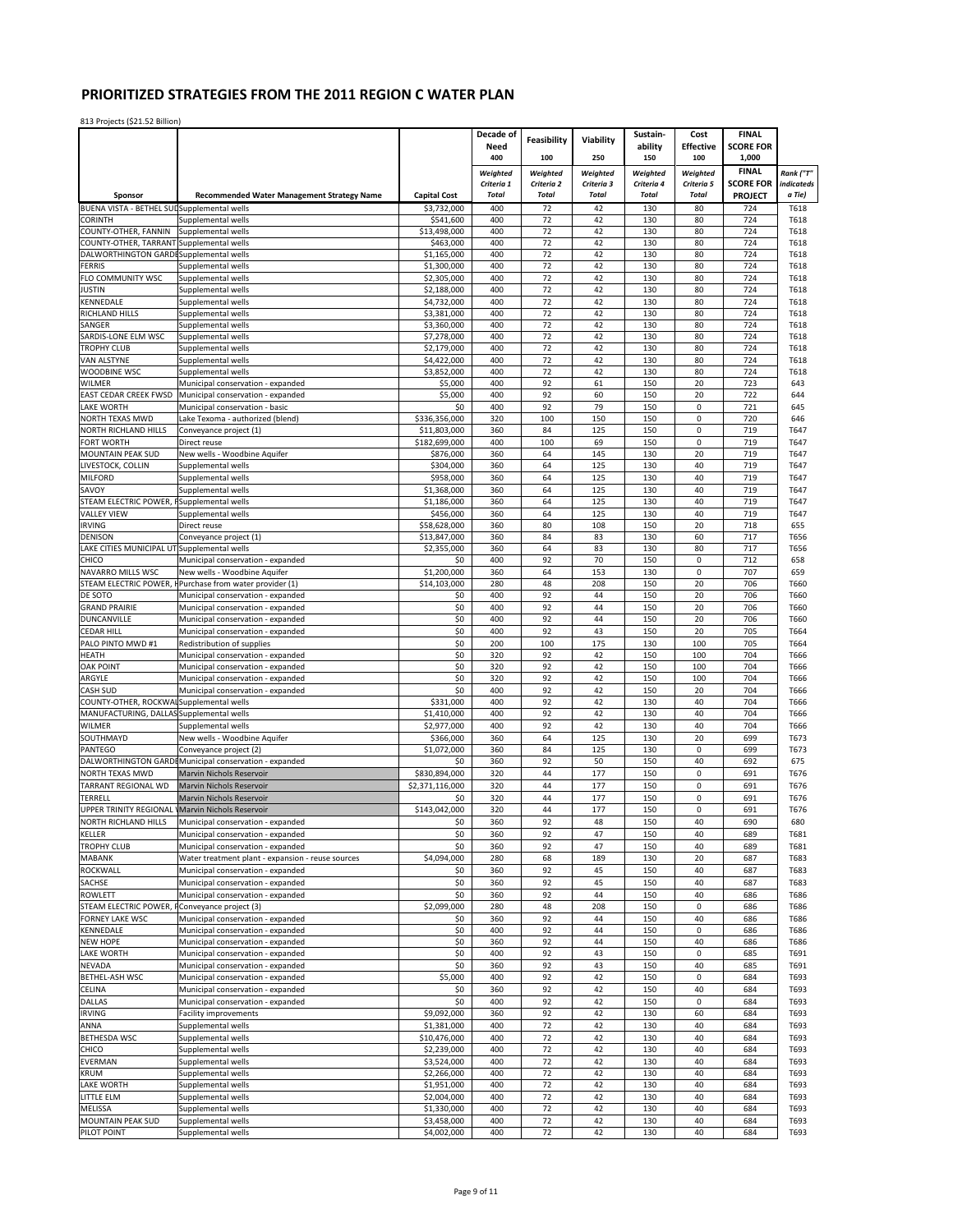|                                               |                                                                        |                            | Decade of                  | Feasibility                | Viability                  | Sustain-                   | Cost                       | <b>FINAL</b>                       |                      |
|-----------------------------------------------|------------------------------------------------------------------------|----------------------------|----------------------------|----------------------------|----------------------------|----------------------------|----------------------------|------------------------------------|----------------------|
|                                               |                                                                        |                            | Need                       |                            |                            | ability                    | <b>Effective</b>           | <b>SCORE FOR</b>                   |                      |
|                                               |                                                                        |                            | 400                        | 100                        | 250                        | 150                        | 100                        | 1,000                              |                      |
|                                               |                                                                        |                            | Weighted                   | Weighted                   | Weighted                   | Weighted                   | Weighted                   | <b>FINAL</b>                       | Rank ("T"            |
| Sponsor                                       | <b>Recommended Water Management Strategy Name</b>                      | <b>Capital Cost</b>        | Criteria 1<br><b>Total</b> | Criteria 2<br><b>Total</b> | Criteria 3<br><b>Total</b> | Criteria 4<br><b>Total</b> | Criteria 5<br><b>Total</b> | <b>SCORE FOR</b><br><b>PROJECT</b> | indicateds<br>a Tie) |
| BUENA VISTA - BETHEL SUL Supplemental wells   |                                                                        | \$3,732,000                | 400                        | 72                         | 42                         | 130                        | 80                         | 724                                | T618                 |
| <b>CORINTH</b>                                | Supplemental wells                                                     | \$541,600                  | 400                        | 72                         | 42                         | 130                        | 80                         | 724                                | T618                 |
| COUNTY-OTHER, FANNIN                          | Supplemental wells                                                     | \$13,498,000               | 400                        | 72                         | 42                         | 130                        | 80                         | 724                                | T618                 |
| COUNTY-OTHER, TARRANT Supplemental wells      |                                                                        | \$463,000                  | 400                        | 72                         | 42                         | 130                        | 80                         | 724                                | T618                 |
| DALWORTHINGTON GARDI Supplemental wells       |                                                                        | \$1,165,000                | 400                        | 72                         | 42                         | 130                        | 80                         | 724                                | T618                 |
| <b>FERRIS</b>                                 | Supplemental wells                                                     | \$1,300,000                | 400                        | 72                         | 42                         | 130                        | 80                         | 724                                | T618                 |
| FLO COMMUNITY WSC                             | Supplemental wells                                                     | \$2,305,000                | 400<br>400                 | 72<br>72                   | 42                         | 130<br>130                 | 80<br>80                   | 724<br>724                         | T618                 |
| <b>JUSTIN</b><br>KENNEDALE                    | Supplemental wells<br>Supplemental wells                               | \$2,188,000<br>\$4,732,000 | 400                        | 72                         | 42<br>42                   | 130                        | 80                         | 724                                | T618<br>T618         |
| RICHLAND HILLS                                | Supplemental wells                                                     | \$3,381,000                | 400                        | 72                         | 42                         | 130                        | 80                         | 724                                | T618                 |
| SANGER                                        | Supplemental wells                                                     | \$3,360,000                | 400                        | 72                         | 42                         | 130                        | 80                         | 724                                | T618                 |
| SARDIS-LONE ELM WSC                           | Supplemental wells                                                     | \$7,278,000                | 400                        | 72                         | 42                         | 130                        | 80                         | 724                                | T618                 |
| TROPHY CLUB                                   | Supplemental wells                                                     | \$2,179,000                | 400                        | 72                         | 42                         | 130                        | 80                         | 724                                | T618                 |
| <b>VAN ALSTYNE</b>                            | Supplemental wells                                                     | \$4,422,000                | 400                        | 72                         | 42                         | 130                        | 80                         | 724                                | T618                 |
| WOODBINE WSC                                  | Supplemental wells                                                     | \$3,852,000                | 400                        | 72                         | 42                         | 130                        | 80                         | 724                                | T618                 |
| WILMER<br>EAST CEDAR CREEK FWSD               | Municipal conservation - expanded                                      | \$5,000<br>\$5,000         | 400<br>400                 | 92<br>92                   | 61<br>60                   | 150<br>150                 | 20<br>20                   | 723<br>722                         | 643<br>644           |
| LAKE WORTH                                    | Municipal conservation - expanded<br>Municipal conservation - basic    | \$0                        | 400                        | 92                         | 79                         | 150                        | $\mathbf 0$                | 721                                | 645                  |
| NORTH TEXAS MWD                               | Lake Texoma - authorized (blend)                                       | \$336,356,000              | 320                        | 100                        | 150                        | 150                        | 0                          | 720                                | 646                  |
| NORTH RICHLAND HILLS                          | Conveyance project (1)                                                 | \$11,803,000               | 360                        | 84                         | 125                        | 150                        | 0                          | 719                                | T647                 |
| FORT WORTH                                    | Direct reuse                                                           | \$182,699,000              | 400                        | 100                        | 69                         | 150                        | 0                          | 719                                | T647                 |
| MOUNTAIN PEAK SUD                             | New wells - Woodbine Aquifer                                           | \$876,000                  | 360                        | 64                         | 145                        | 130                        | 20                         | 719                                | T647                 |
| LIVESTOCK, COLLIN                             | Supplemental wells                                                     | \$304,000                  | 360                        | 64                         | 125                        | 130                        | 40                         | 719                                | T647                 |
| <b>MILFORD</b>                                | Supplemental wells                                                     | \$958,000                  | 360                        | 64                         | 125                        | 130                        | 40                         | 719                                | T647                 |
| SAVOY                                         | Supplemental wells                                                     | \$1,368,000                | 360                        | 64                         | 125                        | 130                        | 40                         | 719                                | T647                 |
| STEAM ELECTRIC POWER,                         | <b>FSupplemental wells</b>                                             | \$1,186,000                | 360                        | 64                         | 125                        | 130                        | 40                         | 719                                | T647                 |
| <b>VALLEY VIEW</b><br><b>IRVING</b>           | Supplemental wells<br>Direct reuse                                     | \$456,000<br>\$58,628,000  | 360<br>360                 | 64<br>80                   | 125<br>108                 | 130<br>150                 | 40<br>20                   | 719<br>718                         | T647<br>655          |
| <b>DENISON</b>                                | Conveyance project (1)                                                 | \$13,847,000               | 360                        | 84                         | 83                         | 130                        | 60                         | 717                                | T656                 |
| LAKE CITIES MUNICIPAL UT Supplemental wells   |                                                                        | \$2,355,000                | 360                        | 64                         | 83                         | 130                        | 80                         | 717                                | T656                 |
| CHICO                                         | Municipal conservation - expanded                                      | \$0                        | 400                        | 92                         | 70                         | 150                        | $\pmb{0}$                  | 712                                | 658                  |
| NAVARRO MILLS WSC                             | New wells - Woodbine Aquifer                                           | \$1,200,000                | 360                        | 64                         | 153                        | 130                        | $\pmb{0}$                  | 707                                | 659                  |
|                                               | STEAM ELECTRIC POWER, I Purchase from water provider (1)               | \$14,103,000               | 280                        | 48                         | 208                        | 150                        | 20                         | 706                                | T660                 |
| DE SOTO                                       | Municipal conservation - expanded                                      | \$0                        | 400                        | 92                         | 44                         | 150                        | 20                         | 706                                | T660                 |
| <b>GRAND PRAIRIE</b>                          | Municipal conservation - expanded                                      | \$0                        | 400                        | 92                         | 44                         | 150                        | 20                         | 706                                | T660                 |
| DUNCANVILLE<br><b>CEDAR HILL</b>              | Municipal conservation - expanded<br>Municipal conservation - expanded | \$0<br>\$0                 | 400<br>400                 | 92<br>92                   | 44<br>43                   | 150<br>150                 | 20<br>20                   | 706<br>705                         | T660<br>T664         |
| PALO PINTO MWD #1                             | Redistribution of supplies                                             | \$0                        | 200                        | 100                        | 175                        | 130                        | 100                        | 705                                | T664                 |
| <b>HEATH</b>                                  | Municipal conservation - expanded                                      | \$0                        | 320                        | 92                         | 42                         | 150                        | 100                        | 704                                | T666                 |
| <b>OAK POINT</b>                              | Municipal conservation - expanded                                      | \$0                        | 320                        | 92                         | 42                         | 150                        | 100                        | 704                                | T666                 |
| ARGYLE                                        | Municipal conservation - expanded                                      | \$0                        | 320                        | 92                         | 42                         | 150                        | 100                        | 704                                | T666                 |
| <b>CASH SUD</b>                               | Municipal conservation - expanded                                      | \$0                        | 400                        | 92                         | 42                         | 150                        | 20                         | 704                                | T666                 |
| COUNTY-OTHER, ROCKWAI Supplemental wells      |                                                                        | \$331,000                  | 400                        | 92                         | 42                         | 130                        | 40                         | 704                                | T666                 |
| MANUFACTURING, DALLAS Supplemental wells      |                                                                        | \$1,410,000                | 400                        | 92                         | 42                         | 130                        | 40                         | 704                                | T666                 |
| <b>WILMER</b>                                 | Supplemental wells                                                     | \$2,977,000                | 400                        | 92                         | 42                         | 130                        | 40                         | 704                                | T666                 |
| SOUTHMAYD<br>PANTEGO                          | New wells - Woodbine Aquifer<br>Conveyance project (2)                 | \$366,000<br>\$1.072.000   | 360<br>360                 | 64<br>84                   | 125<br>125                 | 130<br>130                 | 20<br>0                    | 699<br>699                         | T673<br>T673         |
|                                               | DALWORTHINGTON GARDI Municipal conservation - expanded                 | \$0                        | 360                        | 92                         | 50                         | 150                        | 40                         | 692                                | 675                  |
| NORTH TEXAS MWD                               | Marvin Nichols Reservoir                                               | \$830,894,000              | 320                        | 44                         | 177                        | 150                        | 0                          | 691                                | T676                 |
| TARRANT REGIONAL WD                           | Marvin Nichols Reservoir                                               | \$2,371,116,000            | 320                        | 44                         | 177                        | 150                        | $\mathbf{0}$               | 691                                | T676                 |
| TERRELL                                       | Marvin Nichols Reservoir                                               | \$0                        | 320                        | 44                         | 177                        | 150                        | $\pmb{0}$                  | 691                                | T676                 |
| UPPER TRINITY REGIONAL                        | <b>Marvin Nichols Reservoir</b>                                        | \$143,042,000              | 320                        | 44                         | 177                        | 150                        | 0                          | 691                                | T676                 |
| NORTH RICHLAND HILLS                          | Municipal conservation - expanded                                      | \$0                        | 360                        | 92                         | 48                         | 150                        | 40                         | 690                                | 680                  |
| <b>KELLER</b>                                 | Municipal conservation - expanded                                      | \$0                        | 360                        | 92                         | 47                         | 150                        | 40                         | 689                                | T681                 |
| <b>TROPHY CLUB</b>                            | Municipal conservation - expanded                                      | \$0                        | 360                        | 92                         | 47                         | 150                        | 40                         | 689                                | T681                 |
| <b>MABANK</b><br>ROCKWALL                     | Water treatment plant - expansion - reuse sources                      | \$4,094,000                | 280<br>360                 | 68                         | 189                        | 130<br>150                 | 20                         | 687<br>687                         | T683<br>T683         |
| SACHSE                                        | Municipal conservation - expanded<br>Municipal conservation - expanded | \$0<br>\$0                 | 360                        | 92<br>92                   | 45<br>45                   | 150                        | 40<br>40                   | 687                                | T683                 |
| <b>ROWLETT</b>                                | Municipal conservation - expanded                                      | \$0                        | 360                        | 92                         | 44                         | 150                        | 40                         | 686                                | T686                 |
| STEAM ELECTRIC POWER, FConveyance project (3) |                                                                        | \$2,099,000                | 280                        | 48                         | 208                        | 150                        | $\mathbf 0$                | 686                                | T686                 |
| FORNEY LAKE WSC                               | Municipal conservation - expanded                                      | \$0                        | 360                        | 92                         | 44                         | 150                        | 40                         | 686                                | T686                 |
| KENNEDALE                                     | Municipal conservation - expanded                                      | \$0                        | 400                        | 92                         | 44                         | 150                        | $\mathbf 0$                | 686                                | T686                 |
| <b>NEW HOPE</b>                               | Municipal conservation - expanded                                      | \$0                        | 360                        | 92                         | 44                         | 150                        | 40                         | 686                                | T686                 |
| <b>LAKE WORTH</b>                             | Municipal conservation - expanded                                      | \$0                        | 400                        | 92                         | 43                         | 150                        | $\mathbf 0$                | 685                                | T691                 |
| NEVADA                                        | Municipal conservation - expanded                                      | \$0                        | 360                        | 92                         | 43                         | 150                        | 40                         | 685                                | T691                 |
| <b>BETHEL-ASH WSC</b>                         | Municipal conservation - expanded                                      | \$5,000                    | 400                        | 92                         | 42                         | 150                        | $\pmb{0}$                  | 684                                | T693                 |
| CELINA<br>DALLAS                              | Municipal conservation - expanded                                      | \$0<br>\$0                 | 360<br>400                 | 92<br>92                   | 42<br>42                   | 150<br>150                 | 40<br>0                    | 684<br>684                         | T693<br>T693         |
| <b>IRVING</b>                                 | Municipal conservation - expanded<br><b>Facility improvements</b>      | \$9,092,000                | 360                        | 92                         | 42                         | 130                        | 60                         | 684                                | T693                 |
| ANNA                                          | Supplemental wells                                                     | \$1,381,000                | 400                        | 72                         | 42                         | 130                        | 40                         | 684                                | T693                 |
| <b>BETHESDA WSC</b>                           | Supplemental wells                                                     | \$10,476,000               | 400                        | 72                         | 42                         | 130                        | 40                         | 684                                | T693                 |
| CHICO                                         | Supplemental wells                                                     | \$2,239,000                | 400                        | 72                         | 42                         | 130                        | 40                         | 684                                | T693                 |
| <b>EVERMAN</b>                                | Supplemental wells                                                     | \$3,524,000                | 400                        | 72                         | 42                         | 130                        | 40                         | 684                                | T693                 |
| <b>KRUM</b>                                   | Supplemental wells                                                     | \$2,266,000                | 400                        | 72                         | 42                         | 130                        | 40                         | 684                                | T693                 |
| <b>LAKE WORTH</b>                             | Supplemental wells                                                     | \$1,951,000                | 400                        | 72                         | 42                         | 130                        | 40                         | 684                                | T693                 |
| LITTLE ELM                                    | Supplemental wells                                                     | \$2,004,000                | 400                        | 72                         | 42                         | 130                        | 40                         | 684                                | T693                 |
| <b>MELISSA</b>                                | Supplemental wells                                                     | \$1,330,000                | 400<br>400                 | 72<br>72                   | 42<br>42                   | 130<br>130                 | 40<br>40                   | 684<br>684                         | T693<br>T693         |
| MOUNTAIN PEAK SUD<br>PILOT POINT              | Supplemental wells<br>Supplemental wells                               | \$3,458,000<br>\$4,002,000 | 400                        | 72                         | 42                         | 130                        | 40                         | 684                                | T693                 |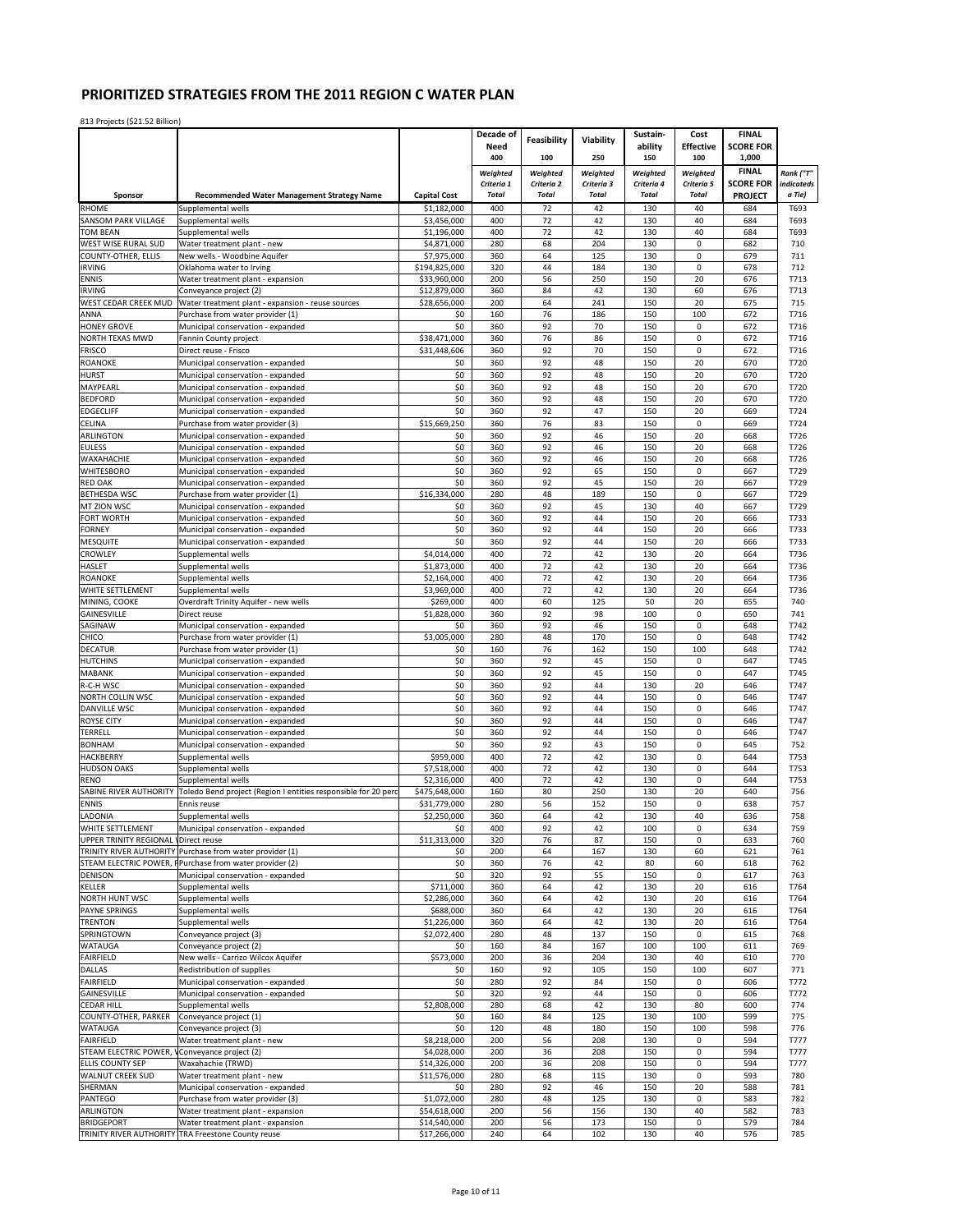|                                           |                                                                                              |                               | Decade of                  | Feasibility                | Viability                  | Sustain-                   | Cost                       | <b>FINAL</b>                       |                      |
|-------------------------------------------|----------------------------------------------------------------------------------------------|-------------------------------|----------------------------|----------------------------|----------------------------|----------------------------|----------------------------|------------------------------------|----------------------|
|                                           |                                                                                              |                               | Need                       |                            |                            | ability                    | <b>Effective</b>           | <b>SCORE FOR</b>                   |                      |
|                                           |                                                                                              |                               | 400                        | 100                        | 250                        | 150                        | 100                        | 1,000                              |                      |
|                                           |                                                                                              |                               | Weighted                   | Weighted                   | Weighted                   | Weighted                   | Weighted                   | <b>FINAL</b>                       | Rank ("T"            |
| Sponsor                                   | <b>Recommended Water Management Strategy Name</b>                                            | <b>Capital Cost</b>           | Criteria 1<br><b>Total</b> | Criteria 2<br><b>Total</b> | Criteria 3<br><b>Total</b> | Criteria 4<br><b>Total</b> | Criteria 5<br><b>Total</b> | <b>SCORE FOR</b><br><b>PROJECT</b> | indicateds<br>a Tie) |
| <b>RHOME</b>                              | Supplemental wells                                                                           | \$1,182,000                   | 400                        | 72                         | 42                         | 130                        | 40                         | 684                                | T693                 |
| <b>SANSOM PARK VILLAGE</b>                | Supplemental wells                                                                           | \$3,456,000                   | 400                        | 72                         | 42                         | 130                        | 40                         | 684                                | T693                 |
| <b>TOM BEAN</b>                           | Supplemental wells                                                                           | \$1,196,000                   | 400                        | 72                         | 42                         | 130                        | 40                         | 684                                | T693                 |
| WEST WISE RURAL SUD                       | Water treatment plant - new                                                                  | \$4,871,000                   | 280                        | 68                         | 204                        | 130                        | 0                          | 682                                | 710                  |
| COUNTY-OTHER, ELLIS                       | New wells - Woodbine Aquifer                                                                 | \$7,975,000                   | 360                        | 64                         | 125                        | 130                        | 0                          | 679                                | 711                  |
| <b>IRVING</b><br><b>ENNIS</b>             | Oklahoma water to Irving<br>Water treatment plant - expansion                                | \$194,825,000<br>\$33,960,000 | 320<br>200                 | 44<br>56                   | 184<br>250                 | 130<br>150                 | $\mathbf 0$<br>20          | 678<br>676                         | 712<br>T713          |
| <b>IRVING</b>                             | Conveyance project (2)                                                                       | \$12,879,000                  | 360                        | 84                         | 42                         | 130                        | 60                         | 676                                | T713                 |
| WEST CEDAR CREEK MUD                      | Water treatment plant - expansion - reuse sources                                            | \$28,656,000                  | 200                        | 64                         | 241                        | 150                        | 20                         | 675                                | 715                  |
| ANNA                                      | Purchase from water provider (1)                                                             | \$0                           | 160                        | 76                         | 186                        | 150                        | 100                        | 672                                | T716                 |
| <b>HONEY GROVE</b>                        | Municipal conservation - expanded                                                            | \$0                           | 360                        | 92                         | 70                         | 150                        | $\mathbf 0$                | 672                                | T716                 |
| NORTH TEXAS MWD                           | Fannin County project                                                                        | \$38,471,000                  | 360                        | 76                         | 86                         | 150                        | $\mathsf 0$                | 672                                | T716                 |
| <b>FRISCO</b><br><b>ROANOKE</b>           | Direct reuse - Frisco<br>Municipal conservation - expanded                                   | \$31,448,606<br>\$0           | 360<br>360                 | 92<br>92                   | 70<br>48                   | 150<br>150                 | $\mathbf 0$<br>20          | 672<br>670                         | T716<br>T720         |
| <b>HURST</b>                              | Municipal conservation - expanded                                                            | \$0                           | 360                        | 92                         | 48                         | 150                        | 20                         | 670                                | T720                 |
| MAYPEARL                                  | Municipal conservation - expanded                                                            | \$0                           | 360                        | 92                         | 48                         | 150                        | 20                         | 670                                | T720                 |
| <b>BEDFORD</b>                            | Municipal conservation - expanded                                                            | \$0                           | 360                        | 92                         | 48                         | 150                        | 20                         | 670                                | T720                 |
| <b>EDGECLIFF</b>                          | Municipal conservation - expanded                                                            | \$0                           | 360                        | 92                         | 47                         | 150                        | 20                         | 669                                | T724                 |
| CELINA                                    | Purchase from water provider (3)                                                             | \$15,669,250                  | 360                        | 76                         | 83                         | 150                        | 0                          | 669                                | T724                 |
| <b>ARLINGTON</b><br><b>EULESS</b>         | Municipal conservation - expanded                                                            | \$0<br>\$0                    | 360<br>360                 | 92<br>92                   | 46<br>46                   | 150<br>150                 | 20<br>20                   | 668<br>668                         | T726<br>T726         |
| WAXAHACHIE                                | Municipal conservation - expanded<br>Municipal conservation - expanded                       | \$0                           | 360                        | 92                         | 46                         | 150                        | 20                         | 668                                | T726                 |
| <b>WHITESBORO</b>                         | Municipal conservation - expanded                                                            | \$0                           | 360                        | 92                         | 65                         | 150                        | $\mathsf 0$                | 667                                | T729                 |
| <b>RED OAK</b>                            | Municipal conservation - expanded                                                            | \$0                           | 360                        | 92                         | 45                         | 150                        | 20                         | 667                                | T729                 |
| <b>BETHESDA WSC</b>                       | Purchase from water provider (1)                                                             | \$16,334,000                  | 280                        | 48                         | 189                        | 150                        | $\mathsf 0$                | 667                                | T729                 |
| MT ZION WSC                               | Municipal conservation - expanded                                                            | \$0                           | 360                        | 92                         | 45                         | 130                        | 40                         | 667                                | T729                 |
| FORT WORTH<br><b>FORNEY</b>               | Municipal conservation - expanded                                                            | \$0<br>\$0                    | 360<br>360                 | 92<br>92                   | 44<br>44                   | 150<br>150                 | 20<br>20                   | 666<br>666                         | T733<br>T733         |
| <b>MESQUITE</b>                           | Municipal conservation - expanded<br>Municipal conservation - expanded                       | \$0                           | 360                        | 92                         | 44                         | 150                        | 20                         | 666                                | T733                 |
| <b>CROWLEY</b>                            | Supplemental wells                                                                           | \$4,014,000                   | 400                        | 72                         | 42                         | 130                        | 20                         | 664                                | T736                 |
| <b>HASLET</b>                             | Supplemental wells                                                                           | \$1,873,000                   | 400                        | 72                         | 42                         | 130                        | 20                         | 664                                | T736                 |
| ROANOKE                                   | Supplemental wells                                                                           | \$2,164,000                   | 400                        | 72                         | 42                         | 130                        | 20                         | 664                                | T736                 |
| WHITE SETTLEMENT                          | Supplemental wells                                                                           | \$3,969,000                   | 400                        | 72                         | 42                         | 130                        | 20                         | 664                                | T736                 |
| MINING, COOKE<br><b>GAINESVILLE</b>       | Overdraft Trinity Aquifer - new wells                                                        | \$269,000                     | 400                        | 60<br>92                   | 125                        | 50<br>100                  | 20<br>$\pmb{0}$            | 655<br>650                         | 740                  |
| SAGINAW                                   | Direct reuse<br>Municipal conservation - expanded                                            | \$1,828,000<br>\$0            | 360<br>360                 | 92                         | 98<br>46                   | 150                        | $\mathsf 0$                | 648                                | 741<br>T742          |
| CHICO                                     | Purchase from water provider (1)                                                             | \$3,005,000                   | 280                        | 48                         | 170                        | 150                        | $\pmb{0}$                  | 648                                | T742                 |
| <b>DECATUR</b>                            | Purchase from water provider (1)                                                             | \$0                           | 160                        | 76                         | 162                        | 150                        | 100                        | 648                                | T742                 |
| <b>HUTCHINS</b>                           | Municipal conservation - expanded                                                            | \$0                           | 360                        | 92                         | 45                         | 150                        | 0                          | 647                                | T745                 |
| <b>MABANK</b>                             | Municipal conservation - expanded                                                            | \$0                           | 360                        | 92                         | 45                         | 150                        | 0                          | 647                                | T745                 |
| R-C-H WSC<br>NORTH COLLIN WSC             | Municipal conservation - expanded<br>Municipal conservation - expanded                       | \$0<br>\$0                    | 360<br>360                 | 92<br>92                   | 44<br>44                   | 130<br>150                 | 20<br>$\mathbf 0$          | 646<br>646                         | T747<br>T747         |
| <b>DANVILLE WSC</b>                       | Municipal conservation - expanded                                                            | \$0                           | 360                        | 92                         | 44                         | 150                        | $\mathsf 0$                | 646                                | T747                 |
| <b>ROYSE CITY</b>                         | Municipal conservation - expanded                                                            | \$0                           | 360                        | 92                         | 44                         | 150                        | $\pmb{0}$                  | 646                                | T747                 |
| TERRELL                                   | Municipal conservation - expanded                                                            | \$0                           | 360                        | 92                         | 44                         | 150                        | $\pmb{0}$                  | 646                                | T747                 |
| <b>BONHAM</b>                             | Municipal conservation - expanded                                                            | \$0                           | 360                        | 92                         | 43                         | 150                        | 0                          | 645                                | 752                  |
| HACKBERRY                                 | Supplemental wells                                                                           | \$959,000                     | 400                        | 72                         | 42                         | 130                        | $\mathsf 0$                | 644                                | T753                 |
| <b>HUDSON OAKS</b><br><b>RENO</b>         | Supplemental wells<br>Supplemental wells                                                     | \$7,518,000<br>\$2,316,000    | 400<br>400                 | 72<br>72                   | 42<br>42                   | 130<br>130                 | 0<br>0                     | 644<br>644                         | T753<br>T753         |
| SABINE RIVER AUTHORITY                    | Toledo Bend project (Region I entities responsible for 20 perc                               | \$475,648,000                 | 160                        | 80                         | 250                        | 130                        | 20                         | 640                                | 756                  |
| <b>ENNIS</b>                              | Ennis reuse                                                                                  | \$31,779,000                  | 280                        | 56                         | 152                        | 150                        | 0                          | 638                                | 757                  |
| LADONIA                                   | Supplemental wells                                                                           | \$2,250,000                   | 360                        | 64                         | 42                         | 130                        | 40                         | 636                                | 758                  |
| WHITE SETTLEMENT                          | Municipal conservation - expanded                                                            | \$0                           | 400                        | 92                         | 42                         | 100                        | 0                          | 634                                | 759                  |
| UPPER TRINITY REGIONAL VDirect reuse      |                                                                                              | \$11,313,000                  | 320                        | 76                         | 87                         | 150                        | 0                          | 633                                | 760                  |
| STEAM ELECTRIC POWER, F                   | TRINITY RIVER AUTHORITY Purchase from water provider (1)<br>Purchase from water provider (2) | \$0<br>\$0                    | 200<br>360                 | 64<br>76                   | 167<br>42                  | 130<br>80                  | 60<br>60                   | 621<br>618                         | 761<br>762           |
| <b>DENISON</b>                            | Municipal conservation - expanded                                                            | \$0                           | 320                        | 92                         | 55                         | 150                        | $\pmb{0}$                  | 617                                | 763                  |
| KELLER                                    | Supplemental wells                                                                           | \$711,000                     | 360                        | 64                         | 42                         | 130                        | 20                         | 616                                | T764                 |
| NORTH HUNT WSC                            | Supplemental wells                                                                           | \$2,286,000                   | 360                        | 64                         | 42                         | 130                        | 20                         | 616                                | T764                 |
| <b>PAYNE SPRINGS</b>                      | Supplemental wells                                                                           | \$688,000                     | 360                        | 64                         | 42                         | 130                        | 20                         | 616                                | T764                 |
| <b>TRENTON</b>                            | Supplemental wells                                                                           | \$1,226,000                   | 360                        | 64                         | 42                         | 130                        | 20                         | 616                                | T764                 |
| SPRINGTOWN<br>WATAUGA                     | Conveyance project (3)<br>Conveyance project (2)                                             | \$2,072,400<br>\$0            | 280<br>160                 | 48<br>84                   | 137<br>167                 | 150<br>100                 | 0<br>100                   | 615<br>611                         | 768<br>769           |
| <b>FAIRFIELD</b>                          | New wells - Carrizo Wilcox Aquifer                                                           | \$573,000                     | 200                        | 36                         | 204                        | 130                        | 40                         | 610                                | 770                  |
| DALLAS                                    | Redistribution of supplies                                                                   | \$0                           | 160                        | 92                         | 105                        | 150                        | 100                        | 607                                | 771                  |
| FAIRFIELD                                 | Municipal conservation - expanded                                                            | \$0                           | 280                        | 92                         | 84                         | 150                        | $\pmb{0}$                  | 606                                | T772                 |
| GAINESVILLE                               | Municipal conservation - expanded                                                            | \$0                           | 320                        | 92                         | 44                         | 150                        | 0                          | 606                                | T772                 |
| <b>CEDAR HILL</b><br>COUNTY-OTHER, PARKER | Supplemental wells                                                                           | \$2,808,000                   | 280<br>160                 | 68<br>84                   | 42<br>125                  | 130<br>130                 | 80<br>100                  | 600<br>599                         | 774                  |
| <b>WATAUGA</b>                            | Conveyance project (1)<br>Conveyance project (3)                                             | \$0<br>\$0                    | 120                        | 48                         | 180                        | 150                        | 100                        | 598                                | 775<br>776           |
| FAIRFIELD                                 | Water treatment plant - new                                                                  | \$8,218,000                   | 200                        | 56                         | 208                        | 130                        | 0                          | 594                                | T777                 |
| STEAM ELECTRIC POWER,                     | Conveyance project (2)                                                                       | \$4,028,000                   | 200                        | 36                         | 208                        | 150                        | $\pmb{0}$                  | 594                                | T777                 |
| ELLIS COUNTY SEP                          | Waxahachie (TRWD)                                                                            | \$14,326,000                  | 200                        | 36                         | 208                        | 150                        | 0                          | 594                                | T777                 |
| <b>WALNUT CREEK SUD</b>                   | Water treatment plant - new                                                                  | \$11,576,000                  | 280                        | 68                         | 115                        | 130                        | $\pmb{0}$                  | 593                                | 780                  |
| SHERMAN<br>PANTEGO                        | Municipal conservation - expanded<br>Purchase from water provider (3)                        | \$0<br>\$1,072,000            | 280<br>280                 | 92<br>48                   | 46<br>125                  | 150<br>130                 | 20<br>$\pmb{0}$            | 588<br>583                         | 781<br>782           |
| ARLINGTON                                 | Water treatment plant - expansion                                                            | \$54,618,000                  | 200                        | 56                         | 156                        | 130                        | 40                         | 582                                | 783                  |
| <b>BRIDGEPORT</b>                         | Water treatment plant - expansion                                                            | \$14,540,000                  | 200                        | 56                         | 173                        | 150                        | $\mathsf 0$                | 579                                | 784                  |
|                                           | TRINITY RIVER AUTHORITY TRA Freestone County reuse                                           | \$17,266,000                  | 240                        | 64                         | 102                        | 130                        | 40                         | 576                                | 785                  |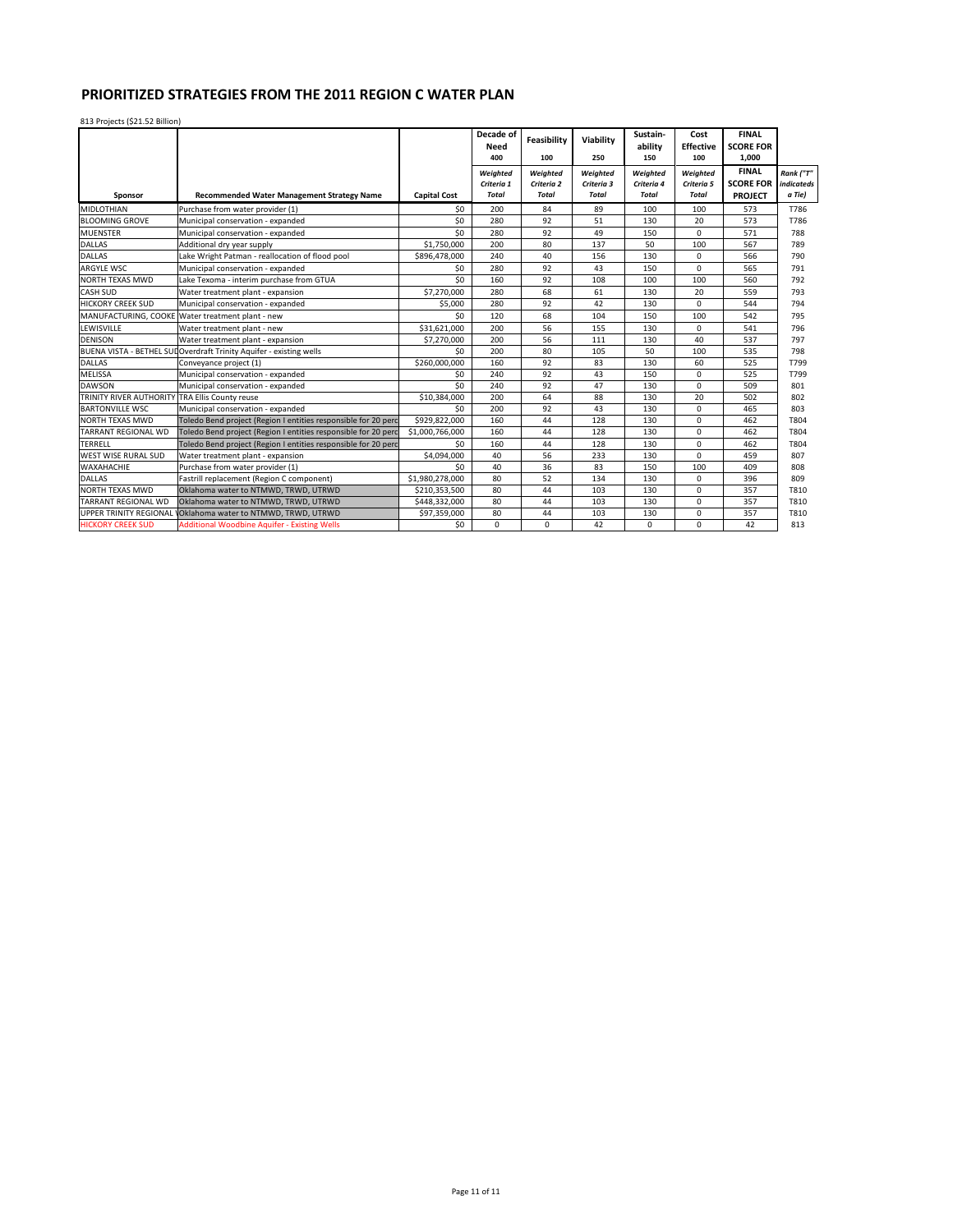|                                |                                                                     |                     | Decade of<br>Need<br>400               | <b>Feasibility</b><br>100              | Viability<br>250                       | Sustain-<br>ability<br>150             | Cost<br><b>Effective</b><br>100        | <b>FINAL</b><br><b>SCORE FOR</b><br>1,000          |                                   |
|--------------------------------|---------------------------------------------------------------------|---------------------|----------------------------------------|----------------------------------------|----------------------------------------|----------------------------------------|----------------------------------------|----------------------------------------------------|-----------------------------------|
| Sponsor                        | <b>Recommended Water Management Strategy Name</b>                   | <b>Capital Cost</b> | Weighted<br>Criteria 1<br><b>Total</b> | Weighted<br>Criteria 2<br><b>Total</b> | Weighted<br>Criteria 3<br><b>Total</b> | Weighted<br>Criteria 4<br><b>Total</b> | Weighted<br>Criteria 5<br><b>Total</b> | <b>FINAL</b><br><b>SCORE FOR</b><br><b>PROJECT</b> | Rank ("T"<br>indicateds<br>a Tie) |
| <b>MIDLOTHIAN</b>              | Purchase from water provider (1)                                    | \$0                 | 200                                    | 84                                     | 89                                     | 100                                    | 100                                    | 573                                                | T786                              |
| <b>BLOOMING GROVE</b>          | Municipal conservation - expanded                                   | 50                  | 280                                    | 92                                     | 51                                     | 130                                    | 20                                     | 573                                                | T786                              |
| <b>MUENSTER</b>                | Municipal conservation - expanded                                   | \$0                 | 280                                    | 92                                     | 49                                     | 150                                    | 0                                      | 571                                                | 788                               |
| <b>DALLAS</b>                  | Additional dry year supply                                          | \$1,750,000         | 200                                    | 80                                     | 137                                    | 50                                     | 100                                    | 567                                                | 789                               |
| <b>DALLAS</b>                  | Lake Wright Patman - reallocation of flood pool                     | \$896,478,000       | 240                                    | 40                                     | 156                                    | 130                                    | $\mathbf 0$                            | 566                                                | 790                               |
| ARGYLE WSC                     | Municipal conservation - expanded                                   | \$0                 | 280                                    | 92                                     | 43                                     | 150                                    | $\mathbf 0$                            | 565                                                | 791                               |
| <b>NORTH TEXAS MWD</b>         | Lake Texoma - interim purchase from GTUA                            | 50                  | 160                                    | 92                                     | 108                                    | 100                                    | 100                                    | 560                                                | 792                               |
| <b>CASH SUD</b>                | Water treatment plant - expansion                                   | \$7,270,000         | 280                                    | 68                                     | 61                                     | 130                                    | 20                                     | 559                                                | 793                               |
| <b>HICKORY CREEK SUD</b>       | Municipal conservation - expanded                                   | \$5,000             | 280                                    | 92                                     | 42                                     | 130                                    | 0                                      | 544                                                | 794                               |
|                                | MANUFACTURING. COOKE Water treatment plant - new                    | \$0                 | 120                                    | 68                                     | 104                                    | 150                                    | 100                                    | 542                                                | 795                               |
| LEWISVILLE                     | Water treatment plant - new                                         | \$31,621,000        | 200                                    | 56                                     | 155                                    | 130                                    | $\Omega$                               | 541                                                | 796                               |
| <b>DENISON</b>                 | Water treatment plant - expansion                                   | \$7,270,000         | 200                                    | 56                                     | 111                                    | 130                                    | 40                                     | 537                                                | 797                               |
|                                | BUENA VISTA - BETHEL SUI Overdraft Trinity Aquifer - existing wells | \$0                 | 200                                    | 80                                     | 105                                    | 50                                     | 100                                    | 535                                                | 798                               |
| <b>DALLAS</b>                  | Conveyance project (1)                                              | \$260,000,000       | 160                                    | 92                                     | 83                                     | 130                                    | 60                                     | 525                                                | T799                              |
| MELISSA                        | Municipal conservation - expanded                                   | \$0                 | 240                                    | 92                                     | 43                                     | 150                                    | 0                                      | 525                                                | T799                              |
| <b>DAWSON</b>                  | Municipal conservation - expanded                                   | \$0                 | 240                                    | 92                                     | 47                                     | 130                                    | $\Omega$                               | 509                                                | 801                               |
| <b>TRINITY RIVER AUTHORITY</b> | <b>TRA Ellis County reuse</b>                                       | \$10,384,000        | 200                                    | 64                                     | 88                                     | 130                                    | 20                                     | 502                                                | 802                               |
| <b>BARTONVILLE WSC</b>         | Municipal conservation - expanded                                   | \$0                 | 200                                    | 92                                     | 43                                     | 130                                    | $\mathbf 0$                            | 465                                                | 803                               |
| <b>NORTH TEXAS MWD</b>         | Toledo Bend project (Region I entities responsible for 20 perc      | \$929.822.000       | 160                                    | 44                                     | 128                                    | 130                                    | $\Omega$                               | 462                                                | T804                              |
| <b>TARRANT REGIONAL WD</b>     | Toledo Bend project (Region I entities responsible for 20 perc      | \$1,000,766,000     | 160                                    | 44                                     | 128                                    | 130                                    | $\Omega$                               | 462                                                | T804                              |
| <b>TERRELL</b>                 | Toledo Bend project (Region I entities responsible for 20 perc      | \$0                 | 160                                    | 44                                     | 128                                    | 130                                    | $\mathbf 0$                            | 462                                                | T804                              |
| <b>WEST WISE RURAL SUD</b>     | Water treatment plant - expansion                                   | \$4,094,000         | 40                                     | 56                                     | 233                                    | 130                                    | $\Omega$                               | 459                                                | 807                               |
| WAXAHACHIE                     | Purchase from water provider (1)                                    | \$0                 | 40                                     | 36                                     | 83                                     | 150                                    | 100                                    | 409                                                | 808                               |
| <b>DALLAS</b>                  | Fastrill replacement (Region C component)                           | \$1,980,278,000     | 80                                     | 52                                     | 134                                    | 130                                    | $\Omega$                               | 396                                                | 809                               |
| <b>NORTH TEXAS MWD</b>         | Oklahoma water to NTMWD. TRWD. UTRWD                                | \$210,353,500       | 80                                     | 44                                     | 103                                    | 130                                    | $\Omega$                               | 357                                                | T810                              |
| TARRANT REGIONAL WD            | Oklahoma water to NTMWD, TRWD, UTRWD                                | \$448,332,000       | 80                                     | 44                                     | 103                                    | 130                                    | $\Omega$                               | 357                                                | T810                              |
| <b>UPPER TRINITY REGIONAL</b>  | Oklahoma water to NTMWD, TRWD, UTRWD                                | \$97,359,000        | 80                                     | 44                                     | 103                                    | 130                                    | $\Omega$                               | 357                                                | T810                              |
| <b>HICKORY CREEK SUD</b>       | <b>Additional Woodbine Aquifer - Existing Wells</b>                 | \$0                 | $\mathbf 0$                            | $\mathbf 0$                            | 42                                     | 0                                      | $\Omega$                               | 42                                                 | 813                               |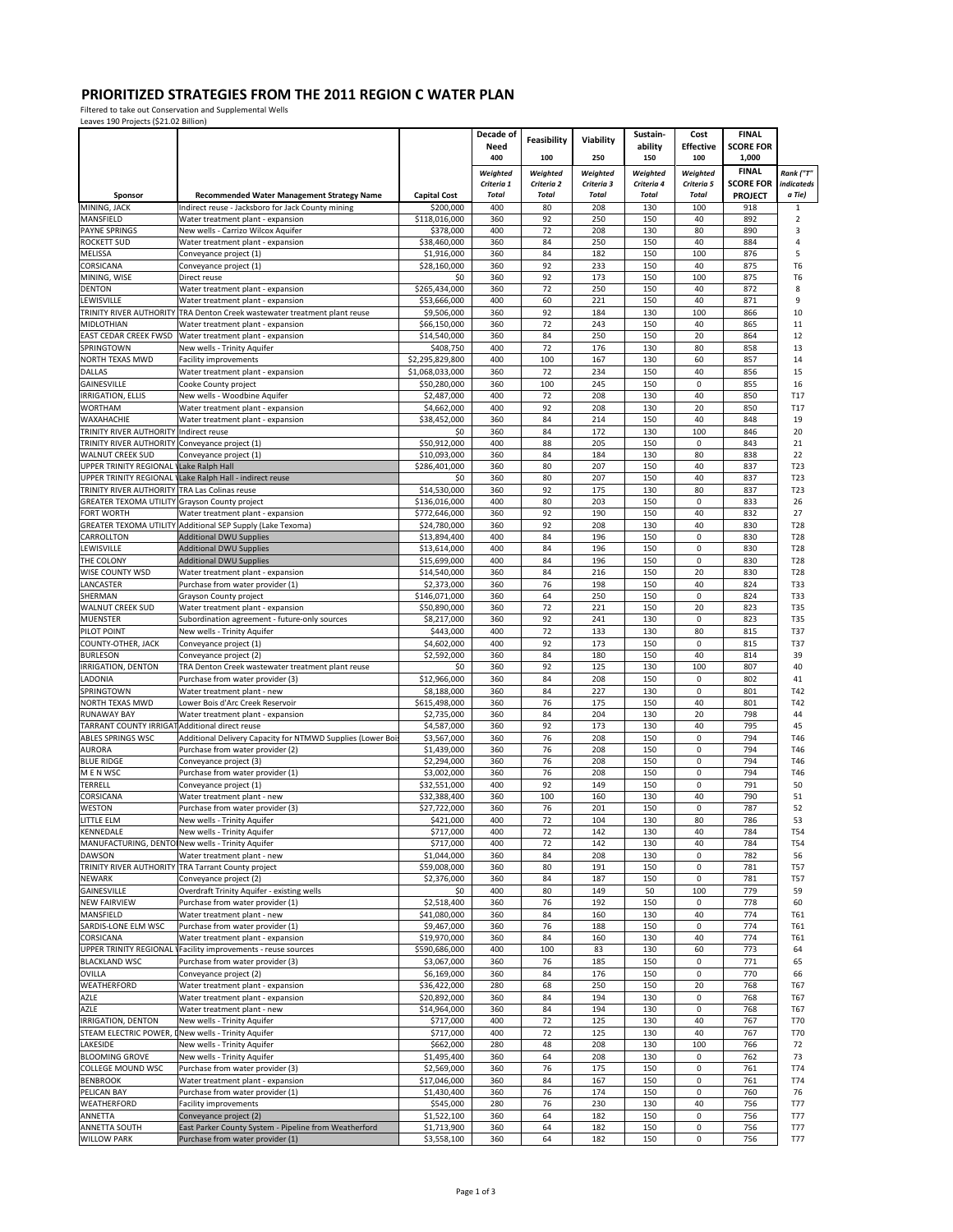Filtered to take out Conservation and Supplemental Wells Leaves 190 Projects (\$21.02 Billion)

|                                                                     |                                                                                        |                               | Decade of              |                        |                        | Sustain-               | Cost                   | <b>FINAL</b>                     |                          |
|---------------------------------------------------------------------|----------------------------------------------------------------------------------------|-------------------------------|------------------------|------------------------|------------------------|------------------------|------------------------|----------------------------------|--------------------------|
|                                                                     |                                                                                        |                               | Need                   | Feasibility            | Viability              | ability                | <b>Effective</b>       | <b>SCORE FOR</b>                 |                          |
|                                                                     |                                                                                        |                               | 400                    | 100                    | 250                    | 150                    | 100                    | 1,000                            |                          |
|                                                                     |                                                                                        |                               | Weighted<br>Criteria 1 | Weighted<br>Criteria 2 | Weighted<br>Criteria 3 | Weighted<br>Criteria 4 | Weighted<br>Criteria 5 | <b>FINAL</b><br><b>SCORE FOR</b> | Rank ("T"<br>indicateds  |
| Sponsor                                                             | Recommended Water Management Strategy Name                                             | <b>Capital Cost</b>           | <b>Total</b>           | <b>Total</b>           | <b>Total</b>           | <b>Total</b>           | <b>Total</b>           | <b>PROJECT</b>                   | a Tie)                   |
| MINING, JACK                                                        | Indirect reuse - Jacksboro for Jack County mining                                      | \$200,000                     | 400                    | 80                     | 208                    | 130                    | 100                    | 918                              | $\mathbf{1}$             |
| MANSFIELD<br><b>PAYNE SPRINGS</b>                                   | Water treatment plant - expansion                                                      | \$118,016,000                 | 360<br>400             | 92<br>72               | 250<br>208             | 150<br>130             | 40<br>80               | 892<br>890                       | $\overline{2}$<br>3      |
| <b>ROCKETT SUD</b>                                                  | New wells - Carrizo Wilcox Aquifer<br>Water treatment plant - expansion                | \$378,000<br>\$38,460,000     | 360                    | 84                     | 250                    | 150                    | 40                     | 884                              | 4                        |
| MELISSA                                                             | Conveyance project (1)                                                                 | \$1,916,000                   | 360                    | 84                     | 182                    | 150                    | 100                    | 876                              | 5                        |
| CORSICANA                                                           | Conveyance project (1)                                                                 | \$28,160,000                  | 360                    | 92                     | 233                    | 150                    | 40                     | 875                              | T <sub>6</sub>           |
| MINING, WISE<br><b>DENTON</b>                                       | Direct reuse<br>Water treatment plant - expansion                                      | \$0<br>\$265,434,000          | 360<br>360             | 92<br>72               | 173<br>250             | 150<br>150             | 100<br>40              | 875<br>872                       | T <sub>6</sub><br>8      |
| LEWISVILLE                                                          | Water treatment plant - expansion                                                      | \$53,666,000                  | 400                    | 60                     | 221                    | 150                    | 40                     | 871                              | 9                        |
|                                                                     | TRINITY RIVER AUTHORITY TRA Denton Creek wastewater treatment plant reuse              | \$9,506,000                   | 360                    | 92                     | 184                    | 130                    | 100                    | 866                              | 10                       |
| MIDLOTHIAN                                                          | Water treatment plant - expansion                                                      | \$66,150,000                  | 360                    | 72                     | 243                    | 150                    | 40                     | 865                              | 11                       |
| SPRINGTOWN                                                          | EAST CEDAR CREEK FWSD Water treatment plant - expansion<br>New wells - Trinity Aquifer | \$14,540,000<br>\$408,750     | 360<br>400             | 84<br>72               | 250<br>176             | 150<br>130             | 20<br>80               | 864<br>858                       | 12<br>13                 |
| NORTH TEXAS MWD                                                     | <b>Facility improvements</b>                                                           | \$2,295,829,800               | 400                    | 100                    | 167                    | 130                    | 60                     | 857                              | 14                       |
| DALLAS                                                              | Water treatment plant - expansion                                                      | \$1,068,033,000               | 360                    | 72                     | 234                    | 150                    | 40                     | 856                              | 15                       |
| GAINESVILLE                                                         | Cooke County project                                                                   | \$50,280,000                  | 360                    | 100                    | 245                    | 150                    | $\pmb{0}$              | 855                              | 16                       |
| <b>IRRIGATION, ELLIS</b>                                            | New wells - Woodbine Aquifer                                                           | \$2,487,000                   | 400                    | 72<br>92               | 208                    | 130                    | 40                     | 850                              | T17                      |
| <b>WORTHAM</b><br>WAXAHACHIE                                        | Water treatment plant - expansion<br>Water treatment plant - expansion                 | \$4,662,000<br>\$38,452,000   | 400<br>360             | 84                     | 208<br>214             | 130<br>150             | 20<br>40               | 850<br>848                       | T17<br>19                |
| TRINITY RIVER AUTHORITY                                             | Indirect reuse                                                                         | \$0                           | 360                    | 84                     | 172                    | 130                    | 100                    | 846                              | 20                       |
| TRINITY RIVER AUTHORITY                                             | Conveyance project (1)                                                                 | \$50,912,000                  | 400                    | 88                     | 205                    | 150                    | $\mathbf 0$            | 843                              | 21                       |
| <b>WALNUT CREEK SUD</b>                                             | Conveyance project (1)                                                                 | \$10.093.000                  | 360                    | 84                     | 184                    | 130                    | 80                     | 838                              | 22                       |
| UPPER TRINITY REGIONAL Lake Ralph Hall                              | UPPER TRINITY REGIONAL Lake Ralph Hall - indirect reuse                                | \$286,401,000<br>\$0          | 360<br>360             | 80<br>80               | 207<br>207             | 150<br>150             | 40<br>40               | 837<br>837                       | T23<br>T23               |
| TRINITY RIVER AUTHORITY TRA Las Colinas reuse                       |                                                                                        | \$14,530,000                  | 360                    | 92                     | 175                    | 130                    | 80                     | 837                              | T23                      |
| GREATER TEXOMA UTILITY Grayson County project                       |                                                                                        | \$136,016,000                 | 400                    | 80                     | 203                    | 150                    | $\mathbf 0$            | 833                              | 26                       |
| FORT WORTH                                                          | Water treatment plant - expansion                                                      | \$772,646,000                 | 360                    | 92                     | 190                    | 150                    | 40                     | 832                              | 27                       |
| CARROLLTON                                                          | GREATER TEXOMA UTILITY Additional SEP Supply (Lake Texoma)                             | \$24,780,000<br>\$13,894,400  | 360<br>400             | 92<br>84               | 208<br>196             | 130<br>150             | 40<br>0                | 830<br>830                       | <b>T28</b><br>T28        |
| LEWISVILLE                                                          | Additional DWU Supplies<br><b>Additional DWU Supplies</b>                              | \$13,614,000                  | 400                    | 84                     | 196                    | 150                    | 0                      | 830                              | <b>T28</b>               |
| THE COLONY                                                          | Additional DWU Supplies                                                                | \$15,699,000                  | 400                    | 84                     | 196                    | 150                    | $\pmb{0}$              | 830                              | T28                      |
| WISE COUNTY WSD                                                     | Water treatment plant - expansion                                                      | \$14,540,000                  | 360                    | 84                     | 216                    | 150                    | 20                     | 830                              | T28                      |
| LANCASTER                                                           | Purchase from water provider (1)                                                       | \$2,373,000                   | 360                    | 76                     | 198                    | 150                    | 40                     | 824                              | T33                      |
| SHERMAN<br><b>WALNUT CREEK SUD</b>                                  | Grayson County project<br>Water treatment plant - expansion                            | \$146,071,000<br>\$50,890,000 | 360<br>360             | 64<br>72               | 250<br>221             | 150<br>150             | $\pmb{0}$<br>20        | 824<br>823                       | T33<br>T35               |
| <b>MUENSTER</b>                                                     | Subordination agreement - future-only sources                                          | \$8,217,000                   | 360                    | 92                     | 241                    | 130                    | 0                      | 823                              | <b>T35</b>               |
| PILOT POINT                                                         | New wells - Trinity Aquifer                                                            | \$443,000                     | 400                    | 72                     | 133                    | 130                    | 80                     | 815                              | T37                      |
| COUNTY-OTHER, JACK                                                  | Conveyance project (1)                                                                 | \$4,602,000                   | 400                    | 92                     | 173                    | 150                    | $\mathbf 0$            | 815                              | T37                      |
| <b>BURLESON</b><br>IRRIGATION, DENTON                               | Conveyance project (2)<br>TRA Denton Creek wastewater treatment plant reuse            | \$2,592,000<br>\$0            | 360<br>360             | 84<br>92               | 180<br>125             | 150<br>130             | 40<br>100              | 814<br>807                       | 39<br>40                 |
| LADONIA                                                             | Purchase from water provider (3)                                                       | \$12,966,000                  | 360                    | 84                     | 208                    | 150                    | $\mathsf 0$            | 802                              | 41                       |
| SPRINGTOWN                                                          | Water treatment plant - new                                                            | \$8,188,000                   | 360                    | 84                     | 227                    | 130                    | $\pmb{0}$              | 801                              | T42                      |
| NORTH TEXAS MWD                                                     | Lower Bois d'Arc Creek Reservoir                                                       | \$615,498,000                 | 360                    | 76                     | 175                    | 150                    | 40                     | 801                              | T42                      |
| <b>RUNAWAY BAY</b>                                                  | Water treatment plant - expansion                                                      | \$2,735,000                   | 360                    | 84                     | 204                    | 130                    | 20                     | 798                              | 44                       |
| TARRANT COUNTY IRRIGAT Additional direct reuse<br>ABLES SPRINGS WSC | Additional Delivery Capacity for NTMWD Supplies (Lower Boi                             | \$4,587,000<br>\$3,567,000    | 360<br>360             | 92<br>76               | 173<br>208             | 130<br>150             | 40<br>$\pmb{0}$        | 795<br>794                       | 45<br>T46                |
| <b>AURORA</b>                                                       | Purchase from water provider (2)                                                       | \$1,439,000                   | 360                    | 76                     | 208                    | 150                    | $\pmb{0}$              | 794                              | T46                      |
| <b>BLUE RIDGE</b>                                                   | Conveyance project (3)                                                                 | \$2,294,000                   | 360                    | 76                     | 208                    | 150                    | $\pmb{0}$              | 794                              | T46                      |
| M E N WSC                                                           | Purchase from water provider (1)                                                       | \$3,002,000                   | 360                    | 76                     | 208                    | 150                    | 0                      | 794                              | T46                      |
| TERRELL<br>CORSICANA                                                | Conveyance project (1)<br>Water treatment plant - new                                  | \$32,551,000<br>\$32,388,400  | 400<br>360             | 92<br>100              | 149<br>160             | 150<br>130             | 0<br>40                | 791<br>790                       | 50<br>51                 |
| <b>WESTON</b>                                                       | Purchase from water provider (3)                                                       | \$27,722,000                  | 360                    | 76                     | 201                    | 150                    | $\pmb{0}$              | 787                              | 52                       |
| LITTLE ELM                                                          | New wells - Trinity Aquifer                                                            | \$421.000                     | 400                    | 72                     | 104                    | 130                    | 80                     | 786                              | 53                       |
| KENNEDALE                                                           | New wells - Trinity Aquifer                                                            | \$717,000                     | 400                    | 72                     | 142                    | 130                    | 40                     | 784                              | <b>T54</b>               |
| <b>DAWSON</b>                                                       | MANUFACTURING, DENTO New wells - Trinity Aquifer<br>Water treatment plant - new        | \$717,000<br>\$1.044.000      | 400<br>360             | 72<br>84               | 142<br>208             | 130<br>130             | 40<br>0                | 784<br>782                       | T54<br>56                |
|                                                                     | TRINITY RIVER AUTHORITY TRA Tarrant County project                                     | \$59,008,000                  | 360                    | 80                     | 191                    | 150                    | 0                      | 781                              | <b>T57</b>               |
| <b>NEWARK</b>                                                       | Conveyance project (2)                                                                 | \$2,376,000                   | 360                    | 84                     | 187                    | 150                    | 0                      | 781                              | <b>T57</b>               |
| GAINESVILLE                                                         | Overdraft Trinity Aquifer - existing wells                                             | \$0                           | 400                    | 80                     | 149                    | 50                     | 100                    | 779                              | 59                       |
| <b>NEW FAIRVIEW</b><br>MANSFIELD                                    | Purchase from water provider (1)                                                       | \$2,518,400<br>\$41,080,000   | 360<br>360             | 76<br>84               | 192                    | 150<br>130             | $\mathbf 0$<br>40      | 778<br>774                       | 60                       |
| SARDIS-LONE ELM WSC                                                 | Water treatment plant - new<br>Purchase from water provider (1)                        | \$9,467,000                   | 360                    | 76                     | 160<br>188             | 150                    | $\mathbf 0$            | 774                              | T61<br>T61               |
| CORSICANA                                                           | Water treatment plant - expansion                                                      | \$19,970,000                  | 360                    | 84                     | 160                    | 130                    | 40                     | 774                              | T61                      |
|                                                                     | UPPER TRINITY REGIONAL \Facility improvements - reuse sources                          | \$590,686,000                 | 400                    | 100                    | 83                     | 130                    | 60                     | 773                              | 64                       |
| <b>BLACKLAND WSC</b>                                                | Purchase from water provider (3)                                                       | \$3,067,000                   | 360                    | 76                     | 185                    | 150                    | $\pmb{0}$              | 771                              | 65                       |
| OVILLA<br>WEATHERFORD                                               | Conveyance project (2)<br>Water treatment plant - expansion                            | \$6,169,000<br>\$36,422,000   | 360<br>280             | 84<br>68               | 176<br>250             | 150<br>150             | 0<br>20                | 770<br>768                       | 66<br>T67                |
| AZLE                                                                | Water treatment plant - expansion                                                      | \$20,892,000                  | 360                    | 84                     | 194                    | 130                    | $\mathsf 0$            | 768                              | T67                      |
| AZLE                                                                | Water treatment plant - new                                                            | \$14,964,000                  | 360                    | 84                     | 194                    | 130                    | 0                      | 768                              | T67                      |
| IRRIGATION, DENTON                                                  | New wells - Trinity Aquifer                                                            | \$717,000                     | 400                    | 72                     | 125                    | 130                    | 40                     | 767                              | <b>T70</b>               |
| LAKESIDE                                                            | STEAM ELECTRIC POWER, I New wells - Trinity Aquifer                                    | \$717,000                     | 400<br>280             | 72<br>48               | 125                    | 130<br>130             | 40<br>100              | 767<br>766                       | T70                      |
| <b>BLOOMING GROVE</b>                                               | New wells - Trinity Aquifer<br>New wells - Trinity Aquifer                             | \$662,000<br>\$1,495,400      | 360                    | 64                     | 208<br>208             | 130                    | 0                      | 762                              | 72<br>73                 |
| COLLEGE MOUND WSC                                                   | Purchase from water provider (3)                                                       | \$2,569,000                   | 360                    | 76                     | 175                    | 150                    | $\mathsf 0$            | 761                              | T74                      |
| <b>BENBROOK</b>                                                     | Water treatment plant - expansion                                                      | \$17,046,000                  | 360                    | 84                     | 167                    | 150                    | 0                      | 761                              | T74                      |
| PELICAN BAY                                                         | Purchase from water provider (1)                                                       | \$1,430,400                   | 360                    | 76                     | 174                    | 150                    | $\mathbf 0$            | 760                              | 76                       |
| WEATHERFORD<br>ANNETTA                                              | Facility improvements<br>Conveyance project (2)                                        | \$545,000<br>\$1,522,100      | 280<br>360             | 76<br>64               | 230<br>182             | 130<br>150             | 40<br>$\pmb{0}$        | 756<br>756                       | <b>T77</b><br><b>T77</b> |
| ANNETTA SOUTH                                                       | East Parker County System - Pipeline from Weatherford                                  | \$1,713,900                   | 360                    | 64                     | 182                    | 150                    | 0                      | 756                              | <b>T77</b>               |
| <b>WILLOW PARK</b>                                                  | Purchase from water provider (1)                                                       | \$3,558,100                   | 360                    | 64                     | 182                    | 150                    | 0                      | 756                              | <b>T77</b>               |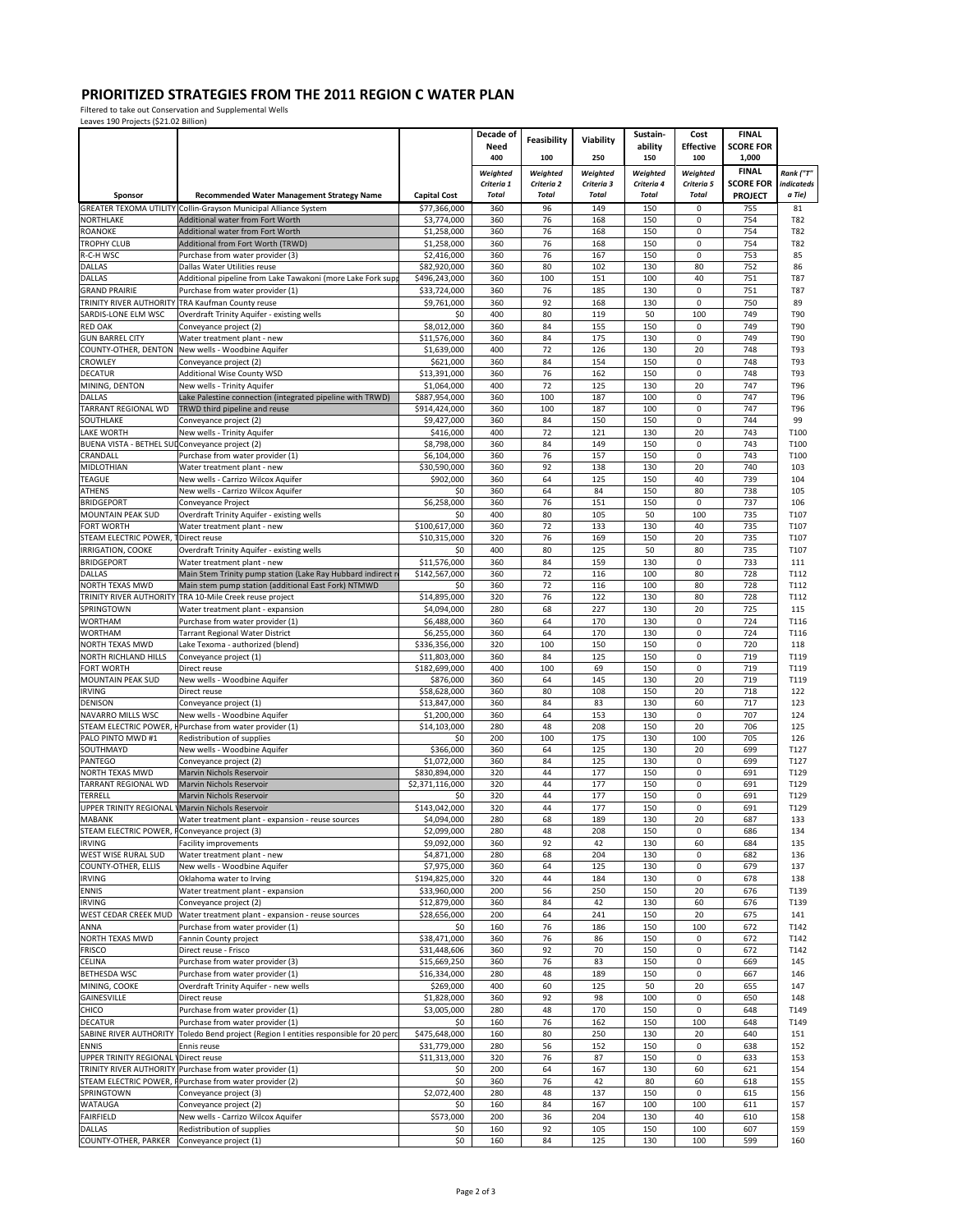Filtered to take out Conservation and Supplemental Wells Leaves 190 Projects (\$21.02 Billion)

| ECUVES ISO I TOJECES (SEITOE BILIOIT)          |                                                                                                                    |                               | Decade of              |                        |                        | Sustain-               | Cost                       | <b>FINAL</b>                     |                         |
|------------------------------------------------|--------------------------------------------------------------------------------------------------------------------|-------------------------------|------------------------|------------------------|------------------------|------------------------|----------------------------|----------------------------------|-------------------------|
|                                                |                                                                                                                    |                               | Need                   | Feasibility            | Viability              | ability                | <b>Effective</b>           | <b>SCORE FOR</b>                 |                         |
|                                                |                                                                                                                    |                               | 400                    | 100                    | 250                    | 150                    | 100                        | 1,000                            |                         |
|                                                |                                                                                                                    |                               | Weighted<br>Criteria 1 | Weighted<br>Criteria 2 | Weighted<br>Criteria 3 | Weighted<br>Criteria 4 | Weighted<br>Criteria 5     | <b>FINAL</b><br><b>SCORE FOR</b> | Rank ("T"<br>indicateds |
| Sponsor                                        | Recommended Water Management Strategy Name                                                                         | <b>Capital Cost</b>           | <b>Total</b>           | <b>Total</b>           | <b>Total</b>           | <b>Total</b>           | <b>Total</b>               | <b>PROJECT</b>                   | a Tie)                  |
| <b>GREATER TEXOMA UTILITY</b>                  | Collin-Gravson Municipal Alliance System                                                                           | \$77,366,000                  | 360                    | 96                     | 149                    | 150                    | 0                          | 755                              | 81                      |
| <b>NORTHLAKE</b>                               | Additional water from Fort Worth                                                                                   | \$3,774,000                   | 360                    | 76                     | 168                    | 150                    | 0                          | 754                              | T82                     |
| <b>ROANOKE</b>                                 | Additional water from Fort Worth                                                                                   | \$1,258,000                   | 360                    | 76                     | 168                    | 150                    | 0                          | 754                              | T82                     |
| <b>TROPHY CLUB</b><br>R-C-H WSC                | Additional from Fort Worth (TRWD)<br>Purchase from water provider (3)                                              | \$1,258,000<br>\$2,416,000    | 360<br>360             | 76<br>76               | 168<br>167             | 150<br>150             | $\mathbf 0$<br>0           | 754<br>753                       | T82<br>85               |
| DALLAS                                         | Dallas Water Utilities reuse                                                                                       | \$82,920,000                  | 360                    | 80                     | 102                    | 130                    | 80                         | 752                              | 86                      |
| DALLAS                                         | Additional pipeline from Lake Tawakoni (more Lake Fork sup                                                         | \$496,243,000                 | 360                    | 100                    | 151                    | 100                    | 40                         | 751                              | <b>T87</b>              |
| <b>GRAND PRAIRIE</b>                           | Purchase from water provider (1)                                                                                   | \$33,724,000                  | 360                    | 76                     | 185                    | 130                    | 0                          | 751                              | <b>T87</b>              |
| TRINITY RIVER AUTHORITY<br>SARDIS-LONE ELM WSC | TRA Kaufman County reuse                                                                                           | \$9,761,000<br>\$0            | 360<br>400             | 92<br>80               | 168<br>119             | 130<br>50              | $\mathbf 0$<br>100         | 750<br>749                       | 89<br>T90               |
| <b>RED OAK</b>                                 | Overdraft Trinity Aquifer - existing wells<br>Conveyance project (2)                                               | \$8,012,000                   | 360                    | 84                     | 155                    | 150                    | $\mathbf 0$                | 749                              | T90                     |
| <b>GUN BARREL CITY</b>                         | Water treatment plant - new                                                                                        | \$11,576,000                  | 360                    | 84                     | 175                    | 130                    | 0                          | 749                              | T90                     |
| COUNTY-OTHER, DENTON                           | New wells - Woodbine Aquifer                                                                                       | \$1,639,000                   | 400                    | 72                     | 126                    | 130                    | 20                         | 748                              | T93                     |
| CROWLEY                                        | Conveyance project (2)                                                                                             | \$621,000                     | 360                    | 84                     | 154                    | 150                    | $\mathbf 0$                | 748                              | T93                     |
| <b>DECATUR</b><br>MINING, DENTON               | <b>Additional Wise County WSD</b><br>New wells - Trinity Aquifer                                                   | \$13,391,000<br>\$1,064,000   | 360<br>400             | 76<br>72               | 162<br>125             | 150<br>130             | 0<br>20                    | 748<br>747                       | T93<br>T96              |
| <b>DALLAS</b>                                  | Lake Palestine connection (integrated pipeline with TRWD)                                                          | \$887,954,000                 | 360                    | 100                    | 187                    | 100                    | 0                          | 747                              | T96                     |
| TARRANT REGIONAL WD                            | TRWD third pipeline and reuse                                                                                      | \$914,424,000                 | 360                    | 100                    | 187                    | 100                    | 0                          | 747                              | T96                     |
| SOUTHLAKE                                      | Conveyance project (2)                                                                                             | \$9,427,000                   | 360                    | 84                     | 150                    | 150                    | 0                          | 744                              | 99                      |
| LAKE WORTH                                     | New wells - Trinity Aquifer                                                                                        | \$416,000<br>\$8,798,000      | 400<br>360             | 72<br>84               | 121<br>149             | 130<br>150             | 20<br>0                    | 743<br>743                       | T100<br>T100            |
| BUENA VISTA - BETHEL SUD<br>CRANDALL           | Conveyance project (2)<br>Purchase from water provider (1)                                                         | \$6.104.000                   | 360                    | 76                     | 157                    | 150                    | 0                          | 743                              | T100                    |
| MIDLOTHIAN                                     | Water treatment plant - new                                                                                        | \$30,590,000                  | 360                    | 92                     | 138                    | 130                    | 20                         | 740                              | 103                     |
| <b>TEAGUE</b>                                  | New wells - Carrizo Wilcox Aquifer                                                                                 | \$902,000                     | 360                    | 64                     | 125                    | 150                    | 40                         | 739                              | 104                     |
| <b>ATHENS</b>                                  | New wells - Carrizo Wilcox Aquifer                                                                                 | \$0                           | 360                    | 64<br>76               | 84                     | 150<br>150             | 80                         | 738                              | 105                     |
| <b>BRIDGEPORT</b><br>MOUNTAIN PEAK SUD         | Conveyance Project<br>Overdraft Trinity Aquifer - existing wells                                                   | \$6,258,000<br>\$0            | 360<br>400             | 80                     | 151<br>105             | 50                     | 0<br>100                   | 737<br>735                       | 106<br>T107             |
| <b>FORT WORTH</b>                              | Water treatment plant - new                                                                                        | \$100,617,000                 | 360                    | 72                     | 133                    | 130                    | 40                         | 735                              | T107                    |
| STEAM ELECTRIC POWER. 1                        | Direct reuse                                                                                                       | \$10,315,000                  | 320                    | 76                     | 169                    | 150                    | 20                         | 735                              | T107                    |
| IRRIGATION, COOKE                              | Overdraft Trinity Aquifer - existing wells                                                                         | \$0                           | 400                    | 80                     | 125                    | 50                     | 80                         | 735                              | T107                    |
| <b>BRIDGEPORT</b><br><b>DALLAS</b>             | Water treatment plant - new                                                                                        | \$11,576,000<br>\$142,567,000 | 360<br>360             | 84<br>72               | 159<br>116             | 130<br>100             | 0<br>80                    | 733<br>728                       | 111<br>T112             |
| NORTH TEXAS MWD                                | Main Stem Trinity pump station (Lake Ray Hubbard indirect n<br>Main stem pump station (additional East Fork) NTMWD | \$0                           | 360                    | 72                     | 116                    | 100                    | 80                         | 728                              | T112                    |
| TRINITY RIVER AUTHORITY                        | TRA 10-Mile Creek reuse project                                                                                    | \$14,895,000                  | 320                    | 76                     | 122                    | 130                    | 80                         | 728                              | T112                    |
| SPRINGTOWN                                     | Water treatment plant - expansion                                                                                  | \$4,094,000                   | 280                    | 68                     | 227                    | 130                    | 20                         | 725                              | 115                     |
| <b>WORTHAM</b>                                 | Purchase from water provider (1)                                                                                   | \$6,488,000                   | 360                    | 64                     | 170                    | 130                    | $\mathbf 0$                | 724                              | T116                    |
| <b>WORTHAM</b><br>NORTH TEXAS MWD              | <b>Tarrant Regional Water District</b><br>Lake Texoma - authorized (blend)                                         | \$6,255,000<br>\$336,356,000  | 360<br>320             | 64<br>100              | 170<br>150             | 130<br>150             | 0<br>$\mathbf 0$           | 724<br>720                       | T116<br>118             |
| <b>NORTH RICHLAND HILLS</b>                    | Conveyance project (1)                                                                                             | \$11,803,000                  | 360                    | 84                     | 125                    | 150                    | $\mathbf 0$                | 719                              | T119                    |
| <b>FORT WORTH</b>                              | Direct reuse                                                                                                       | \$182,699,000                 | 400                    | 100                    | 69                     | 150                    | $\mathbf 0$                | 719                              | T119                    |
| MOUNTAIN PEAK SUD                              | New wells - Woodbine Aquifer                                                                                       | \$876,000                     | 360                    | 64                     | 145                    | 130                    | 20                         | 719                              | T119                    |
| <b>IRVING</b><br><b>DENISON</b>                | Direct reuse<br>Conveyance project (1)                                                                             | \$58,628,000<br>\$13,847,000  | 360<br>360             | 80<br>84               | 108<br>83              | 150<br>130             | 20<br>60                   | 718<br>717                       | 122<br>123              |
| NAVARRO MILLS WSC                              | New wells - Woodbine Aquifer                                                                                       | \$1,200,000                   | 360                    | 64                     | 153                    | 130                    | $\mathbf 0$                | 707                              | 124                     |
| STEAM ELECTRIC POWER, <b>H</b>                 | Purchase from water provider (1)                                                                                   | \$14,103,000                  | 280                    | 48                     | 208                    | 150                    | 20                         | 706                              | 125                     |
| PALO PINTO MWD #1                              | Redistribution of supplies                                                                                         | \$0                           | 200                    | 100                    | 175                    | 130                    | 100                        | 705                              | 126                     |
| SOUTHMAYD<br>PANTEGO                           | New wells - Woodbine Aquifer<br>Conveyance project (2)                                                             | \$366,000<br>\$1,072,000      | 360<br>360             | 64<br>84               | 125<br>125             | 130<br>130             | 20<br>0                    | 699<br>699                       | T127<br>T127            |
| NORTH TEXAS MWD                                | Marvin Nichols Reservoir                                                                                           | \$830,894,000                 | 320                    | 44                     | 177                    | 150                    | 0                          | 691                              | T129                    |
| TARRANT REGIONAL WD                            | Marvin Nichols Reservoir                                                                                           | \$2,371,116,000               | 320                    | 44                     | 177                    | 150                    | $\mathbf 0$                | 691                              | T129                    |
| TERRELL                                        | Marvin Nichols Reservoir                                                                                           | \$0                           | 320                    | 44                     | 177                    | 150                    | 0                          | 691                              | T129                    |
| UPPER TRINITY REGIONAL<br><b>MABANK</b>        | Marvin Nichols Reservoir<br>Water treatment plant - expansion - reuse sources                                      | \$143,042,000<br>\$4,094,000  | 320<br>280             | 44<br>68               | 177<br>189             | 150<br>130             | $\mathbf 0$<br>20          | 691<br>687                       | T129<br>133             |
| STEAM ELECTRIC POWER,                          | Conveyance project (3)                                                                                             | \$2,099,000                   | 280                    | 48                     | 208                    | 150                    | $\mathbf 0$                | 686                              | 134                     |
| <b>IRVING</b>                                  | <b>Facility improvements</b>                                                                                       | \$9,092,000                   | 360                    | 92                     | 42                     | 130                    | 60                         | 684                              | 135                     |
| <b>WEST WISE RURAL SUD</b>                     | Water treatment plant - new                                                                                        | \$4,871,000                   | 280                    | 68                     | 204                    | 130                    | 0                          | 682                              | 136                     |
| COUNTY-OTHER, ELLIS                            | New wells - Woodbine Aquifer                                                                                       | \$7,975,000<br>\$194,825,000  | 360                    | 64                     | 125                    | 130                    | 0                          | 679                              | 137                     |
| <b>IRVING</b><br><b>ENNIS</b>                  | Oklahoma water to Irving<br>Water treatment plant - expansion                                                      | \$33,960,000                  | 320<br>200             | 44<br>56               | 184<br>250             | 130<br>150             | 0<br>20                    | 678<br>676                       | 138<br>T139             |
| <b>IRVING</b>                                  | Conveyance project (2)                                                                                             | \$12,879,000                  | 360                    | 84                     | 42                     | 130                    | 60                         | 676                              | T139                    |
| WEST CEDAR CREEK MUD                           | Water treatment plant - expansion - reuse sources                                                                  | \$28,656,000                  | 200                    | 64                     | 241                    | 150                    | 20                         | 675                              | 141                     |
| ANNA                                           | Purchase from water provider (1)                                                                                   | \$0                           | 160                    | 76                     | 186                    | 150                    | 100                        | 672                              | T142                    |
| NORTH TEXAS MWD<br><b>FRISCO</b>               | Fannin County project<br>Direct reuse - Frisco                                                                     | \$38,471,000<br>\$31,448,606  | 360<br>360             | 76<br>92               | 86<br>70               | 150<br>150             | $\mathbf 0$<br>$\mathbf 0$ | 672<br>672                       | T142<br>T142            |
| CELINA                                         | Purchase from water provider (3)                                                                                   | \$15,669,250                  | 360                    | 76                     | 83                     | 150                    | 0                          | 669                              | 145                     |
| <b>BETHESDA WSC</b>                            | Purchase from water provider (1)                                                                                   | \$16,334,000                  | 280                    | 48                     | 189                    | 150                    | 0                          | 667                              | 146                     |
| MINING, COOKE                                  | Overdraft Trinity Aquifer - new wells                                                                              | \$269,000                     | 400                    | 60                     | 125                    | 50                     | 20                         | 655                              | 147                     |
| GAINESVILLE                                    | Direct reuse                                                                                                       | \$1,828,000                   | 360                    | 92                     | 98                     | 100                    | $\mathbf 0$                | 650                              | 148                     |
| CHICO<br><b>DECATUR</b>                        | Purchase from water provider (1)<br>Purchase from water provider (1)                                               | \$3,005,000<br>\$0            | 280<br>160             | 48<br>76               | 170<br>162             | 150<br>150             | $\pmb{0}$<br>100           | 648<br>648                       | T149<br>T149            |
| SABINE RIVER AUTHORITY                         | Toledo Bend project (Region I entities responsible for 20 perc                                                     | \$475,648,000                 | 160                    | 80                     | 250                    | 130                    | 20                         | 640                              | 151                     |
| <b>ENNIS</b>                                   | Ennis reuse                                                                                                        | \$31,779,000                  | 280                    | 56                     | 152                    | 150                    | 0                          | 638                              | 152                     |
| UPPER TRINITY REGIONAL I Direct reuse          |                                                                                                                    | \$11,313,000                  | 320                    | 76                     | 87                     | 150                    | $\mathbf 0$                | 633                              | 153                     |
| TRINITY RIVER AUTHORITY                        | Purchase from water provider (1)                                                                                   | \$0                           | 200                    | 64                     | 167                    | 130                    | 60                         | 621                              | 154                     |
| STEAM ELECTRIC POWER, F<br>SPRINGTOWN          | Purchase from water provider (2)<br>Conveyance project (3)                                                         | \$0<br>\$2,072,400            | 360<br>280             | 76<br>48               | 42<br>137              | 80<br>150              | 60<br>0                    | 618<br>615                       | 155<br>156              |
| <b>WATAUGA</b>                                 | Conveyance project (2)                                                                                             | \$0                           | 160                    | 84                     | 167                    | 100                    | 100                        | 611                              | 157                     |
| <b>FAIRFIELD</b>                               | New wells - Carrizo Wilcox Aquifer                                                                                 | \$573,000                     | 200                    | 36                     | 204                    | 130                    | 40                         | 610                              | 158                     |
| <b>DALLAS</b>                                  | Redistribution of supplies                                                                                         | \$0                           | 160                    | 92                     | 105                    | 150                    | 100                        | 607                              | 159                     |
| COUNTY-OTHER, PARKER Conveyance project (1)    |                                                                                                                    | \$0                           | 160                    | 84                     | 125                    | 130                    | 100                        | 599                              | 160                     |